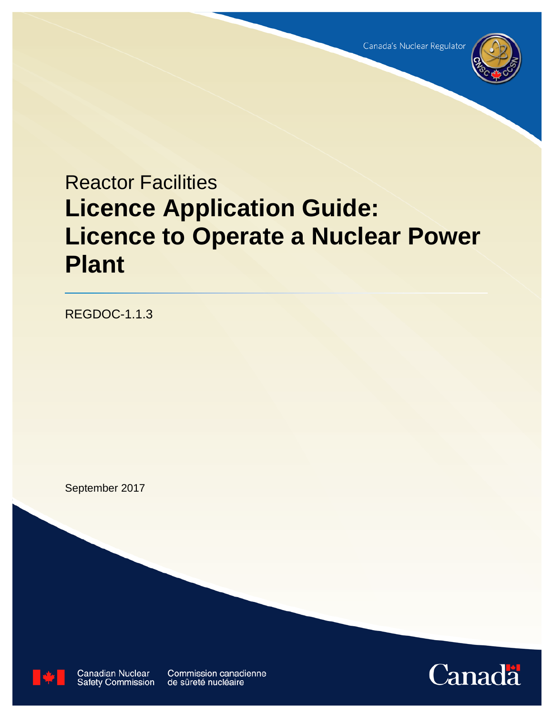

# Reactor Facilities **Licence Application Guide: Licence to Operate a Nuclear Power Plant**

REGDOC-1.1.3

September 2017



**Canadian Nuclear**<br>Safety Commission

**Commission canadienne** de sûreté nucléaire

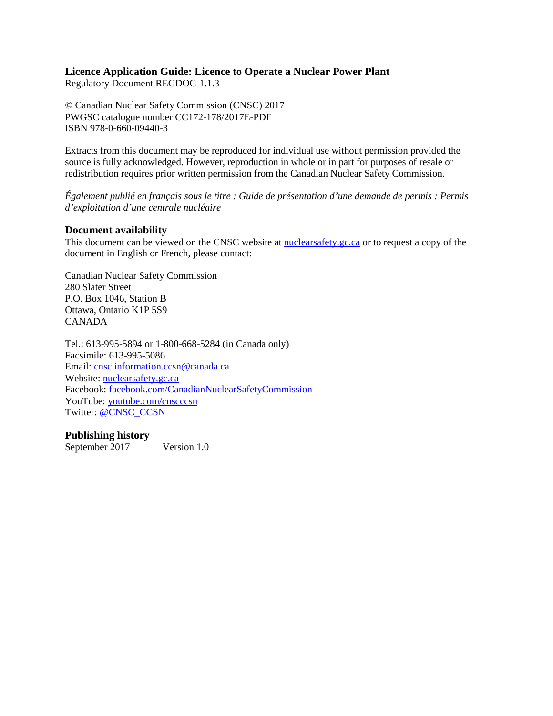# **Licence Application Guide: Licence to Operate a Nuclear Power Plant**

Regulatory Document REGDOC-1.1.3

© Canadian Nuclear Safety Commission (CNSC) 2017 PWGSC catalogue number CC172-178/2017E-PDF ISBN 978-0-660-09440-3

Extracts from this document may be reproduced for individual use without permission provided the source is fully acknowledged. However, reproduction in whole or in part for purposes of resale or redistribution requires prior written permission from the Canadian Nuclear Safety Commission.

*Également publié en français sous le titre : Guide de présentation d'une demande de permis : Permis d'exploitation d'une centrale nucléaire*

# **Document availability**

This document can be viewed on the CNSC website at **nuclearsafety**.gc.ca or to request a copy of the document in English or French, please contact:

Canadian Nuclear Safety Commission 280 Slater Street P.O. Box 1046, Station B Ottawa, Ontario K1P 5S9 CANADA

Tel.: 613-995-5894 or 1-800-668-5284 (in Canada only) Facsimile: 613-995-5086 Email: [cnsc.information.ccsn@canada.ca](mailto:cnsc.information.ccsn@canada.ca) Website: [nuclearsafety.gc.ca](http://www.nuclearsafety.gc.ca/) Facebook: [facebook.com/CanadianNuclearSafetyCommission](http://www.facebook.com/CanadianNuclearSafetyCommission) YouTube: [youtube.com/cnscccsn](http://www.youtube.com/cnscccsn) Twitter: [@CNSC\\_CCSN](https://twitter.com/CNSC_CCSN)

# **Publishing history**

September 2017 Version 1.0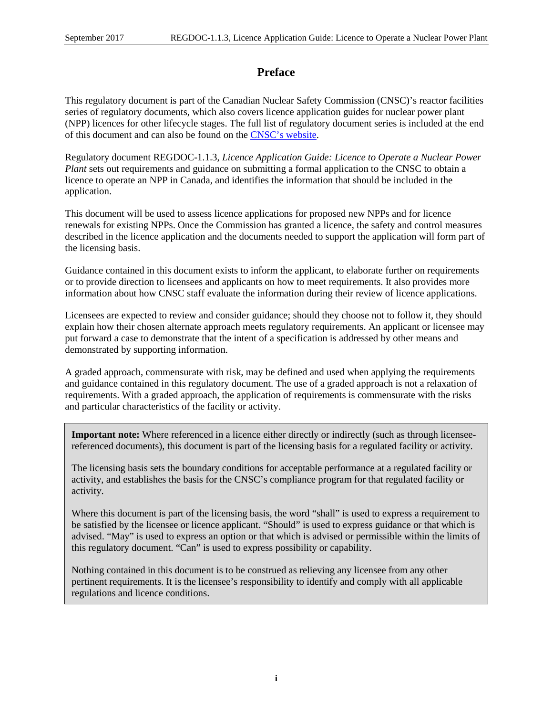# **Preface**

This regulatory document is part of the Canadian Nuclear Safety Commission (CNSC)'s reactor facilities series of regulatory documents, which also covers licence application guides for nuclear power plant (NPP) licences for other lifecycle stages. The full list of regulatory document series is included at the end of this document and can also be found on the CNSC's website.

Regulatory document REGDOC-1.1.3, *Licence Application Guide: Licence to Operate a Nuclear Power Plant* sets out requirements and guidance on submitting a formal application to the CNSC to obtain a licence to operate an NPP in Canada, and identifies the information that should be included in the application.

This document will be used to assess licence applications for proposed new NPPs and for licence renewals for existing NPPs. Once the Commission has granted a licence, the safety and control measures described in the licence application and the documents needed to support the application will form part of the licensing basis.

Guidance contained in this document exists to inform the applicant, to elaborate further on requirements or to provide direction to licensees and applicants on how to meet requirements. It also provides more information about how CNSC staff evaluate the information during their review of licence applications.

Licensees are expected to review and consider guidance; should they choose not to follow it, they should explain how their chosen alternate approach meets regulatory requirements. An applicant or licensee may put forward a case to demonstrate that the intent of a specification is addressed by other means and demonstrated by supporting information.

A graded approach, commensurate with risk, may be defined and used when applying the requirements and guidance contained in this regulatory document. The use of a graded approach is not a relaxation of requirements. With a graded approach, the application of requirements is commensurate with the risks and particular characteristics of the facility or activity.

**Important note:** Where referenced in a licence either directly or indirectly (such as through licenseereferenced documents), this document is part of the licensing basis for a regulated facility or activity.

The licensing basis sets the boundary conditions for acceptable performance at a regulated facility or activity, and establishes the basis for the CNSC's compliance program for that regulated facility or activity.

Where this document is part of the licensing basis, the word "shall" is used to express a requirement to be satisfied by the licensee or licence applicant. "Should" is used to express guidance or that which is advised. "May" is used to express an option or that which is advised or permissible within the limits of this regulatory document. "Can" is used to express possibility or capability.

Nothing contained in this document is to be construed as relieving any licensee from any other pertinent requirements. It is the licensee's responsibility to identify and comply with all applicable regulations and licence conditions.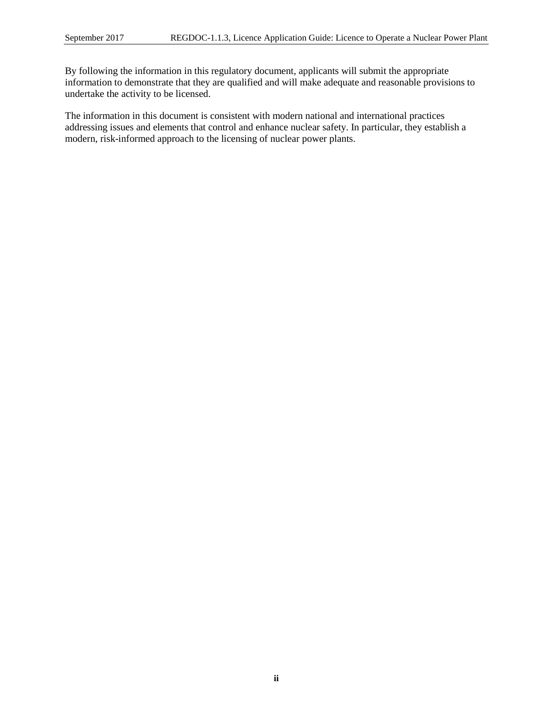By following the information in this regulatory document, applicants will submit the appropriate information to demonstrate that they are qualified and will make adequate and reasonable provisions to undertake the activity to be licensed.

The information in this document is consistent with modern national and international practices addressing issues and elements that control and enhance nuclear safety. In particular, they establish a modern, risk-informed approach to the licensing of nuclear power plants.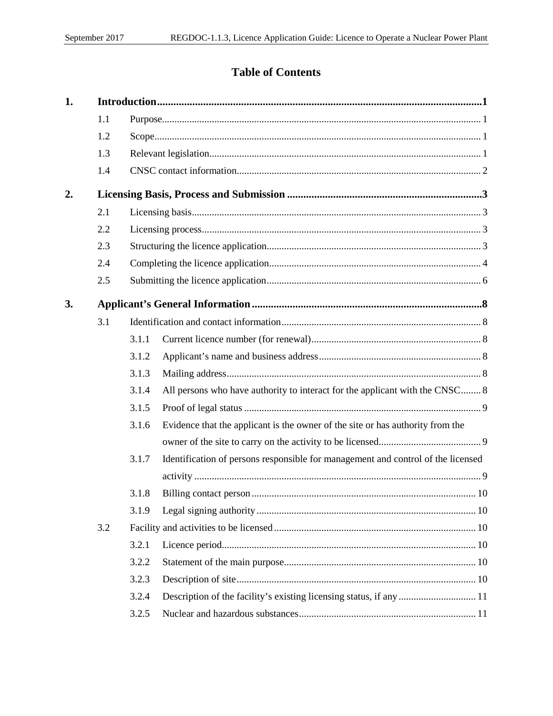# **Table of Contents**

| 1. |     |       |                                                                                  |  |
|----|-----|-------|----------------------------------------------------------------------------------|--|
|    | 1.1 |       |                                                                                  |  |
|    | 1.2 |       |                                                                                  |  |
|    | 1.3 |       |                                                                                  |  |
|    | 1.4 |       |                                                                                  |  |
| 2. |     |       |                                                                                  |  |
|    | 2.1 |       |                                                                                  |  |
|    | 2.2 |       |                                                                                  |  |
|    | 2.3 |       |                                                                                  |  |
|    | 2.4 |       |                                                                                  |  |
|    | 2.5 |       |                                                                                  |  |
| 3. |     |       |                                                                                  |  |
|    | 3.1 |       |                                                                                  |  |
|    |     | 3.1.1 |                                                                                  |  |
|    |     | 3.1.2 |                                                                                  |  |
|    |     | 3.1.3 |                                                                                  |  |
|    |     | 3.1.4 | All persons who have authority to interact for the applicant with the CNSC 8     |  |
|    |     | 3.1.5 |                                                                                  |  |
|    |     | 3.1.6 | Evidence that the applicant is the owner of the site or has authority from the   |  |
|    |     |       |                                                                                  |  |
|    |     | 3.1.7 | Identification of persons responsible for management and control of the licensed |  |
|    |     |       |                                                                                  |  |
|    |     | 3.1.8 |                                                                                  |  |
|    |     | 3.1.9 |                                                                                  |  |
|    | 3.2 |       |                                                                                  |  |
|    |     | 3.2.1 |                                                                                  |  |
|    |     | 3.2.2 |                                                                                  |  |
|    |     | 3.2.3 |                                                                                  |  |
|    |     | 3.2.4 |                                                                                  |  |
|    |     | 3.2.5 |                                                                                  |  |
|    |     |       |                                                                                  |  |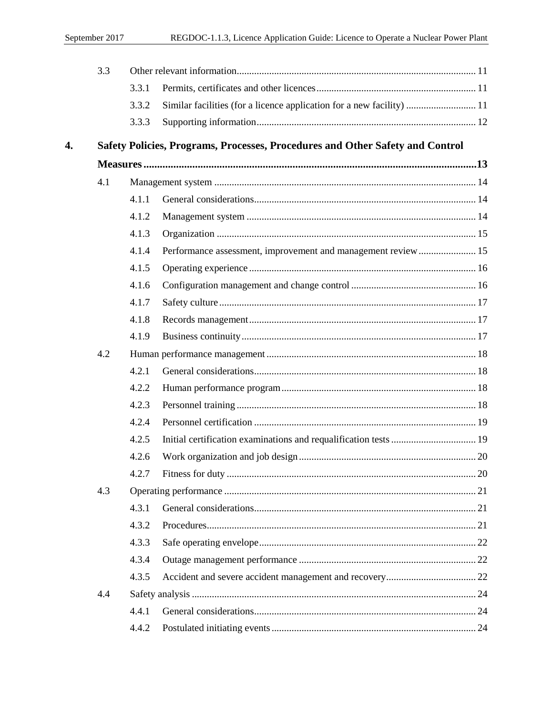|    | 3.3 |       |                                                                               |  |
|----|-----|-------|-------------------------------------------------------------------------------|--|
|    |     | 3.3.1 |                                                                               |  |
|    |     | 3.3.2 | Similar facilities (for a licence application for a new facility)  11         |  |
|    |     | 3.3.3 |                                                                               |  |
| 4. |     |       | Safety Policies, Programs, Processes, Procedures and Other Safety and Control |  |
|    |     |       |                                                                               |  |
|    | 4.1 |       |                                                                               |  |
|    |     | 4.1.1 |                                                                               |  |
|    |     | 4.1.2 |                                                                               |  |
|    |     | 4.1.3 |                                                                               |  |
|    |     | 4.1.4 | Performance assessment, improvement and management review 15                  |  |
|    |     | 4.1.5 |                                                                               |  |
|    |     | 4.1.6 |                                                                               |  |
|    |     | 4.1.7 |                                                                               |  |
|    |     | 4.1.8 |                                                                               |  |
|    |     | 4.1.9 |                                                                               |  |
|    | 4.2 |       |                                                                               |  |
|    |     | 4.2.1 |                                                                               |  |
|    |     | 4.2.2 |                                                                               |  |
|    |     | 4.2.3 |                                                                               |  |
|    |     | 4.2.4 |                                                                               |  |
|    |     | 4.2.5 |                                                                               |  |
|    |     | 4.2.6 |                                                                               |  |
|    |     | 4.2.7 |                                                                               |  |
|    | 4.3 |       |                                                                               |  |
|    |     | 4.3.1 |                                                                               |  |
|    |     | 4.3.2 |                                                                               |  |
|    |     | 4.3.3 |                                                                               |  |
|    |     | 4.3.4 |                                                                               |  |
|    |     | 4.3.5 |                                                                               |  |
|    | 4.4 |       |                                                                               |  |
|    |     | 4.4.1 |                                                                               |  |
|    |     | 4.4.2 |                                                                               |  |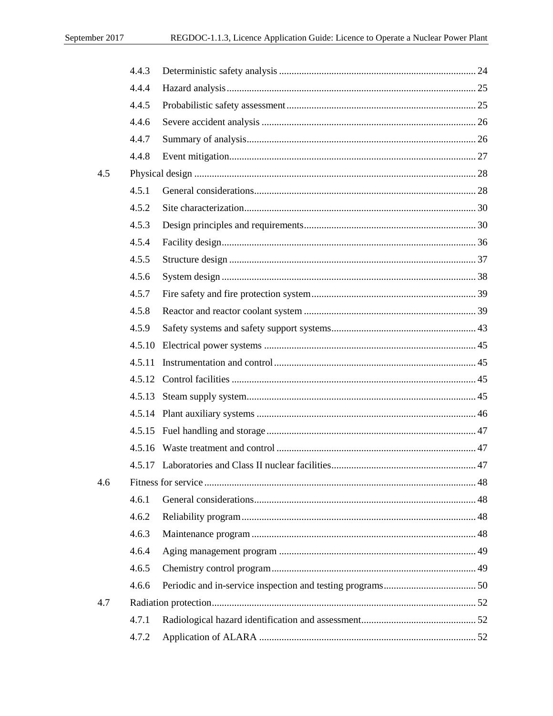|     | 4.4.3  |  |
|-----|--------|--|
|     | 4.4.4  |  |
|     | 4.4.5  |  |
|     | 4.4.6  |  |
|     | 4.4.7  |  |
|     | 4.4.8  |  |
| 4.5 |        |  |
|     | 4.5.1  |  |
|     | 4.5.2  |  |
|     | 4.5.3  |  |
|     | 4.5.4  |  |
|     | 4.5.5  |  |
|     | 4.5.6  |  |
|     | 4.5.7  |  |
|     | 4.5.8  |  |
|     | 4.5.9  |  |
|     |        |  |
|     | 4.5.11 |  |
|     |        |  |
|     |        |  |
|     |        |  |
|     |        |  |
|     |        |  |
|     |        |  |
| 4.6 |        |  |
|     | 4.6.1  |  |
|     | 4.6.2  |  |
|     | 4.6.3  |  |
|     | 4.6.4  |  |
|     | 4.6.5  |  |
|     | 4.6.6  |  |
| 4.7 |        |  |
|     | 4.7.1  |  |
|     | 4.7.2  |  |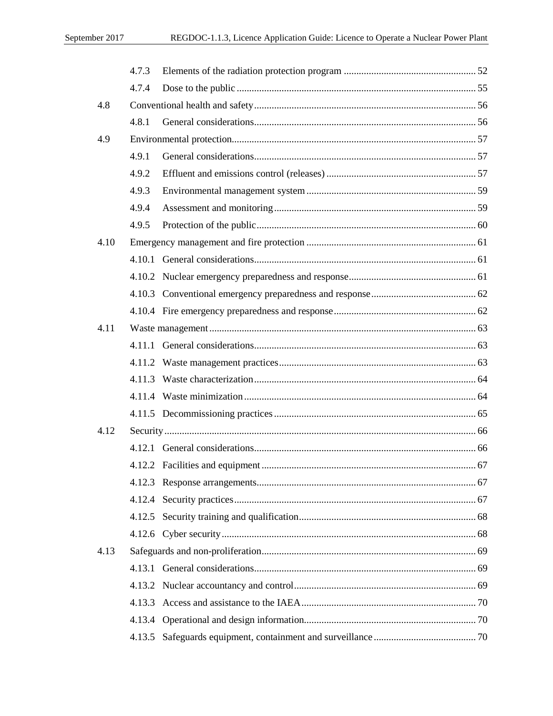|      | 4.7.3 |  |
|------|-------|--|
|      | 4.7.4 |  |
| 4.8  |       |  |
|      | 4.8.1 |  |
| 4.9  |       |  |
|      | 4.9.1 |  |
|      | 4.9.2 |  |
|      | 4.9.3 |  |
|      | 4.9.4 |  |
|      | 4.9.5 |  |
| 4.10 |       |  |
|      |       |  |
|      |       |  |
|      |       |  |
|      |       |  |
| 4.11 |       |  |
|      |       |  |
|      |       |  |
|      |       |  |
|      |       |  |
|      |       |  |
| 4.12 |       |  |
|      |       |  |
|      |       |  |
|      |       |  |
|      |       |  |
|      |       |  |
|      |       |  |
| 4.13 |       |  |
|      |       |  |
|      |       |  |
|      |       |  |
|      |       |  |
|      |       |  |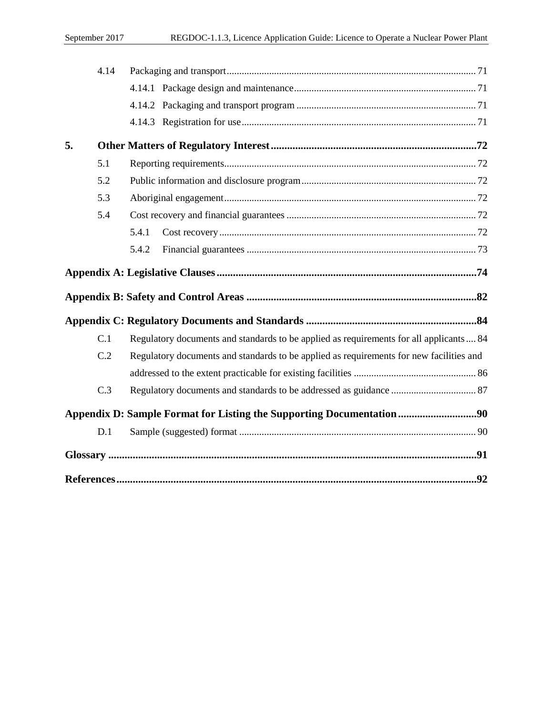|    | 4.14 |                                                                                         |
|----|------|-----------------------------------------------------------------------------------------|
|    |      |                                                                                         |
|    |      |                                                                                         |
|    |      |                                                                                         |
| 5. |      |                                                                                         |
|    | 5.1  |                                                                                         |
|    | 5.2  |                                                                                         |
|    | 5.3  |                                                                                         |
|    | 5.4  |                                                                                         |
|    |      | 5.4.1                                                                                   |
|    |      | 5.4.2                                                                                   |
|    |      |                                                                                         |
|    |      |                                                                                         |
|    |      |                                                                                         |
|    | C.1  | Regulatory documents and standards to be applied as requirements for all applicants 84  |
|    | C.2  | Regulatory documents and standards to be applied as requirements for new facilities and |
|    |      |                                                                                         |
|    | C.3  |                                                                                         |
|    |      | Appendix D: Sample Format for Listing the Supporting Documentation90                    |
|    | D.1  |                                                                                         |
|    |      |                                                                                         |
|    |      |                                                                                         |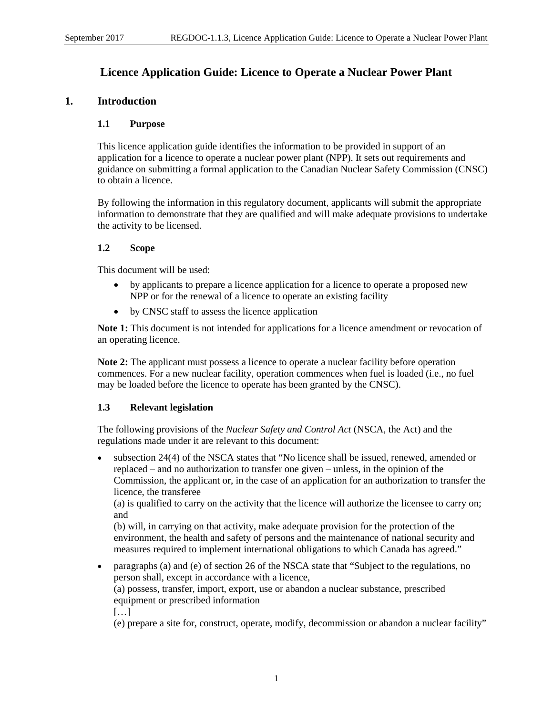# **Licence Application Guide: Licence to Operate a Nuclear Power Plant**

# <span id="page-9-1"></span><span id="page-9-0"></span>**1. Introduction**

# **1.1 Purpose**

This licence application guide identifies the information to be provided in support of an application for a licence to operate a nuclear power plant (NPP). It sets out requirements and guidance on submitting a formal application to the Canadian Nuclear Safety Commission (CNSC) to obtain a licence.

By following the information in this regulatory document, applicants will submit the appropriate information to demonstrate that they are qualified and will make adequate provisions to undertake the activity to be licensed.

# <span id="page-9-2"></span>**1.2 Scope**

This document will be used:

- by applicants to prepare a licence application for a licence to operate a proposed new NPP or for the renewal of a licence to operate an existing facility
- by CNSC staff to assess the licence application

**Note 1:** This document is not intended for applications for a licence amendment or revocation of an operating licence.

**Note 2:** The applicant must possess a licence to operate a nuclear facility before operation commences. For a new nuclear facility, operation commences when fuel is loaded (i.e., no fuel may be loaded before the licence to operate has been granted by the CNSC).

#### <span id="page-9-3"></span>**1.3 Relevant legislation**

The following provisions of the *Nuclear Safety and Control Act* (NSCA, the Act) and the regulations made under it are relevant to this document:

• subsection 24(4) of the NSCA states that "No licence shall be issued, renewed, amended or replaced – and no authorization to transfer one given – unless, in the opinion of the Commission, the applicant or, in the case of an application for an authorization to transfer the licence, the transferee

(a) is qualified to carry on the activity that the licence will authorize the licensee to carry on; and

(b) will, in carrying on that activity, make adequate provision for the protection of the environment, the health and safety of persons and the maintenance of national security and measures required to implement international obligations to which Canada has agreed."

• paragraphs (a) and (e) of section 26 of the NSCA state that "Subject to the regulations, no person shall, except in accordance with a licence, (a) possess, transfer, import, export, use or abandon a nuclear substance, prescribed equipment or prescribed information […]

(e) prepare a site for, construct, operate, modify, decommission or abandon a nuclear facility"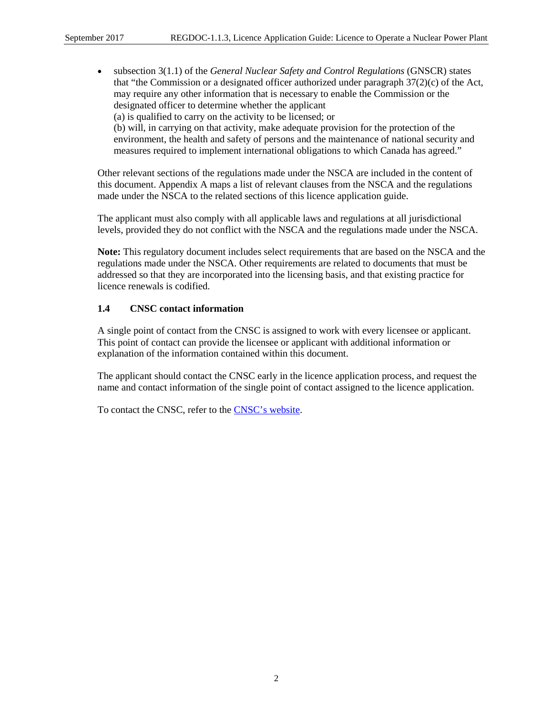• subsection 3(1.1) of the *General Nuclear Safety and Control Regulations* (GNSCR) states that "the Commission or a designated officer authorized under paragraph 37(2)(c) of the Act, may require any other information that is necessary to enable the Commission or the designated officer to determine whether the applicant (a) is qualified to carry on the activity to be licensed; or (b) will, in carrying on that activity, make adequate provision for the protection of the environment, the health and safety of persons and the maintenance of national security and measures required to implement international obligations to which Canada has agreed."

Other relevant sections of the regulations made under the NSCA are included in the content of this document. Appendix A maps a list of relevant clauses from the NSCA and the regulations made under the NSCA to the related sections of this licence application guide.

The applicant must also comply with all applicable laws and regulations at all jurisdictional levels, provided they do not conflict with the NSCA and the regulations made under the NSCA.

**Note:** This regulatory document includes select requirements that are based on the NSCA and the regulations made under the NSCA. Other requirements are related to documents that must be addressed so that they are incorporated into the licensing basis, and that existing practice for licence renewals is codified.

# <span id="page-10-0"></span>**1.4 CNSC contact information**

A single point of contact from the CNSC is assigned to work with every licensee or applicant. This point of contact can provide the licensee or applicant with additional information or explanation of the information contained within this document.

The applicant should contact the CNSC early in the licence application process, and request the name and contact information of the single point of contact assigned to the licence application.

To contact the CNSC, refer to the [CNSC's website.](http://www.nuclearsafety.gc.ca/eng/contact-us/)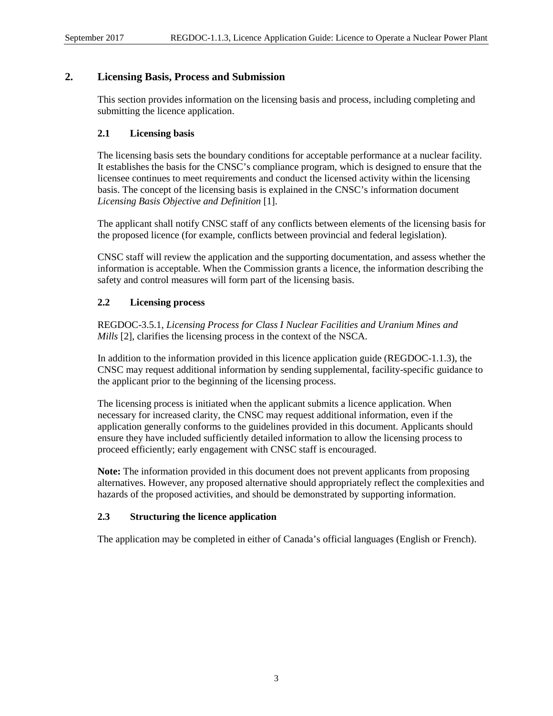# <span id="page-11-0"></span>**2. Licensing Basis, Process and Submission**

This section provides information on the licensing basis and process, including completing and submitting the licence application.

# <span id="page-11-1"></span>**2.1 Licensing basis**

The licensing basis sets the boundary conditions for acceptable performance at a nuclear facility. It establishes the basis for the CNSC's compliance program, which is designed to ensure that the licensee continues to meet requirements and conduct the licensed activity within the licensing basis. The concept of the licensing basis is explained in the CNSC's information document *Licensing Basis Objective and Definition* [1].

The applicant shall notify CNSC staff of any conflicts between elements of the licensing basis for the proposed licence (for example, conflicts between provincial and federal legislation).

CNSC staff will review the application and the supporting documentation, and assess whether the information is acceptable. When the Commission grants a licence, the information describing the safety and control measures will form part of the licensing basis.

# <span id="page-11-2"></span>**2.2 Licensing process**

REGDOC-3.5.1, *Licensing Process for Class I Nuclear Facilities and Uranium Mines and Mills* [2], clarifies the licensing process in the context of the NSCA.

In addition to the information provided in this licence application guide (REGDOC-1.1.3), the CNSC may request additional information by sending supplemental, facility-specific guidance to the applicant prior to the beginning of the licensing process.

The licensing process is initiated when the applicant submits a licence application. When necessary for increased clarity, the CNSC may request additional information, even if the application generally conforms to the guidelines provided in this document. Applicants should ensure they have included sufficiently detailed information to allow the licensing process to proceed efficiently; early engagement with CNSC staff is encouraged.

**Note:** The information provided in this document does not prevent applicants from proposing alternatives. However, any proposed alternative should appropriately reflect the complexities and hazards of the proposed activities, and should be demonstrated by supporting information.

#### <span id="page-11-3"></span>**2.3 Structuring the licence application**

The application may be completed in either of Canada's official languages (English or French).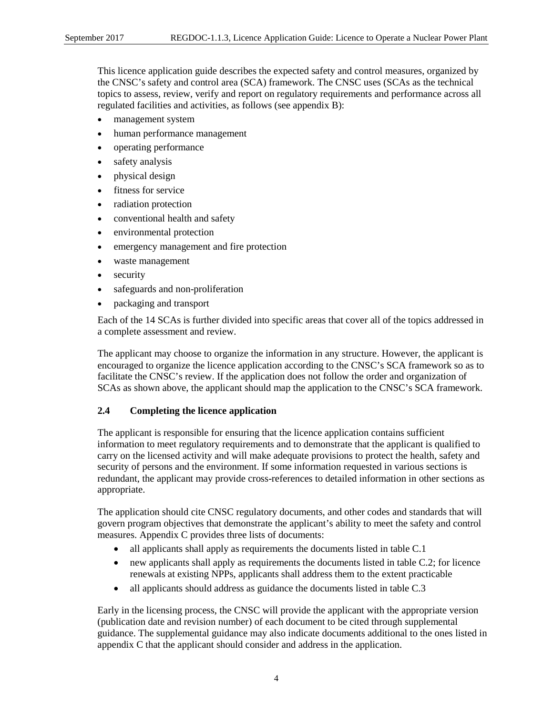This licence application guide describes the expected safety and control measures, organized by the CNSC's safety and control area (SCA) framework. The CNSC uses (SCAs as the technical topics to assess, review, verify and report on regulatory requirements and performance across all regulated facilities and activities, as follows (see appendix B):

- management system
- human performance management
- operating performance
- safety analysis
- physical design
- fitness for service
- radiation protection
- conventional health and safety
- environmental protection
- emergency management and fire protection
- waste management
- security
- safeguards and non-proliferation
- packaging and transport

Each of the 14 SCAs is further divided into specific areas that cover all of the topics addressed in a complete assessment and review.

The applicant may choose to organize the information in any structure. However, the applicant is encouraged to organize the licence application according to the CNSC's SCA framework so as to facilitate the CNSC's review. If the application does not follow the order and organization of SCAs as shown above, the applicant should map the application to the CNSC's SCA framework.

#### <span id="page-12-0"></span>**2.4 Completing the licence application**

The applicant is responsible for ensuring that the licence application contains sufficient information to meet regulatory requirements and to demonstrate that the applicant is qualified to carry on the licensed activity and will make adequate provisions to protect the health, safety and security of persons and the environment. If some information requested in various sections is redundant, the applicant may provide cross-references to detailed information in other sections as appropriate.

The application should cite CNSC regulatory documents, and other codes and standards that will govern program objectives that demonstrate the applicant's ability to meet the safety and control measures. Appendix C provides three lists of documents:

- all applicants shall apply as requirements the documents listed in table C.1
- new applicants shall apply as requirements the documents listed in table C.2; for licence renewals at existing NPPs, applicants shall address them to the extent practicable
- all applicants should address as guidance the documents listed in table C.3

Early in the licensing process, the CNSC will provide the applicant with the appropriate version (publication date and revision number) of each document to be cited through supplemental guidance. The supplemental guidance may also indicate documents additional to the ones listed in appendix C that the applicant should consider and address in the application.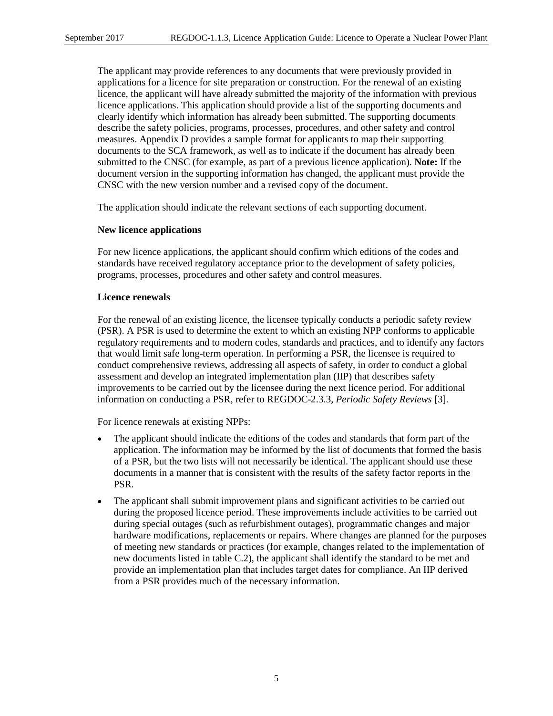The applicant may provide references to any documents that were previously provided in applications for a licence for site preparation or construction. For the renewal of an existing licence, the applicant will have already submitted the majority of the information with previous licence applications. This application should provide a list of the supporting documents and clearly identify which information has already been submitted. The supporting documents describe the safety policies, programs, processes, procedures, and other safety and control measures. Appendix D provides a sample format for applicants to map their supporting documents to the SCA framework, as well as to indicate if the document has already been submitted to the CNSC (for example, as part of a previous licence application). **Note:** If the document version in the supporting information has changed, the applicant must provide the CNSC with the new version number and a revised copy of the document.

The application should indicate the relevant sections of each supporting document.

#### **New licence applications**

For new licence applications, the applicant should confirm which editions of the codes and standards have received regulatory acceptance prior to the development of safety policies, programs, processes, procedures and other safety and control measures.

#### **Licence renewals**

For the renewal of an existing licence, the licensee typically conducts a periodic safety review (PSR). A PSR is used to determine the extent to which an existing NPP conforms to applicable regulatory requirements and to modern codes, standards and practices, and to identify any factors that would limit safe long-term operation. In performing a PSR, the licensee is required to conduct comprehensive reviews, addressing all aspects of safety, in order to conduct a global assessment and develop an integrated implementation plan (IIP) that describes safety improvements to be carried out by the licensee during the next licence period. For additional information on conducting a PSR, refer to REGDOC-2.3.3, *Periodic Safety Reviews* [3].

For licence renewals at existing NPPs:

- The applicant should indicate the editions of the codes and standards that form part of the application. The information may be informed by the list of documents that formed the basis of a PSR, but the two lists will not necessarily be identical. The applicant should use these documents in a manner that is consistent with the results of the safety factor reports in the PSR.
- The applicant shall submit improvement plans and significant activities to be carried out during the proposed licence period. These improvements include activities to be carried out during special outages (such as refurbishment outages), programmatic changes and major hardware modifications, replacements or repairs. Where changes are planned for the purposes of meeting new standards or practices (for example, changes related to the implementation of new documents listed in table C.2), the applicant shall identify the standard to be met and provide an implementation plan that includes target dates for compliance. An IIP derived from a PSR provides much of the necessary information.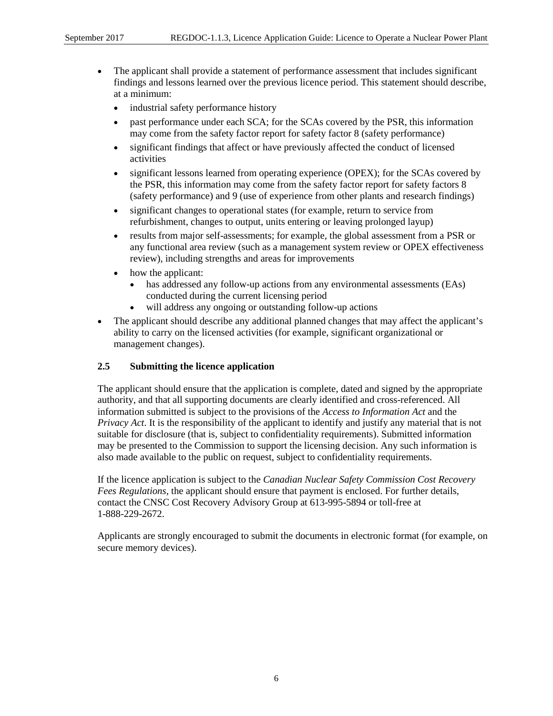- The applicant shall provide a statement of performance assessment that includes significant findings and lessons learned over the previous licence period. This statement should describe, at a minimum:
	- industrial safety performance history
	- past performance under each SCA; for the SCAs covered by the PSR, this information may come from the safety factor report for safety factor 8 (safety performance)
	- significant findings that affect or have previously affected the conduct of licensed activities
	- significant lessons learned from operating experience (OPEX); for the SCAs covered by the PSR, this information may come from the safety factor report for safety factors 8 (safety performance) and 9 (use of experience from other plants and research findings)
	- significant changes to operational states (for example, return to service from refurbishment, changes to output, units entering or leaving prolonged layup)
	- results from major self-assessments; for example, the global assessment from a PSR or any functional area review (such as a management system review or OPEX effectiveness review), including strengths and areas for improvements
	- how the applicant:
		- has addressed any follow-up actions from any environmental assessments (EAs) conducted during the current licensing period
		- will address any ongoing or outstanding follow-up actions
- The applicant should describe any additional planned changes that may affect the applicant's ability to carry on the licensed activities (for example, significant organizational or management changes).

#### <span id="page-14-0"></span>**2.5 Submitting the licence application**

The applicant should ensure that the application is complete, dated and signed by the appropriate authority, and that all supporting documents are clearly identified and cross-referenced. All information submitted is subject to the provisions of the *Access to Information Act* and the *Privacy Act*. It is the responsibility of the applicant to identify and justify any material that is not suitable for disclosure (that is, subject to confidentiality requirements). Submitted information may be presented to the Commission to support the licensing decision. Any such information is also made available to the public on request, subject to confidentiality requirements.

If the licence application is subject to the *Canadian Nuclear Safety Commission Cost Recovery Fees Regulations*, the applicant should ensure that payment is enclosed. For further details, contact the CNSC Cost Recovery Advisory Group at 613-995-5894 or toll-free at 1-888-229-2672.

Applicants are strongly encouraged to submit the documents in electronic format (for example, on secure memory devices).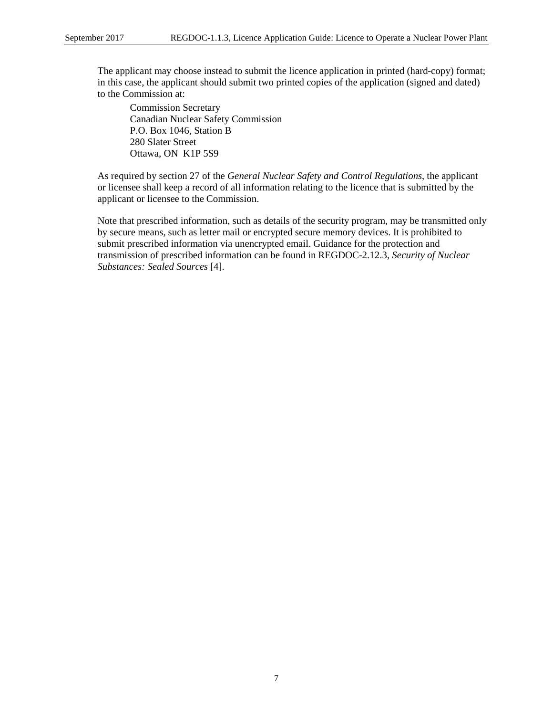The applicant may choose instead to submit the licence application in printed (hard-copy) format; in this case, the applicant should submit two printed copies of the application (signed and dated) to the Commission at:

Commission Secretary Canadian Nuclear Safety Commission P.O. Box 1046, Station B 280 Slater Street Ottawa, ON K1P 5S9

As required by section 27 of the *General Nuclear Safety and Control Regulations*, the applicant or licensee shall keep a record of all information relating to the licence that is submitted by the applicant or licensee to the Commission.

Note that prescribed information, such as details of the security program, may be transmitted only by secure means, such as letter mail or encrypted secure memory devices. It is prohibited to submit prescribed information via unencrypted email. Guidance for the protection and transmission of prescribed information can be found in REGDOC-2.12.3, *Security of Nuclear Substances: Sealed Sources* [4].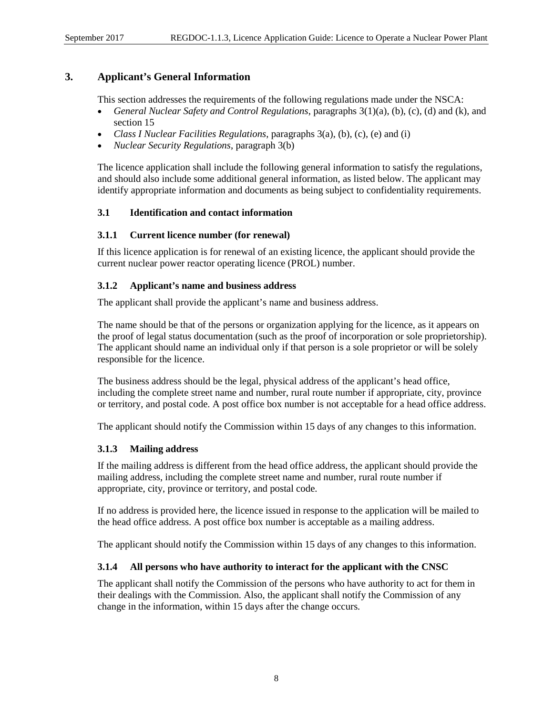# <span id="page-16-0"></span>**3. Applicant's General Information**

This section addresses the requirements of the following regulations made under the NSCA:

- *General Nuclear Safety and Control Regulations*, paragraphs 3(1)(a), (b), (c), (d) and (k), and section 15
- *Class I Nuclear Facilities Regulations*, paragraphs 3(a), (b), (c), (e) and (i)
- *Nuclear Security Regulations*, paragraph 3(b)

The licence application shall include the following general information to satisfy the regulations, and should also include some additional general information, as listed below. The applicant may identify appropriate information and documents as being subject to confidentiality requirements.

#### <span id="page-16-1"></span>**3.1 Identification and contact information**

# <span id="page-16-2"></span>**3.1.1 Current licence number (for renewal)**

If this licence application is for renewal of an existing licence, the applicant should provide the current nuclear power reactor operating licence (PROL) number.

# <span id="page-16-3"></span>**3.1.2 Applicant's name and business address**

The applicant shall provide the applicant's name and business address.

The name should be that of the persons or organization applying for the licence, as it appears on the proof of legal status documentation (such as the proof of incorporation or sole proprietorship). The applicant should name an individual only if that person is a sole proprietor or will be solely responsible for the licence.

The business address should be the legal, physical address of the applicant's head office, including the complete street name and number, rural route number if appropriate, city, province or territory, and postal code. A post office box number is not acceptable for a head office address.

The applicant should notify the Commission within 15 days of any changes to this information.

#### <span id="page-16-4"></span>**3.1.3 Mailing address**

If the mailing address is different from the head office address, the applicant should provide the mailing address, including the complete street name and number, rural route number if appropriate, city, province or territory, and postal code.

If no address is provided here, the licence issued in response to the application will be mailed to the head office address. A post office box number is acceptable as a mailing address.

The applicant should notify the Commission within 15 days of any changes to this information.

#### <span id="page-16-5"></span>**3.1.4 All persons who have authority to interact for the applicant with the CNSC**

The applicant shall notify the Commission of the persons who have authority to act for them in their dealings with the Commission. Also, the applicant shall notify the Commission of any change in the information, within 15 days after the change occurs.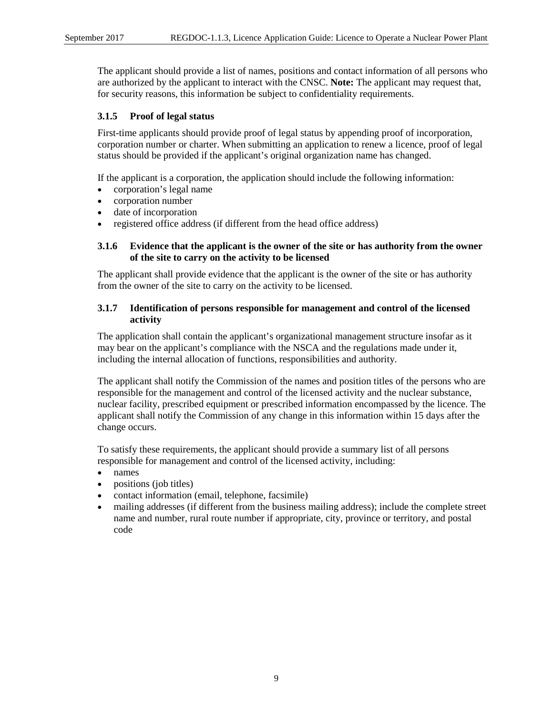The applicant should provide a list of names, positions and contact information of all persons who are authorized by the applicant to interact with the CNSC. **Note:** The applicant may request that, for security reasons, this information be subject to confidentiality requirements.

# <span id="page-17-0"></span>**3.1.5 Proof of legal status**

First-time applicants should provide proof of legal status by appending proof of incorporation, corporation number or charter. When submitting an application to renew a licence, proof of legal status should be provided if the applicant's original organization name has changed.

If the applicant is a corporation, the application should include the following information:

- corporation's legal name
- corporation number
- date of incorporation
- registered office address (if different from the head office address)

# <span id="page-17-1"></span>**3.1.6 Evidence that the applicant is the owner of the site or has authority from the owner of the site to carry on the activity to be licensed**

The applicant shall provide evidence that the applicant is the owner of the site or has authority from the owner of the site to carry on the activity to be licensed.

#### <span id="page-17-2"></span>**3.1.7 Identification of persons responsible for management and control of the licensed activity**

The application shall contain the applicant's organizational management structure insofar as it may bear on the applicant's compliance with the NSCA and the regulations made under it, including the internal allocation of functions, responsibilities and authority.

The applicant shall notify the Commission of the names and position titles of the persons who are responsible for the management and control of the licensed activity and the nuclear substance, nuclear facility, prescribed equipment or prescribed information encompassed by the licence. The applicant shall notify the Commission of any change in this information within 15 days after the change occurs.

To satisfy these requirements, the applicant should provide a summary list of all persons responsible for management and control of the licensed activity, including:

- names
- positions (job titles)
- contact information (email, telephone, facsimile)
- mailing addresses (if different from the business mailing address); include the complete street name and number, rural route number if appropriate, city, province or territory, and postal code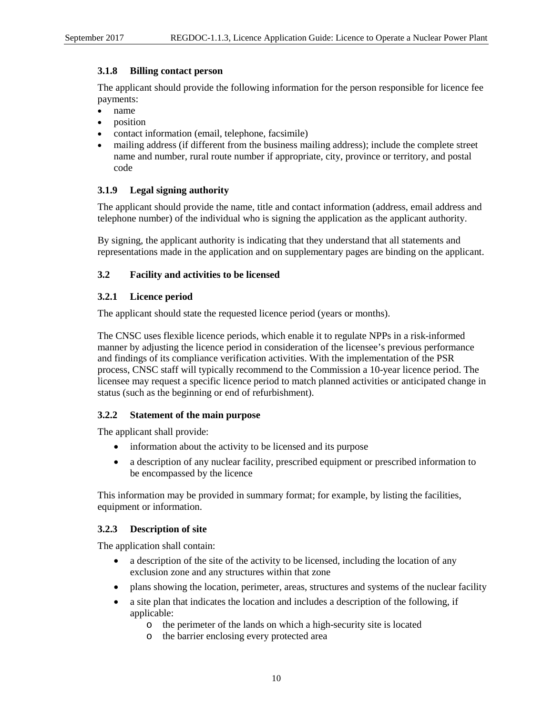# <span id="page-18-0"></span>**3.1.8 Billing contact person**

The applicant should provide the following information for the person responsible for licence fee payments:

- name
- position
- contact information (email, telephone, facsimile)
- mailing address (if different from the business mailing address); include the complete street name and number, rural route number if appropriate, city, province or territory, and postal code

# <span id="page-18-1"></span>**3.1.9 Legal signing authority**

The applicant should provide the name, title and contact information (address, email address and telephone number) of the individual who is signing the application as the applicant authority.

By signing, the applicant authority is indicating that they understand that all statements and representations made in the application and on supplementary pages are binding on the applicant.

#### <span id="page-18-2"></span>**3.2 Facility and activities to be licensed**

#### <span id="page-18-3"></span>**3.2.1 Licence period**

The applicant should state the requested licence period (years or months).

The CNSC uses flexible licence periods, which enable it to regulate NPPs in a risk-informed manner by adjusting the licence period in consideration of the licensee's previous performance and findings of its compliance verification activities. With the implementation of the PSR process, CNSC staff will typically recommend to the Commission a 10-year licence period. The licensee may request a specific licence period to match planned activities or anticipated change in status (such as the beginning or end of refurbishment).

#### <span id="page-18-4"></span>**3.2.2 Statement of the main purpose**

The applicant shall provide:

- information about the activity to be licensed and its purpose
- a description of any nuclear facility, prescribed equipment or prescribed information to be encompassed by the licence

This information may be provided in summary format; for example, by listing the facilities, equipment or information.

#### <span id="page-18-5"></span>**3.2.3 Description of site**

The application shall contain:

- a description of the site of the activity to be licensed, including the location of any exclusion zone and any structures within that zone
- plans showing the location, perimeter, areas, structures and systems of the nuclear facility
- a site plan that indicates the location and includes a description of the following, if applicable:
	- o the perimeter of the lands on which a high-security site is located
	- o the barrier enclosing every protected area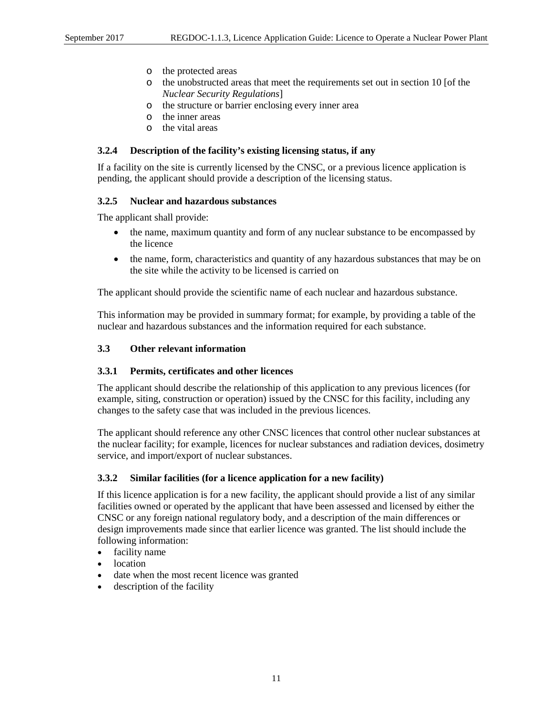- o the protected areas
- o the unobstructed areas that meet the requirements set out in section 10 [of the *Nuclear Security Regulations*]
- o the structure or barrier enclosing every inner area
- o the inner areas
- o the vital areas

#### <span id="page-19-0"></span>**3.2.4 Description of the facility's existing licensing status, if any**

If a facility on the site is currently licensed by the CNSC, or a previous licence application is pending, the applicant should provide a description of the licensing status.

#### <span id="page-19-1"></span>**3.2.5 Nuclear and hazardous substances**

The applicant shall provide:

- the name, maximum quantity and form of any nuclear substance to be encompassed by the licence
- the name, form, characteristics and quantity of any hazardous substances that may be on the site while the activity to be licensed is carried on

The applicant should provide the scientific name of each nuclear and hazardous substance.

This information may be provided in summary format; for example, by providing a table of the nuclear and hazardous substances and the information required for each substance.

#### <span id="page-19-2"></span>**3.3 Other relevant information**

#### <span id="page-19-3"></span>**3.3.1 Permits, certificates and other licences**

The applicant should describe the relationship of this application to any previous licences (for example, siting, construction or operation) issued by the CNSC for this facility, including any changes to the safety case that was included in the previous licences.

The applicant should reference any other CNSC licences that control other nuclear substances at the nuclear facility; for example, licences for nuclear substances and radiation devices, dosimetry service, and import/export of nuclear substances.

#### <span id="page-19-4"></span>**3.3.2 Similar facilities (for a licence application for a new facility)**

If this licence application is for a new facility, the applicant should provide a list of any similar facilities owned or operated by the applicant that have been assessed and licensed by either the CNSC or any foreign national regulatory body, and a description of the main differences or design improvements made since that earlier licence was granted. The list should include the following information:

- facility name
- location
- date when the most recent licence was granted
- description of the facility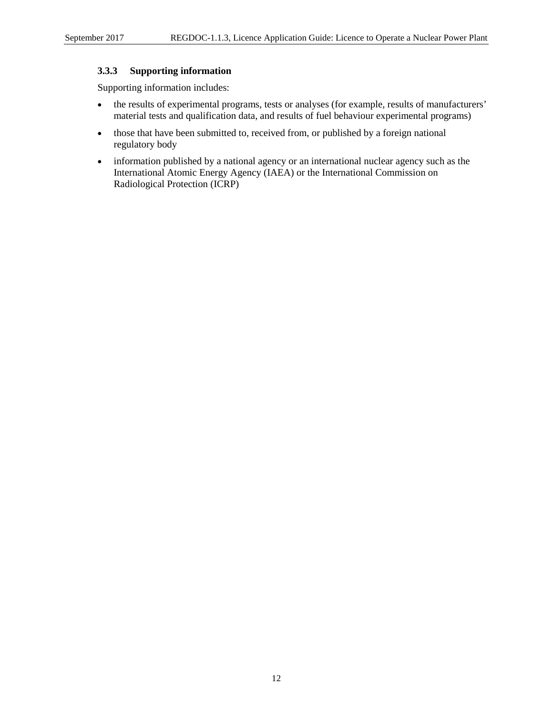# <span id="page-20-0"></span>**3.3.3 Supporting information**

Supporting information includes:

- the results of experimental programs, tests or analyses (for example, results of manufacturers' material tests and qualification data, and results of fuel behaviour experimental programs)
- those that have been submitted to, received from, or published by a foreign national regulatory body
- information published by a national agency or an international nuclear agency such as the International Atomic Energy Agency (IAEA) or the International Commission on Radiological Protection (ICRP)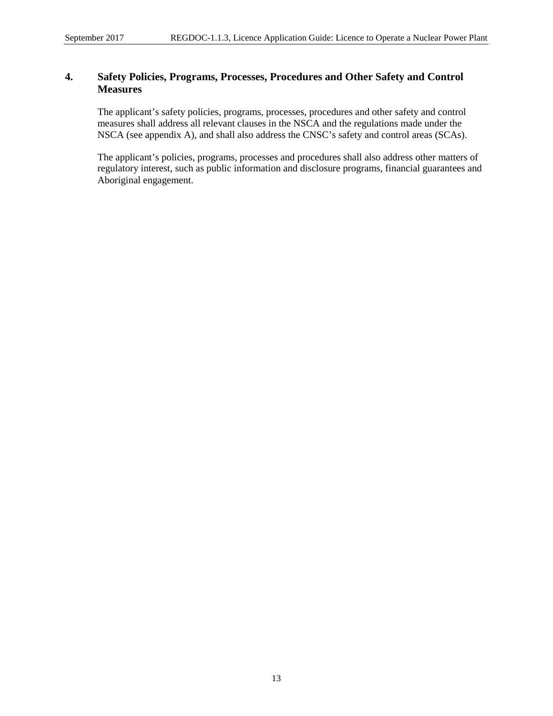# <span id="page-21-0"></span>**4. Safety Policies, Programs, Processes, Procedures and Other Safety and Control Measures**

The applicant's safety policies, programs, processes, procedures and other safety and control measures shall address all relevant clauses in the NSCA and the regulations made under the NSCA (see appendix A), and shall also address the CNSC's safety and control areas (SCAs).

The applicant's policies, programs, processes and procedures shall also address other matters of regulatory interest, such as public information and disclosure programs, financial guarantees and Aboriginal engagement.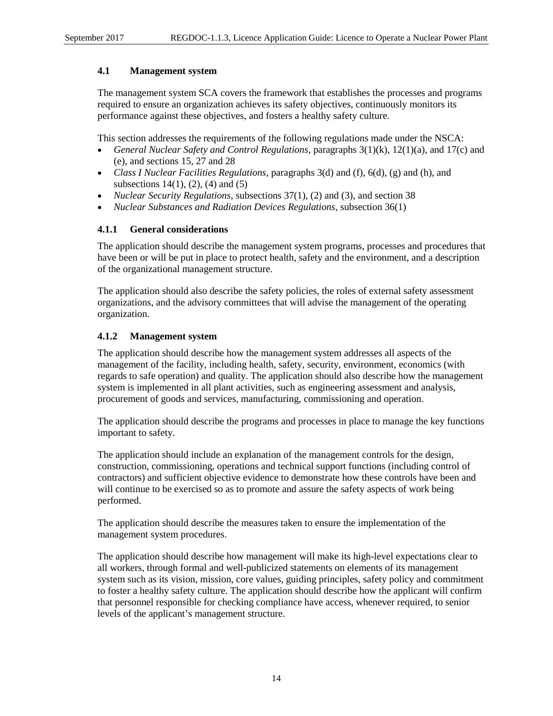#### <span id="page-22-0"></span>**4.1 Management system**

The management system SCA covers the framework that establishes the processes and programs required to ensure an organization achieves its safety objectives, continuously monitors its performance against these objectives, and fosters a healthy safety culture.

This section addresses the requirements of the following regulations made under the NSCA:

- *General Nuclear Safety and Control Regulations*, paragraphs 3(1)(k), 12(1)(a), and 17(c) and (e), and sections 15, 27 and 28
- *Class I Nuclear Facilities Regulations*, paragraphs 3(d) and (f), 6(d), (g) and (h), and subsections  $14(1)$ ,  $(2)$ ,  $(4)$  and  $(5)$
- *Nuclear Security Regulations*, subsections 37(1), (2) and (3), and section 38
- *Nuclear Substances and Radiation Devices Regulations*, subsection 36(1)

#### <span id="page-22-1"></span>**4.1.1 General considerations**

The application should describe the management system programs, processes and procedures that have been or will be put in place to protect health, safety and the environment, and a description of the organizational management structure.

The application should also describe the safety policies, the roles of external safety assessment organizations, and the advisory committees that will advise the management of the operating organization.

#### <span id="page-22-2"></span>**4.1.2 Management system**

The application should describe how the management system addresses all aspects of the management of the facility, including health, safety, security, environment, economics (with regards to safe operation) and quality. The application should also describe how the management system is implemented in all plant activities, such as engineering assessment and analysis, procurement of goods and services, manufacturing, commissioning and operation.

The application should describe the programs and processes in place to manage the key functions important to safety.

The application should include an explanation of the management controls for the design, construction, commissioning, operations and technical support functions (including control of contractors) and sufficient objective evidence to demonstrate how these controls have been and will continue to be exercised so as to promote and assure the safety aspects of work being performed.

The application should describe the measures taken to ensure the implementation of the management system procedures.

The application should describe how management will make its high-level expectations clear to all workers, through formal and well-publicized statements on elements of its management system such as its vision, mission, core values, guiding principles, safety policy and commitment to foster a healthy safety culture. The application should describe how the applicant will confirm that personnel responsible for checking compliance have access, whenever required, to senior levels of the applicant's management structure.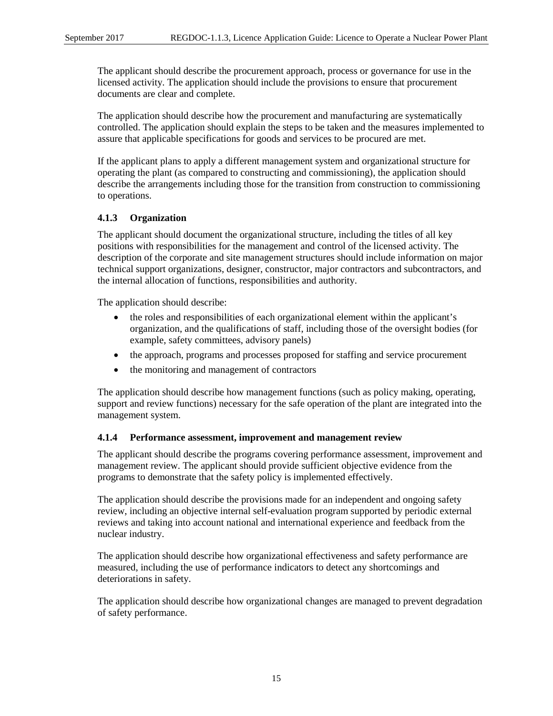The applicant should describe the procurement approach, process or governance for use in the licensed activity. The application should include the provisions to ensure that procurement documents are clear and complete.

The application should describe how the procurement and manufacturing are systematically controlled. The application should explain the steps to be taken and the measures implemented to assure that applicable specifications for goods and services to be procured are met.

If the applicant plans to apply a different management system and organizational structure for operating the plant (as compared to constructing and commissioning), the application should describe the arrangements including those for the transition from construction to commissioning to operations.

# <span id="page-23-0"></span>**4.1.3 Organization**

The applicant should document the organizational structure, including the titles of all key positions with responsibilities for the management and control of the licensed activity. The description of the corporate and site management structures should include information on major technical support organizations, designer, constructor, major contractors and subcontractors, and the internal allocation of functions, responsibilities and authority.

The application should describe:

- the roles and responsibilities of each organizational element within the applicant's organization, and the qualifications of staff, including those of the oversight bodies (for example, safety committees, advisory panels)
- the approach, programs and processes proposed for staffing and service procurement
- the monitoring and management of contractors

The application should describe how management functions (such as policy making, operating, support and review functions) necessary for the safe operation of the plant are integrated into the management system.

#### <span id="page-23-1"></span>**4.1.4 Performance assessment, improvement and management review**

The applicant should describe the programs covering performance assessment, improvement and management review. The applicant should provide sufficient objective evidence from the programs to demonstrate that the safety policy is implemented effectively.

The application should describe the provisions made for an independent and ongoing safety review, including an objective internal self-evaluation program supported by periodic external reviews and taking into account national and international experience and feedback from the nuclear industry.

The application should describe how organizational effectiveness and safety performance are measured, including the use of performance indicators to detect any shortcomings and deteriorations in safety.

The application should describe how organizational changes are managed to prevent degradation of safety performance.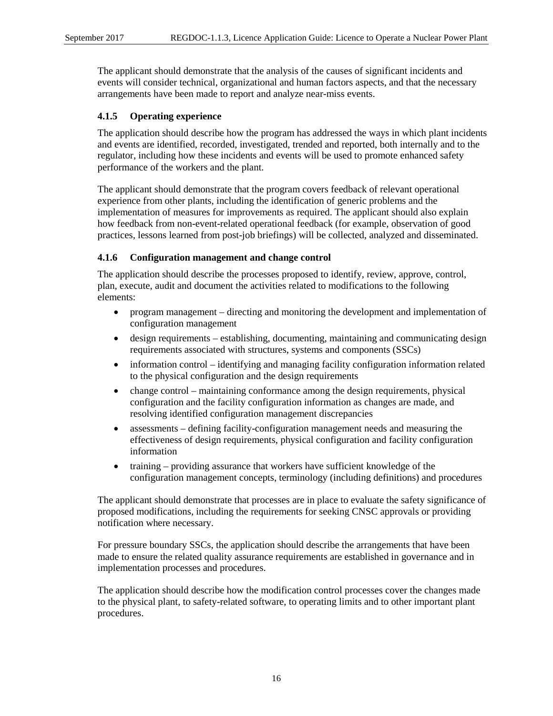The applicant should demonstrate that the analysis of the causes of significant incidents and events will consider technical, organizational and human factors aspects, and that the necessary arrangements have been made to report and analyze near-miss events.

# <span id="page-24-0"></span>**4.1.5 Operating experience**

The application should describe how the program has addressed the ways in which plant incidents and events are identified, recorded, investigated, trended and reported, both internally and to the regulator, including how these incidents and events will be used to promote enhanced safety performance of the workers and the plant.

The applicant should demonstrate that the program covers feedback of relevant operational experience from other plants, including the identification of generic problems and the implementation of measures for improvements as required. The applicant should also explain how feedback from non-event-related operational feedback (for example, observation of good practices, lessons learned from post-job briefings) will be collected, analyzed and disseminated.

# <span id="page-24-1"></span>**4.1.6 Configuration management and change control**

The application should describe the processes proposed to identify, review, approve, control, plan, execute, audit and document the activities related to modifications to the following elements:

- program management directing and monitoring the development and implementation of configuration management
- design requirements establishing, documenting, maintaining and communicating design requirements associated with structures, systems and components (SSCs)
- information control identifying and managing facility configuration information related to the physical configuration and the design requirements
- change control maintaining conformance among the design requirements, physical configuration and the facility configuration information as changes are made, and resolving identified configuration management discrepancies
- assessments defining facility-configuration management needs and measuring the effectiveness of design requirements, physical configuration and facility configuration information
- training providing assurance that workers have sufficient knowledge of the configuration management concepts, terminology (including definitions) and procedures

The applicant should demonstrate that processes are in place to evaluate the safety significance of proposed modifications, including the requirements for seeking CNSC approvals or providing notification where necessary.

For pressure boundary SSCs, the application should describe the arrangements that have been made to ensure the related quality assurance requirements are established in governance and in implementation processes and procedures.

The application should describe how the modification control processes cover the changes made to the physical plant, to safety-related software, to operating limits and to other important plant procedures.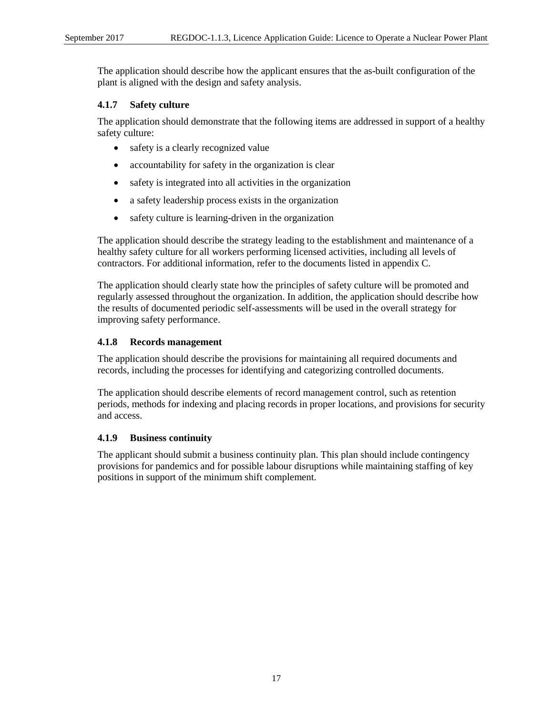The application should describe how the applicant ensures that the as-built configuration of the plant is aligned with the design and safety analysis.

# <span id="page-25-0"></span>**4.1.7 Safety culture**

The application should demonstrate that the following items are addressed in support of a healthy safety culture:

- safety is a clearly recognized value
- accountability for safety in the organization is clear
- safety is integrated into all activities in the organization
- a safety leadership process exists in the organization
- safety culture is learning-driven in the organization

The application should describe the strategy leading to the establishment and maintenance of a healthy safety culture for all workers performing licensed activities, including all levels of contractors. For additional information, refer to the documents listed in appendix C.

The application should clearly state how the principles of safety culture will be promoted and regularly assessed throughout the organization. In addition, the application should describe how the results of documented periodic self-assessments will be used in the overall strategy for improving safety performance.

# <span id="page-25-1"></span>**4.1.8 Records management**

The application should describe the provisions for maintaining all required documents and records, including the processes for identifying and categorizing controlled documents.

The application should describe elements of record management control, such as retention periods, methods for indexing and placing records in proper locations, and provisions for security and access.

#### <span id="page-25-2"></span>**4.1.9 Business continuity**

The applicant should submit a business continuity plan. This plan should include contingency provisions for pandemics and for possible labour disruptions while maintaining staffing of key positions in support of the minimum shift complement.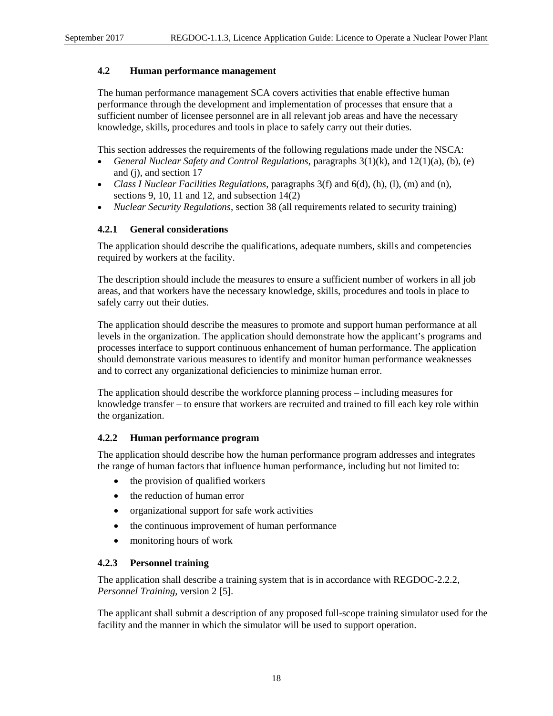#### <span id="page-26-0"></span>**4.2 Human performance management**

The human performance management SCA covers activities that enable effective human performance through the development and implementation of processes that ensure that a sufficient number of licensee personnel are in all relevant job areas and have the necessary knowledge, skills, procedures and tools in place to safely carry out their duties.

This section addresses the requirements of the following regulations made under the NSCA:

- *General Nuclear Safety and Control Regulations*, paragraphs 3(1)(k), and 12(1)(a), (b), (e) and (j), and section 17
- *Class I Nuclear Facilities Regulations*, paragraphs 3(f) and 6(d), (h), (l), (m) and (n), sections 9, 10, 11 and 12, and subsection  $14(2)$
- *Nuclear Security Regulations*, section 38 (all requirements related to security training)

# <span id="page-26-1"></span>**4.2.1 General considerations**

The application should describe the qualifications, adequate numbers, skills and competencies required by workers at the facility.

The description should include the measures to ensure a sufficient number of workers in all job areas, and that workers have the necessary knowledge, skills, procedures and tools in place to safely carry out their duties.

The application should describe the measures to promote and support human performance at all levels in the organization. The application should demonstrate how the applicant's programs and processes interface to support continuous enhancement of human performance. The application should demonstrate various measures to identify and monitor human performance weaknesses and to correct any organizational deficiencies to minimize human error.

The application should describe the workforce planning process – including measures for knowledge transfer – to ensure that workers are recruited and trained to fill each key role within the organization.

# <span id="page-26-2"></span>**4.2.2 Human performance program**

The application should describe how the human performance program addresses and integrates the range of human factors that influence human performance, including but not limited to:

- the provision of qualified workers
- the reduction of human error
- organizational support for safe work activities
- the continuous improvement of human performance
- monitoring hours of work

#### <span id="page-26-3"></span>**4.2.3 Personnel training**

The application shall describe a training system that is in accordance with REGDOC-2.2.2, *Personnel Training*, version 2 [5].

The applicant shall submit a description of any proposed full-scope training simulator used for the facility and the manner in which the simulator will be used to support operation.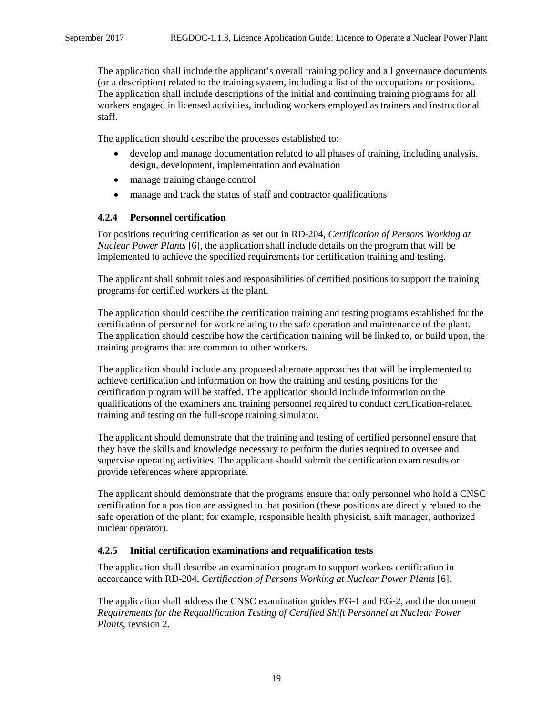The application shall include the applicant's overall training policy and all governance documents (or a description) related to the training system, including a list of the occupations or positions. The application shall include descriptions of the initial and continuing training programs for all workers engaged in licensed activities, including workers employed as trainers and instructional staff.

The application should describe the processes established to:

- develop and manage documentation related to all phases of training, including analysis, design, development, implementation and evaluation
- manage training change control
- manage and track the status of staff and contractor qualifications

# <span id="page-27-0"></span>**4.2.4 Personnel certification**

For positions requiring certification as set out in RD-204, *Certification of Persons Working at Nuclear Power Plants* [6], the application shall include details on the program that will be implemented to achieve the specified requirements for certification training and testing.

The applicant shall submit roles and responsibilities of certified positions to support the training programs for certified workers at the plant.

The application should describe the certification training and testing programs established for the certification of personnel for work relating to the safe operation and maintenance of the plant. The application should describe how the certification training will be linked to, or build upon, the training programs that are common to other workers.

The application should include any proposed alternate approaches that will be implemented to achieve certification and information on how the training and testing positions for the certification program will be staffed. The application should include information on the qualifications of the examiners and training personnel required to conduct certification-related training and testing on the full-scope training simulator.

The applicant should demonstrate that the training and testing of certified personnel ensure that they have the skills and knowledge necessary to perform the duties required to oversee and supervise operating activities. The applicant should submit the certification exam results or provide references where appropriate.

The applicant should demonstrate that the programs ensure that only personnel who hold a CNSC certification for a position are assigned to that position (these positions are directly related to the safe operation of the plant; for example, responsible health physicist, shift manager, authorized nuclear operator).

#### <span id="page-27-1"></span>**4.2.5 Initial certification examinations and requalification tests**

The application shall describe an examination program to support workers certification in accordance with RD-204, *Certification of Persons Working at Nuclear Power Plants* [6].

The application shall address the CNSC examination guides EG-1 and EG-2, and the document *Requirements for the Requalification Testing of Certified Shift Personnel at Nuclear Power Plants*, revision 2.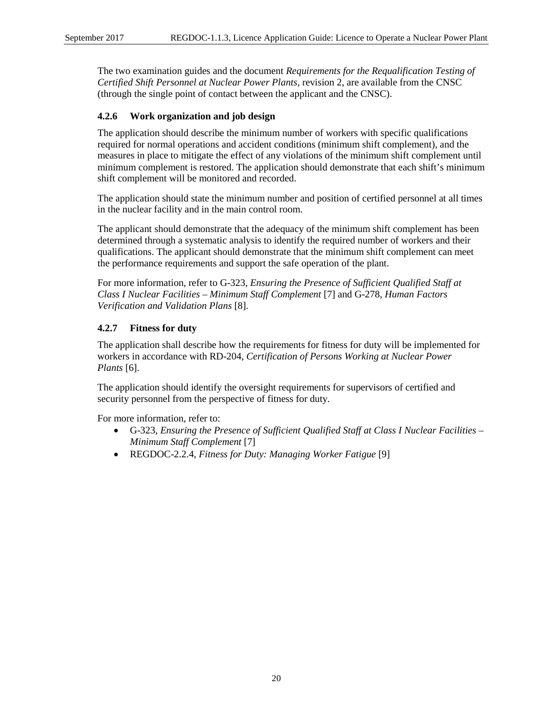The two examination guides and the document *Requirements for the Requalification Testing of Certified Shift Personnel at Nuclear Power Plants*, revision 2, are available from the CNSC (through the single point of contact between the applicant and the CNSC).

#### <span id="page-28-0"></span>**4.2.6 Work organization and job design**

The application should describe the minimum number of workers with specific qualifications required for normal operations and accident conditions (minimum shift complement), and the measures in place to mitigate the effect of any violations of the minimum shift complement until minimum complement is restored. The application should demonstrate that each shift's minimum shift complement will be monitored and recorded.

The application should state the minimum number and position of certified personnel at all times in the nuclear facility and in the main control room.

The applicant should demonstrate that the adequacy of the minimum shift complement has been determined through a systematic analysis to identify the required number of workers and their qualifications. The applicant should demonstrate that the minimum shift complement can meet the performance requirements and support the safe operation of the plant.

For more information, refer to G-323, *Ensuring the Presence of Sufficient Qualified Staff at Class I Nuclear Facilities – Minimum Staff Complement* [7] and G-278, *Human Factors Verification and Validation Plans* [8].

# <span id="page-28-1"></span>**4.2.7 Fitness for duty**

The application shall describe how the requirements for fitness for duty will be implemented for workers in accordance with RD-204, *Certification of Persons Working at Nuclear Power Plants* [6].

The application should identify the oversight requirements for supervisors of certified and security personnel from the perspective of fitness for duty.

For more information, refer to:

- G-323, *Ensuring the Presence of Sufficient Qualified Staff at Class I Nuclear Facilities – Minimum Staff Complement* [7]
- REGDOC-2.2.4, *Fitness for Duty: Managing Worker Fatigue* [9]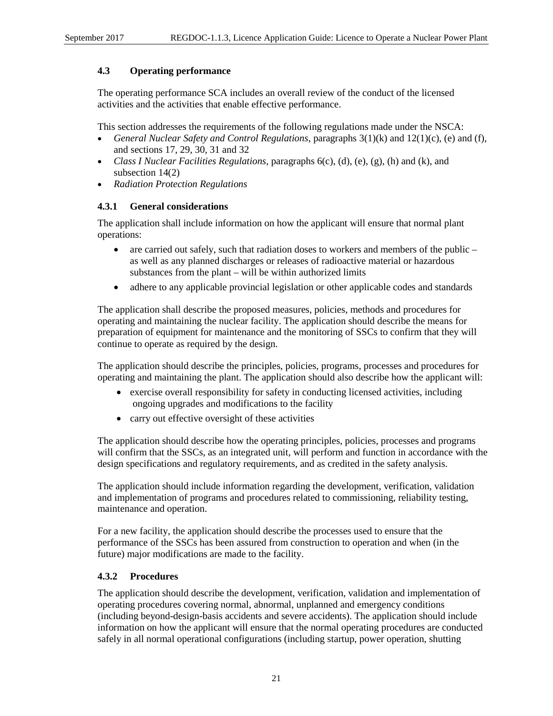# <span id="page-29-0"></span>**4.3 Operating performance**

The operating performance SCA includes an overall review of the conduct of the licensed activities and the activities that enable effective performance.

This section addresses the requirements of the following regulations made under the NSCA:

- *General Nuclear Safety and Control Regulations*, paragraphs 3(1)(k) and 12(1)(c), (e) and (f), and sections 17, 29, 30, 31 and 32
- *Class I Nuclear Facilities Regulations*, paragraphs 6(c), (d), (e), (g), (h) and (k), and subsection 14(2)
- *Radiation Protection Regulations*

# <span id="page-29-1"></span>**4.3.1 General considerations**

The application shall include information on how the applicant will ensure that normal plant operations:

- are carried out safely, such that radiation doses to workers and members of the public as well as any planned discharges or releases of radioactive material or hazardous substances from the plant – will be within authorized limits
- adhere to any applicable provincial legislation or other applicable codes and standards

The application shall describe the proposed measures, policies, methods and procedures for operating and maintaining the nuclear facility. The application should describe the means for preparation of equipment for maintenance and the monitoring of SSCs to confirm that they will continue to operate as required by the design.

The application should describe the principles, policies, programs, processes and procedures for operating and maintaining the plant. The application should also describe how the applicant will:

- exercise overall responsibility for safety in conducting licensed activities, including ongoing upgrades and modifications to the facility
- carry out effective oversight of these activities

The application should describe how the operating principles, policies, processes and programs will confirm that the SSCs, as an integrated unit, will perform and function in accordance with the design specifications and regulatory requirements, and as credited in the safety analysis.

The application should include information regarding the development, verification, validation and implementation of programs and procedures related to commissioning, reliability testing, maintenance and operation.

For a new facility, the application should describe the processes used to ensure that the performance of the SSCs has been assured from construction to operation and when (in the future) major modifications are made to the facility.

# <span id="page-29-2"></span>**4.3.2 Procedures**

The application should describe the development, verification, validation and implementation of operating procedures covering normal, abnormal, unplanned and emergency conditions (including beyond-design-basis accidents and severe accidents). The application should include information on how the applicant will ensure that the normal operating procedures are conducted safely in all normal operational configurations (including startup, power operation, shutting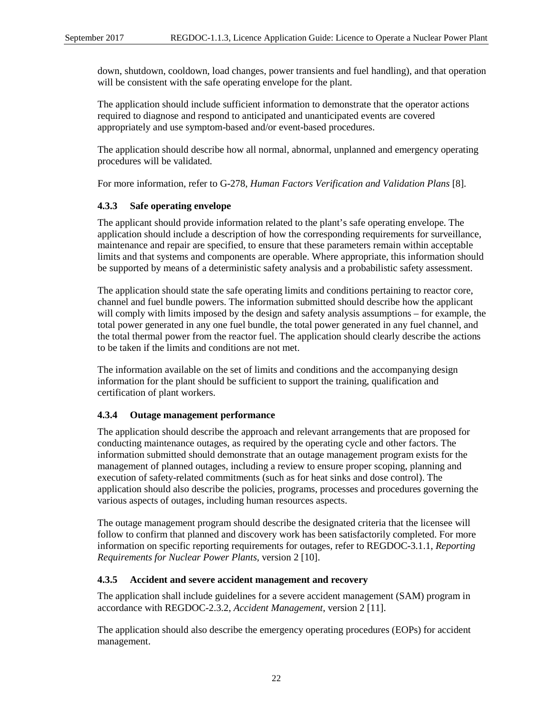down, shutdown, cooldown, load changes, power transients and fuel handling), and that operation will be consistent with the safe operating envelope for the plant.

The application should include sufficient information to demonstrate that the operator actions required to diagnose and respond to anticipated and unanticipated events are covered appropriately and use symptom-based and/or event-based procedures.

The application should describe how all normal, abnormal, unplanned and emergency operating procedures will be validated.

For more information, refer to G-278, *Human Factors Verification and Validation Plans* [8].

# <span id="page-30-0"></span>**4.3.3 Safe operating envelope**

The applicant should provide information related to the plant's safe operating envelope. The application should include a description of how the corresponding requirements for surveillance, maintenance and repair are specified, to ensure that these parameters remain within acceptable limits and that systems and components are operable. Where appropriate, this information should be supported by means of a deterministic safety analysis and a probabilistic safety assessment.

The application should state the safe operating limits and conditions pertaining to reactor core, channel and fuel bundle powers. The information submitted should describe how the applicant will comply with limits imposed by the design and safety analysis assumptions – for example, the total power generated in any one fuel bundle, the total power generated in any fuel channel, and the total thermal power from the reactor fuel. The application should clearly describe the actions to be taken if the limits and conditions are not met.

The information available on the set of limits and conditions and the accompanying design information for the plant should be sufficient to support the training, qualification and certification of plant workers.

# <span id="page-30-1"></span>**4.3.4 Outage management performance**

The application should describe the approach and relevant arrangements that are proposed for conducting maintenance outages, as required by the operating cycle and other factors. The information submitted should demonstrate that an outage management program exists for the management of planned outages, including a review to ensure proper scoping, planning and execution of safety-related commitments (such as for heat sinks and dose control). The application should also describe the policies, programs, processes and procedures governing the various aspects of outages, including human resources aspects.

The outage management program should describe the designated criteria that the licensee will follow to confirm that planned and discovery work has been satisfactorily completed. For more information on specific reporting requirements for outages, refer to REGDOC-3.1.1, *Reporting Requirements for Nuclear Power Plants,* version 2 [10].

#### <span id="page-30-2"></span>**4.3.5 Accident and severe accident management and recovery**

The application shall include guidelines for a severe accident management (SAM) program in accordance with REGDOC-2.3.2, *Accident Management*, version 2 [11].

The application should also describe the emergency operating procedures (EOPs) for accident management.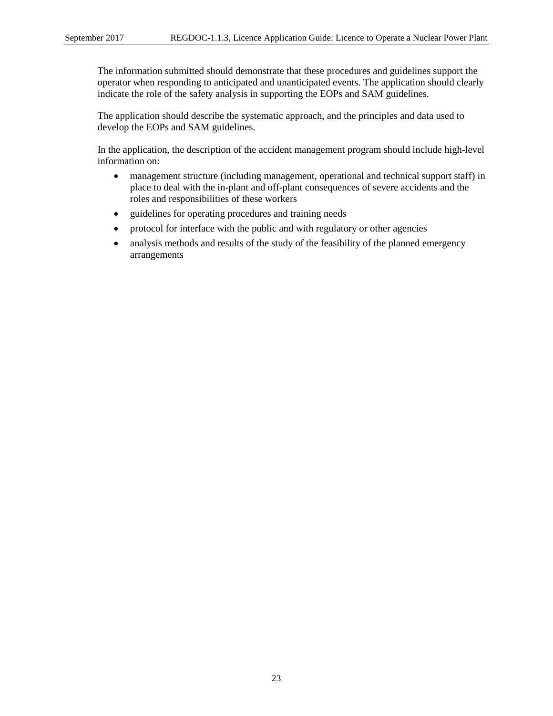The information submitted should demonstrate that these procedures and guidelines support the operator when responding to anticipated and unanticipated events. The application should clearly indicate the role of the safety analysis in supporting the EOPs and SAM guidelines.

The application should describe the systematic approach, and the principles and data used to develop the EOPs and SAM guidelines.

In the application, the description of the accident management program should include high-level information on:

- management structure (including management, operational and technical support staff) in place to deal with the in-plant and off-plant consequences of severe accidents and the roles and responsibilities of these workers
- guidelines for operating procedures and training needs
- protocol for interface with the public and with regulatory or other agencies
- analysis methods and results of the study of the feasibility of the planned emergency arrangements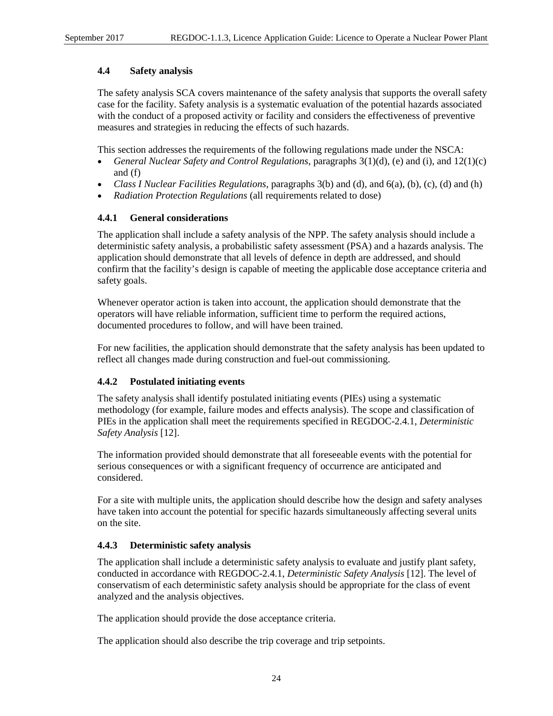# <span id="page-32-0"></span>**4.4 Safety analysis**

The safety analysis SCA covers maintenance of the safety analysis that supports the overall safety case for the facility. Safety analysis is a systematic evaluation of the potential hazards associated with the conduct of a proposed activity or facility and considers the effectiveness of preventive measures and strategies in reducing the effects of such hazards.

This section addresses the requirements of the following regulations made under the NSCA:

- *General Nuclear Safety and Control Regulations*, paragraphs 3(1)(d), (e) and (i), and 12(1)(c) and (f)
- *Class I Nuclear Facilities Regulations*, paragraphs 3(b) and (d), and 6(a), (b), (c), (d) and (h)
- *Radiation Protection Regulations* (all requirements related to dose)

# <span id="page-32-1"></span>**4.4.1 General considerations**

The application shall include a safety analysis of the NPP. The safety analysis should include a deterministic safety analysis, a probabilistic safety assessment (PSA) and a hazards analysis. The application should demonstrate that all levels of defence in depth are addressed, and should confirm that the facility's design is capable of meeting the applicable dose acceptance criteria and safety goals.

Whenever operator action is taken into account, the application should demonstrate that the operators will have reliable information, sufficient time to perform the required actions, documented procedures to follow, and will have been trained.

For new facilities, the application should demonstrate that the safety analysis has been updated to reflect all changes made during construction and fuel-out commissioning.

#### <span id="page-32-2"></span>**4.4.2 Postulated initiating events**

The safety analysis shall identify postulated initiating events (PIEs) using a systematic methodology (for example, failure modes and effects analysis). The scope and classification of PIEs in the application shall meet the requirements specified in REGDOC-2.4.1, *Deterministic Safety Analysis* [12].

The information provided should demonstrate that all foreseeable events with the potential for serious consequences or with a significant frequency of occurrence are anticipated and considered.

For a site with multiple units, the application should describe how the design and safety analyses have taken into account the potential for specific hazards simultaneously affecting several units on the site.

# <span id="page-32-3"></span>**4.4.3 Deterministic safety analysis**

The application shall include a deterministic safety analysis to evaluate and justify plant safety, conducted in accordance with REGDOC-2.4.1, *Deterministic Safety Analysis* [12]. The level of conservatism of each deterministic safety analysis should be appropriate for the class of event analyzed and the analysis objectives.

The application should provide the dose acceptance criteria.

The application should also describe the trip coverage and trip setpoints.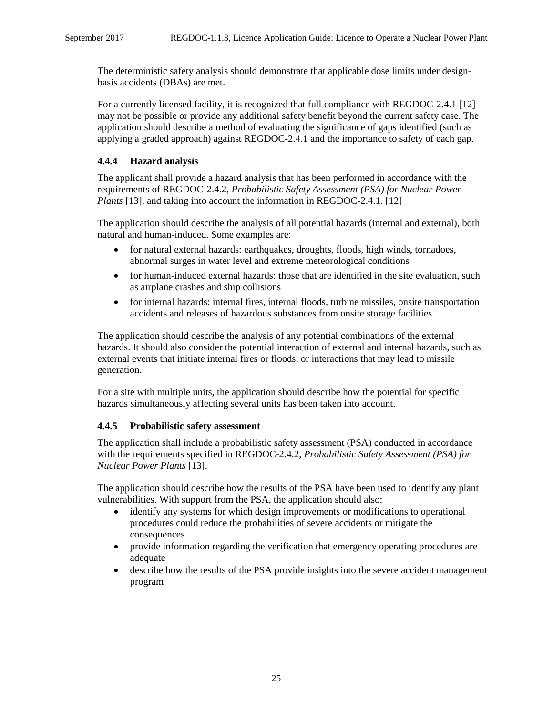The deterministic safety analysis should demonstrate that applicable dose limits under designbasis accidents (DBAs) are met.

For a currently licensed facility, it is recognized that full compliance with REGDOC-2.4.1 [12] may not be possible or provide any additional safety benefit beyond the current safety case. The application should describe a method of evaluating the significance of gaps identified (such as applying a graded approach) against REGDOC-2.4.1 and the importance to safety of each gap.

# <span id="page-33-0"></span>**4.4.4 Hazard analysis**

The applicant shall provide a hazard analysis that has been performed in accordance with the requirements of REGDOC-2.4.2, *Probabilistic Safety Assessment (PSA) for Nuclear Power Plants* [13], and taking into account the information in REGDOC-2.4.1. [12]

The application should describe the analysis of all potential hazards (internal and external), both natural and human-induced. Some examples are:

- for natural external hazards: earthquakes, droughts, floods, high winds, tornadoes, abnormal surges in water level and extreme meteorological conditions
- for human-induced external hazards: those that are identified in the site evaluation, such as airplane crashes and ship collisions
- for internal hazards: internal fires, internal floods, turbine missiles, onsite transportation accidents and releases of hazardous substances from onsite storage facilities

The application should describe the analysis of any potential combinations of the external hazards. It should also consider the potential interaction of external and internal hazards, such as external events that initiate internal fires or floods, or interactions that may lead to missile generation.

For a site with multiple units, the application should describe how the potential for specific hazards simultaneously affecting several units has been taken into account.

#### <span id="page-33-1"></span>**4.4.5 Probabilistic safety assessment**

The application shall include a probabilistic safety assessment (PSA) conducted in accordance with the requirements specified in REGDOC-2.4.2, *Probabilistic Safety Assessment (PSA) for Nuclear Power Plants* [13].

The application should describe how the results of the PSA have been used to identify any plant vulnerabilities. With support from the PSA, the application should also:

- identify any systems for which design improvements or modifications to operational procedures could reduce the probabilities of severe accidents or mitigate the consequences
- provide information regarding the verification that emergency operating procedures are adequate
- describe how the results of the PSA provide insights into the severe accident management program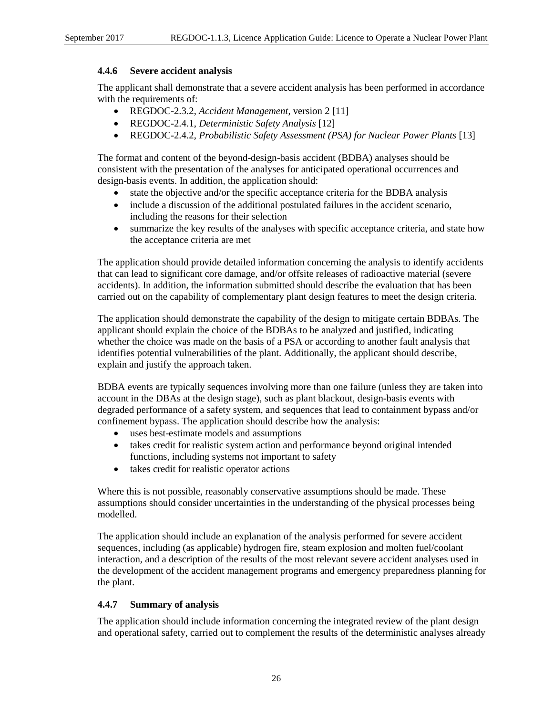#### <span id="page-34-0"></span>**4.4.6 Severe accident analysis**

The applicant shall demonstrate that a severe accident analysis has been performed in accordance with the requirements of:

- REGDOC-2.3.2, *Accident Management*, version 2 [11]
- REGDOC-2.4.1, *Deterministic Safety Analysis* [12]
- REGDOC-2.4.2, *Probabilistic Safety Assessment (PSA) for Nuclear Power Plants* [13]

The format and content of the beyond-design-basis accident (BDBA) analyses should be consistent with the presentation of the analyses for anticipated operational occurrences and design-basis events. In addition, the application should:

- state the objective and/or the specific acceptance criteria for the BDBA analysis
- include a discussion of the additional postulated failures in the accident scenario, including the reasons for their selection
- summarize the key results of the analyses with specific acceptance criteria, and state how the acceptance criteria are met

The application should provide detailed information concerning the analysis to identify accidents that can lead to significant core damage, and/or offsite releases of radioactive material (severe accidents). In addition, the information submitted should describe the evaluation that has been carried out on the capability of complementary plant design features to meet the design criteria.

The application should demonstrate the capability of the design to mitigate certain BDBAs. The applicant should explain the choice of the BDBAs to be analyzed and justified, indicating whether the choice was made on the basis of a PSA or according to another fault analysis that identifies potential vulnerabilities of the plant. Additionally, the applicant should describe, explain and justify the approach taken.

BDBA events are typically sequences involving more than one failure (unless they are taken into account in the DBAs at the design stage), such as plant blackout, design-basis events with degraded performance of a safety system, and sequences that lead to containment bypass and/or confinement bypass. The application should describe how the analysis:

- uses best-estimate models and assumptions
- takes credit for realistic system action and performance beyond original intended functions, including systems not important to safety
- takes credit for realistic operator actions

Where this is not possible, reasonably conservative assumptions should be made. These assumptions should consider uncertainties in the understanding of the physical processes being modelled.

The application should include an explanation of the analysis performed for severe accident sequences, including (as applicable) hydrogen fire, steam explosion and molten fuel/coolant interaction, and a description of the results of the most relevant severe accident analyses used in the development of the accident management programs and emergency preparedness planning for the plant.

#### <span id="page-34-1"></span>**4.4.7 Summary of analysis**

The application should include information concerning the integrated review of the plant design and operational safety, carried out to complement the results of the deterministic analyses already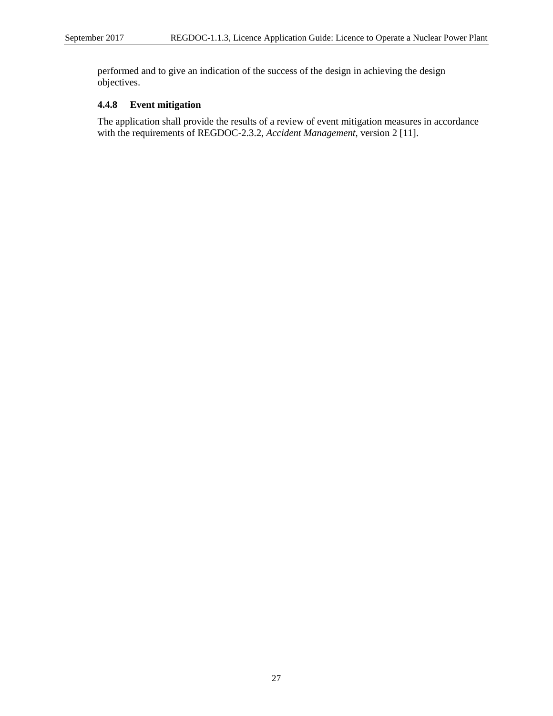performed and to give an indication of the success of the design in achieving the design objectives.

# <span id="page-35-0"></span>**4.4.8 Event mitigation**

The application shall provide the results of a review of event mitigation measures in accordance with the requirements of REGDOC-2.3.2, *Accident Management*, version 2 [11].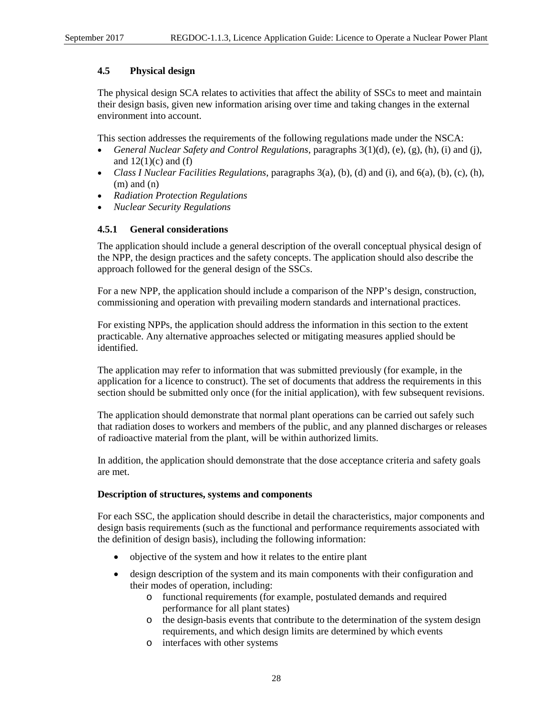# **4.5 Physical design**

The physical design SCA relates to activities that affect the ability of SSCs to meet and maintain their design basis, given new information arising over time and taking changes in the external environment into account.

This section addresses the requirements of the following regulations made under the NSCA:

- *General Nuclear Safety and Control Regulations*, paragraphs 3(1)(d), (e), (g), (h), (i) and (j), and  $12(1)(c)$  and (f)
- *Class I Nuclear Facilities Regulations*, paragraphs 3(a), (b), (d) and (i), and 6(a), (b), (c), (h),  $(m)$  and  $(n)$
- *Radiation Protection Regulations*
- *Nuclear Security Regulations*

# **4.5.1 General considerations**

The application should include a general description of the overall conceptual physical design of the NPP, the design practices and the safety concepts. The application should also describe the approach followed for the general design of the SSCs.

For a new NPP, the application should include a comparison of the NPP's design, construction, commissioning and operation with prevailing modern standards and international practices.

For existing NPPs, the application should address the information in this section to the extent practicable. Any alternative approaches selected or mitigating measures applied should be identified.

The application may refer to information that was submitted previously (for example, in the application for a licence to construct). The set of documents that address the requirements in this section should be submitted only once (for the initial application), with few subsequent revisions.

The application should demonstrate that normal plant operations can be carried out safely such that radiation doses to workers and members of the public, and any planned discharges or releases of radioactive material from the plant, will be within authorized limits.

In addition, the application should demonstrate that the dose acceptance criteria and safety goals are met.

## **Description of structures, systems and components**

For each SSC, the application should describe in detail the characteristics, major components and design basis requirements (such as the functional and performance requirements associated with the definition of design basis), including the following information:

- objective of the system and how it relates to the entire plant
- design description of the system and its main components with their configuration and their modes of operation, including:
	- o functional requirements (for example, postulated demands and required performance for all plant states)
	- o the design-basis events that contribute to the determination of the system design requirements, and which design limits are determined by which events
	- o interfaces with other systems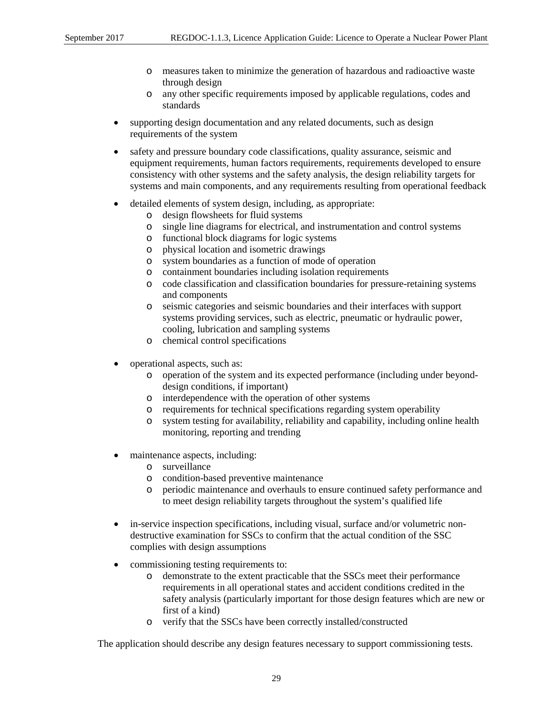- o measures taken to minimize the generation of hazardous and radioactive waste through design
- o any other specific requirements imposed by applicable regulations, codes and standards
- supporting design documentation and any related documents, such as design requirements of the system
- safety and pressure boundary code classifications, quality assurance, seismic and equipment requirements, human factors requirements, requirements developed to ensure consistency with other systems and the safety analysis, the design reliability targets for systems and main components, and any requirements resulting from operational feedback
- detailed elements of system design, including, as appropriate:
	- o design flowsheets for fluid systems
	- o single line diagrams for electrical, and instrumentation and control systems
	- o functional block diagrams for logic systems
	- physical location and isometric drawings
	- o system boundaries as a function of mode of operation
	- o containment boundaries including isolation requirements
	- o code classification and classification boundaries for pressure-retaining systems and components
	- o seismic categories and seismic boundaries and their interfaces with support systems providing services, such as electric, pneumatic or hydraulic power, cooling, lubrication and sampling systems
	- o chemical control specifications
- operational aspects, such as:
	- o operation of the system and its expected performance (including under beyonddesign conditions, if important)
	- o interdependence with the operation of other systems
	- o requirements for technical specifications regarding system operability
	- o system testing for availability, reliability and capability, including online health monitoring, reporting and trending
- maintenance aspects, including:
	- o surveillance
	- o condition-based preventive maintenance
	- o periodic maintenance and overhauls to ensure continued safety performance and to meet design reliability targets throughout the system's qualified life
- in-service inspection specifications, including visual, surface and/or volumetric nondestructive examination for SSCs to confirm that the actual condition of the SSC complies with design assumptions
- commissioning testing requirements to:
	- o demonstrate to the extent practicable that the SSCs meet their performance requirements in all operational states and accident conditions credited in the safety analysis (particularly important for those design features which are new or first of a kind)
	- o verify that the SSCs have been correctly installed/constructed

The application should describe any design features necessary to support commissioning tests.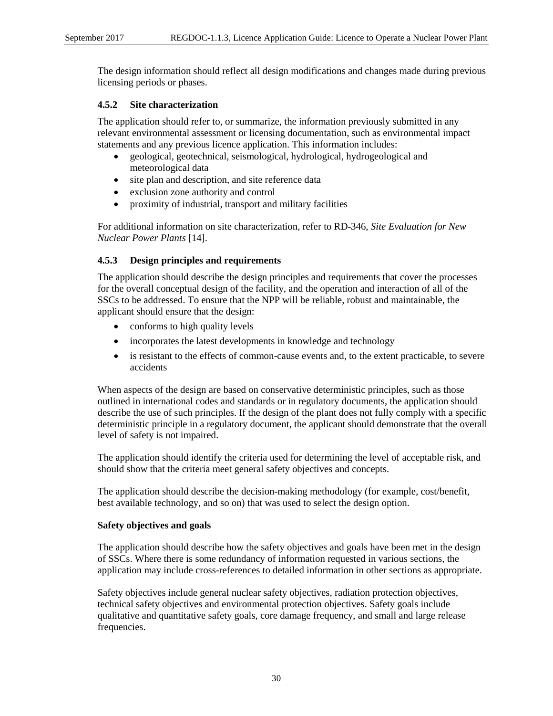The design information should reflect all design modifications and changes made during previous licensing periods or phases.

# **4.5.2 Site characterization**

The application should refer to, or summarize, the information previously submitted in any relevant environmental assessment or licensing documentation, such as environmental impact statements and any previous licence application. This information includes:

- geological, geotechnical, seismological, hydrological, hydrogeological and meteorological data
- site plan and description, and site reference data
- exclusion zone authority and control
- proximity of industrial, transport and military facilities

For additional information on site characterization, refer to RD-346, *Site Evaluation for New Nuclear Power Plants* [14].

# **4.5.3 Design principles and requirements**

The application should describe the design principles and requirements that cover the processes for the overall conceptual design of the facility, and the operation and interaction of all of the SSCs to be addressed. To ensure that the NPP will be reliable, robust and maintainable, the applicant should ensure that the design:

- conforms to high quality levels
- incorporates the latest developments in knowledge and technology
- is resistant to the effects of common-cause events and, to the extent practicable, to severe accidents

When aspects of the design are based on conservative deterministic principles, such as those outlined in international codes and standards or in regulatory documents, the application should describe the use of such principles. If the design of the plant does not fully comply with a specific deterministic principle in a regulatory document, the applicant should demonstrate that the overall level of safety is not impaired.

The application should identify the criteria used for determining the level of acceptable risk, and should show that the criteria meet general safety objectives and concepts.

The application should describe the decision-making methodology (for example, cost/benefit, best available technology, and so on) that was used to select the design option.

## **Safety objectives and goals**

The application should describe how the safety objectives and goals have been met in the design of SSCs. Where there is some redundancy of information requested in various sections, the application may include cross-references to detailed information in other sections as appropriate.

Safety objectives include general nuclear safety objectives, radiation protection objectives, technical safety objectives and environmental protection objectives. Safety goals include qualitative and quantitative safety goals, core damage frequency, and small and large release frequencies.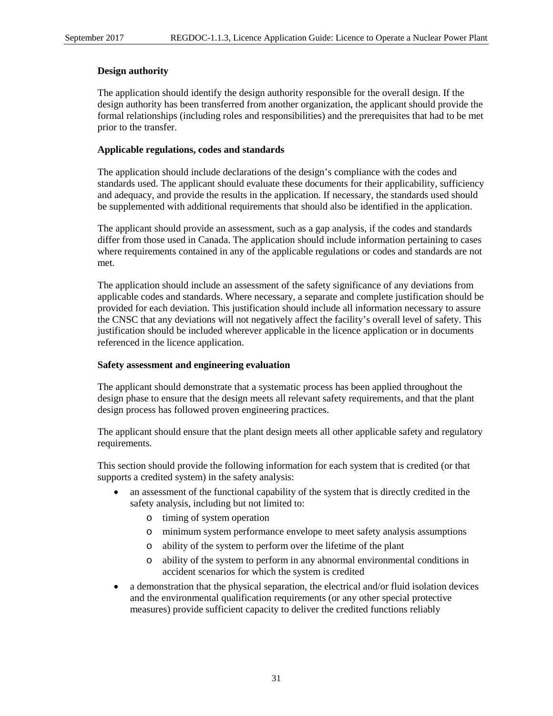## **Design authority**

The application should identify the design authority responsible for the overall design. If the design authority has been transferred from another organization, the applicant should provide the formal relationships (including roles and responsibilities) and the prerequisites that had to be met prior to the transfer.

# **Applicable regulations, codes and standards**

The application should include declarations of the design's compliance with the codes and standards used. The applicant should evaluate these documents for their applicability, sufficiency and adequacy, and provide the results in the application. If necessary, the standards used should be supplemented with additional requirements that should also be identified in the application.

The applicant should provide an assessment, such as a gap analysis, if the codes and standards differ from those used in Canada. The application should include information pertaining to cases where requirements contained in any of the applicable regulations or codes and standards are not met.

The application should include an assessment of the safety significance of any deviations from applicable codes and standards. Where necessary, a separate and complete justification should be provided for each deviation. This justification should include all information necessary to assure the CNSC that any deviations will not negatively affect the facility's overall level of safety. This justification should be included wherever applicable in the licence application or in documents referenced in the licence application.

## **Safety assessment and engineering evaluation**

The applicant should demonstrate that a systematic process has been applied throughout the design phase to ensure that the design meets all relevant safety requirements, and that the plant design process has followed proven engineering practices.

The applicant should ensure that the plant design meets all other applicable safety and regulatory requirements.

This section should provide the following information for each system that is credited (or that supports a credited system) in the safety analysis:

- an assessment of the functional capability of the system that is directly credited in the safety analysis, including but not limited to:
	- o timing of system operation
	- o minimum system performance envelope to meet safety analysis assumptions
	- o ability of the system to perform over the lifetime of the plant
	- o ability of the system to perform in any abnormal environmental conditions in accident scenarios for which the system is credited
- a demonstration that the physical separation, the electrical and/or fluid isolation devices and the environmental qualification requirements (or any other special protective measures) provide sufficient capacity to deliver the credited functions reliably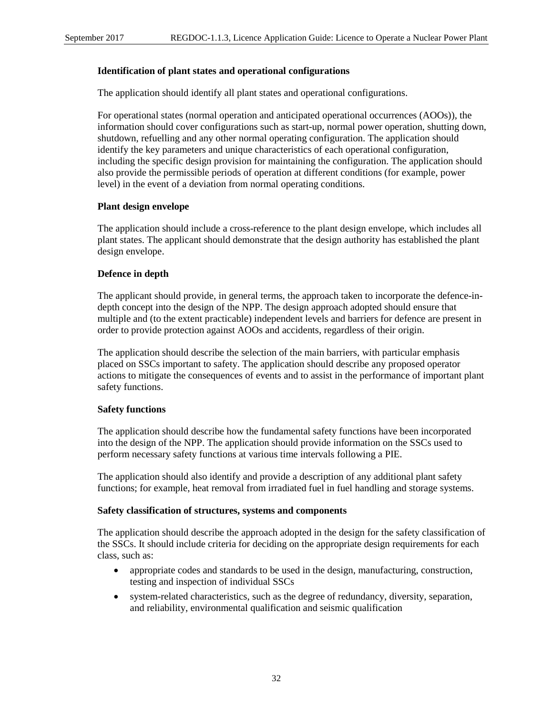#### **Identification of plant states and operational configurations**

The application should identify all plant states and operational configurations.

For operational states (normal operation and anticipated operational occurrences (AOOs)), the information should cover configurations such as start-up, normal power operation, shutting down, shutdown, refuelling and any other normal operating configuration. The application should identify the key parameters and unique characteristics of each operational configuration, including the specific design provision for maintaining the configuration. The application should also provide the permissible periods of operation at different conditions (for example, power level) in the event of a deviation from normal operating conditions.

#### **Plant design envelope**

The application should include a cross-reference to the plant design envelope, which includes all plant states. The applicant should demonstrate that the design authority has established the plant design envelope.

## **Defence in depth**

The applicant should provide, in general terms, the approach taken to incorporate the defence-indepth concept into the design of the NPP. The design approach adopted should ensure that multiple and (to the extent practicable) independent levels and barriers for defence are present in order to provide protection against AOOs and accidents, regardless of their origin.

The application should describe the selection of the main barriers, with particular emphasis placed on SSCs important to safety. The application should describe any proposed operator actions to mitigate the consequences of events and to assist in the performance of important plant safety functions.

## **Safety functions**

The application should describe how the fundamental safety functions have been incorporated into the design of the NPP. The application should provide information on the SSCs used to perform necessary safety functions at various time intervals following a PIE.

The application should also identify and provide a description of any additional plant safety functions; for example, heat removal from irradiated fuel in fuel handling and storage systems.

#### **Safety classification of structures, systems and components**

The application should describe the approach adopted in the design for the safety classification of the SSCs. It should include criteria for deciding on the appropriate design requirements for each class, such as:

- appropriate codes and standards to be used in the design, manufacturing, construction, testing and inspection of individual SSCs
- system-related characteristics, such as the degree of redundancy, diversity, separation, and reliability, environmental qualification and seismic qualification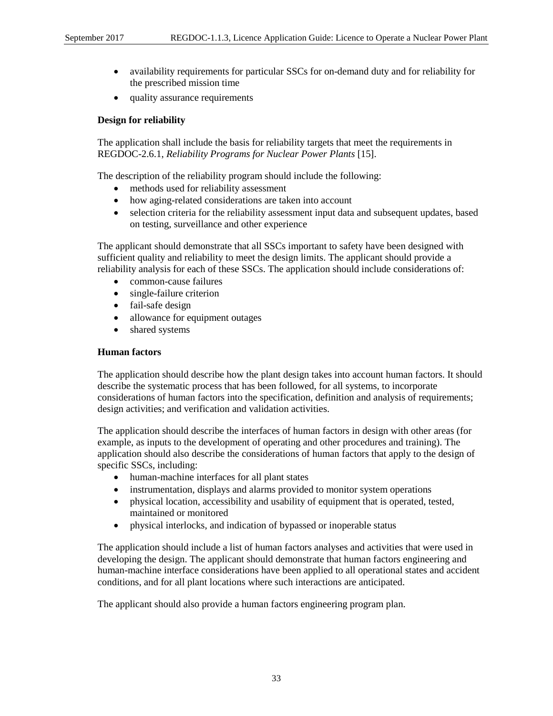- availability requirements for particular SSCs for on-demand duty and for reliability for the prescribed mission time
- quality assurance requirements

## **Design for reliability**

The application shall include the basis for reliability targets that meet the requirements in REGDOC-2.6.1, *Reliability Programs for Nuclear Power Plants* [15].

The description of the reliability program should include the following:

- methods used for reliability assessment
- how aging-related considerations are taken into account
- selection criteria for the reliability assessment input data and subsequent updates, based on testing, surveillance and other experience

The applicant should demonstrate that all SSCs important to safety have been designed with sufficient quality and reliability to meet the design limits. The applicant should provide a reliability analysis for each of these SSCs. The application should include considerations of:

- common-cause failures
- single-failure criterion
- fail-safe design
- allowance for equipment outages
- shared systems

## **Human factors**

The application should describe how the plant design takes into account human factors. It should describe the systematic process that has been followed, for all systems, to incorporate considerations of human factors into the specification, definition and analysis of requirements; design activities; and verification and validation activities.

The application should describe the interfaces of human factors in design with other areas (for example, as inputs to the development of operating and other procedures and training). The application should also describe the considerations of human factors that apply to the design of specific SSCs, including:

- human-machine interfaces for all plant states
- instrumentation, displays and alarms provided to monitor system operations
- physical location, accessibility and usability of equipment that is operated, tested, maintained or monitored
- physical interlocks, and indication of bypassed or inoperable status

The application should include a list of human factors analyses and activities that were used in developing the design. The applicant should demonstrate that human factors engineering and human-machine interface considerations have been applied to all operational states and accident conditions, and for all plant locations where such interactions are anticipated.

The applicant should also provide a human factors engineering program plan.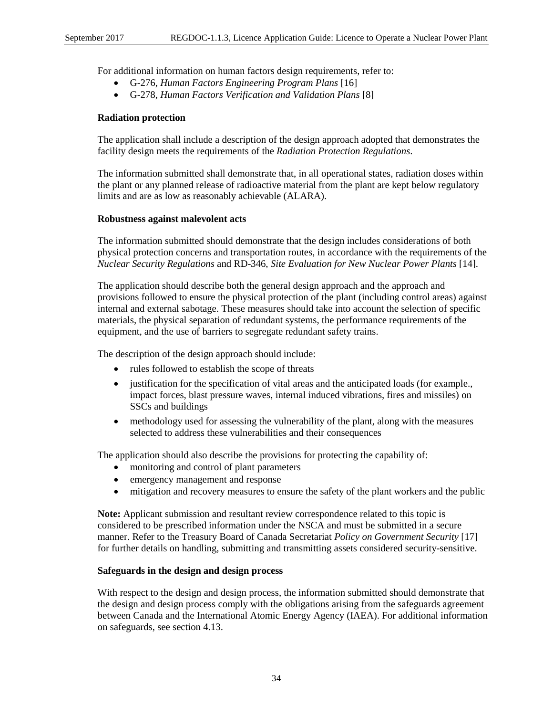For additional information on human factors design requirements, refer to:

- G-276, *Human Factors Engineering Program Plans* [16]
- G-278, *Human Factors Verification and Validation Plans* [8]

#### **Radiation protection**

The application shall include a description of the design approach adopted that demonstrates the facility design meets the requirements of the *Radiation Protection Regulations*.

The information submitted shall demonstrate that, in all operational states, radiation doses within the plant or any planned release of radioactive material from the plant are kept below regulatory limits and are as low as reasonably achievable (ALARA).

#### **Robustness against malevolent acts**

The information submitted should demonstrate that the design includes considerations of both physical protection concerns and transportation routes, in accordance with the requirements of the *Nuclear Security Regulations* and RD-346, *Site Evaluation for New Nuclear Power Plants* [14].

The application should describe both the general design approach and the approach and provisions followed to ensure the physical protection of the plant (including control areas) against internal and external sabotage. These measures should take into account the selection of specific materials, the physical separation of redundant systems, the performance requirements of the equipment, and the use of barriers to segregate redundant safety trains.

The description of the design approach should include:

- rules followed to establish the scope of threats
- justification for the specification of vital areas and the anticipated loads (for example., impact forces, blast pressure waves, internal induced vibrations, fires and missiles) on SSCs and buildings
- methodology used for assessing the vulnerability of the plant, along with the measures selected to address these vulnerabilities and their consequences

The application should also describe the provisions for protecting the capability of:

- monitoring and control of plant parameters
- emergency management and response
- mitigation and recovery measures to ensure the safety of the plant workers and the public

**Note:** Applicant submission and resultant review correspondence related to this topic is considered to be prescribed information under the NSCA and must be submitted in a secure manner. Refer to the Treasury Board of Canada Secretariat *Policy on Government Security* [17] for further details on handling, submitting and transmitting assets considered security-sensitive.

#### **Safeguards in the design and design process**

With respect to the design and design process, the information submitted should demonstrate that the design and design process comply with the obligations arising from the safeguards agreement between Canada and the International Atomic Energy Agency (IAEA). For additional information on safeguards, see section 4.13.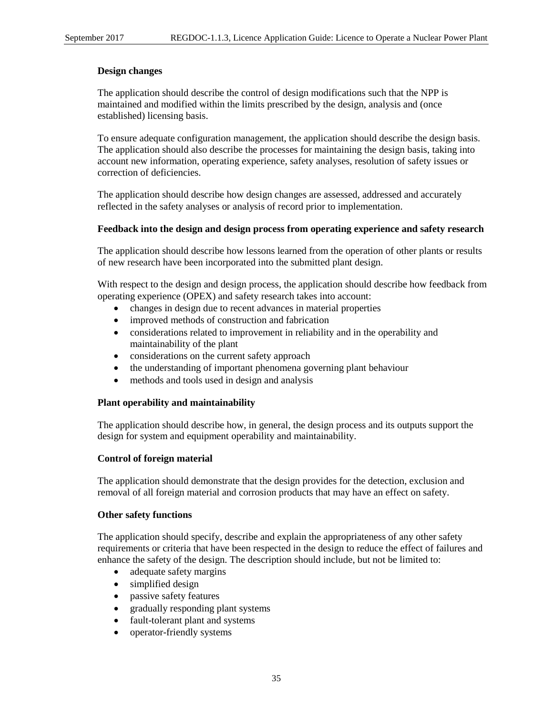#### **Design changes**

The application should describe the control of design modifications such that the NPP is maintained and modified within the limits prescribed by the design, analysis and (once established) licensing basis.

To ensure adequate configuration management, the application should describe the design basis. The application should also describe the processes for maintaining the design basis, taking into account new information, operating experience, safety analyses, resolution of safety issues or correction of deficiencies.

The application should describe how design changes are assessed, addressed and accurately reflected in the safety analyses or analysis of record prior to implementation.

#### **Feedback into the design and design process from operating experience and safety research**

The application should describe how lessons learned from the operation of other plants or results of new research have been incorporated into the submitted plant design.

With respect to the design and design process, the application should describe how feedback from operating experience (OPEX) and safety research takes into account:

- changes in design due to recent advances in material properties
- improved methods of construction and fabrication
- considerations related to improvement in reliability and in the operability and maintainability of the plant
- considerations on the current safety approach
- the understanding of important phenomena governing plant behaviour
- methods and tools used in design and analysis

#### **Plant operability and maintainability**

The application should describe how, in general, the design process and its outputs support the design for system and equipment operability and maintainability.

#### **Control of foreign material**

The application should demonstrate that the design provides for the detection, exclusion and removal of all foreign material and corrosion products that may have an effect on safety.

#### **Other safety functions**

The application should specify, describe and explain the appropriateness of any other safety requirements or criteria that have been respected in the design to reduce the effect of failures and enhance the safety of the design. The description should include, but not be limited to:

- adequate safety margins
- simplified design
- passive safety features
- gradually responding plant systems
- fault-tolerant plant and systems
- operator-friendly systems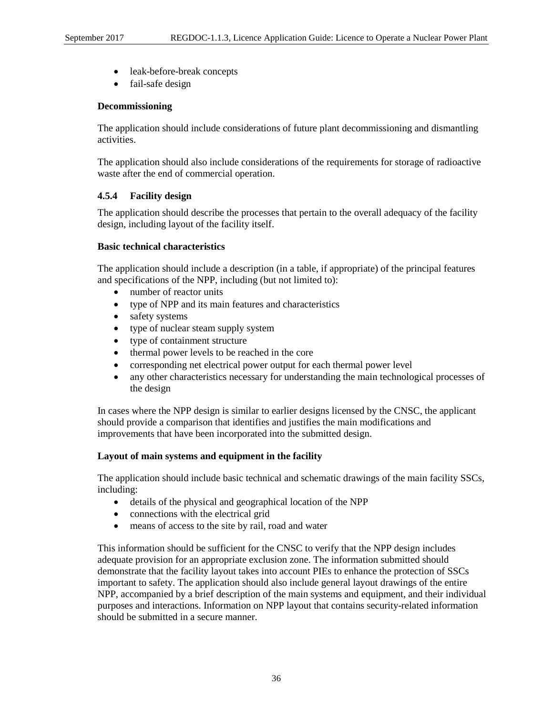- leak-before-break concepts
- fail-safe design

#### **Decommissioning**

The application should include considerations of future plant decommissioning and dismantling activities.

The application should also include considerations of the requirements for storage of radioactive waste after the end of commercial operation.

## **4.5.4 Facility design**

The application should describe the processes that pertain to the overall adequacy of the facility design, including layout of the facility itself.

## **Basic technical characteristics**

The application should include a description (in a table, if appropriate) of the principal features and specifications of the NPP, including (but not limited to):

- number of reactor units
- type of NPP and its main features and characteristics
- safety systems
- type of nuclear steam supply system
- type of containment structure
- thermal power levels to be reached in the core
- corresponding net electrical power output for each thermal power level
- any other characteristics necessary for understanding the main technological processes of the design

In cases where the NPP design is similar to earlier designs licensed by the CNSC, the applicant should provide a comparison that identifies and justifies the main modifications and improvements that have been incorporated into the submitted design.

## **Layout of main systems and equipment in the facility**

The application should include basic technical and schematic drawings of the main facility SSCs, including:

- details of the physical and geographical location of the NPP
- connections with the electrical grid
- means of access to the site by rail, road and water

This information should be sufficient for the CNSC to verify that the NPP design includes adequate provision for an appropriate exclusion zone. The information submitted should demonstrate that the facility layout takes into account PIEs to enhance the protection of SSCs important to safety. The application should also include general layout drawings of the entire NPP, accompanied by a brief description of the main systems and equipment, and their individual purposes and interactions. Information on NPP layout that contains security-related information should be submitted in a secure manner.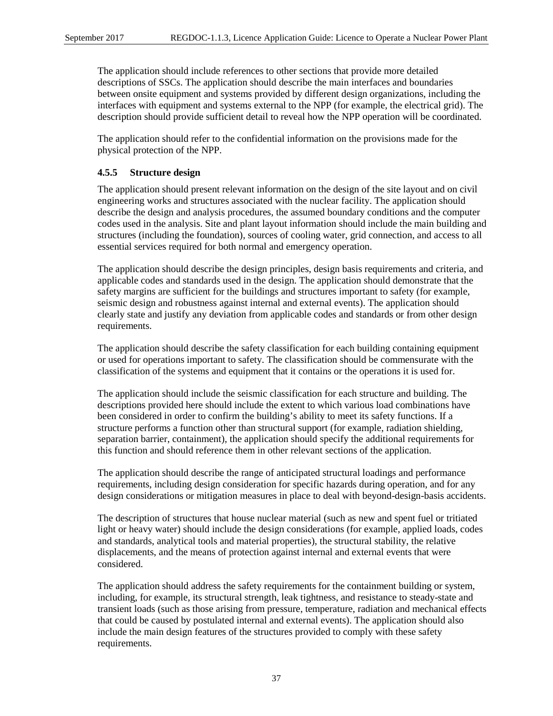The application should include references to other sections that provide more detailed descriptions of SSCs. The application should describe the main interfaces and boundaries between onsite equipment and systems provided by different design organizations, including the interfaces with equipment and systems external to the NPP (for example, the electrical grid). The description should provide sufficient detail to reveal how the NPP operation will be coordinated.

The application should refer to the confidential information on the provisions made for the physical protection of the NPP.

# **4.5.5 Structure design**

The application should present relevant information on the design of the site layout and on civil engineering works and structures associated with the nuclear facility. The application should describe the design and analysis procedures, the assumed boundary conditions and the computer codes used in the analysis. Site and plant layout information should include the main building and structures (including the foundation), sources of cooling water, grid connection, and access to all essential services required for both normal and emergency operation.

The application should describe the design principles, design basis requirements and criteria, and applicable codes and standards used in the design. The application should demonstrate that the safety margins are sufficient for the buildings and structures important to safety (for example, seismic design and robustness against internal and external events). The application should clearly state and justify any deviation from applicable codes and standards or from other design requirements.

The application should describe the safety classification for each building containing equipment or used for operations important to safety. The classification should be commensurate with the classification of the systems and equipment that it contains or the operations it is used for.

The application should include the seismic classification for each structure and building. The descriptions provided here should include the extent to which various load combinations have been considered in order to confirm the building's ability to meet its safety functions. If a structure performs a function other than structural support (for example, radiation shielding, separation barrier, containment), the application should specify the additional requirements for this function and should reference them in other relevant sections of the application.

The application should describe the range of anticipated structural loadings and performance requirements, including design consideration for specific hazards during operation, and for any design considerations or mitigation measures in place to deal with beyond-design-basis accidents.

The description of structures that house nuclear material (such as new and spent fuel or tritiated light or heavy water) should include the design considerations (for example, applied loads, codes and standards, analytical tools and material properties), the structural stability, the relative displacements, and the means of protection against internal and external events that were considered.

The application should address the safety requirements for the containment building or system, including, for example, its structural strength, leak tightness, and resistance to steady-state and transient loads (such as those arising from pressure, temperature, radiation and mechanical effects that could be caused by postulated internal and external events). The application should also include the main design features of the structures provided to comply with these safety requirements.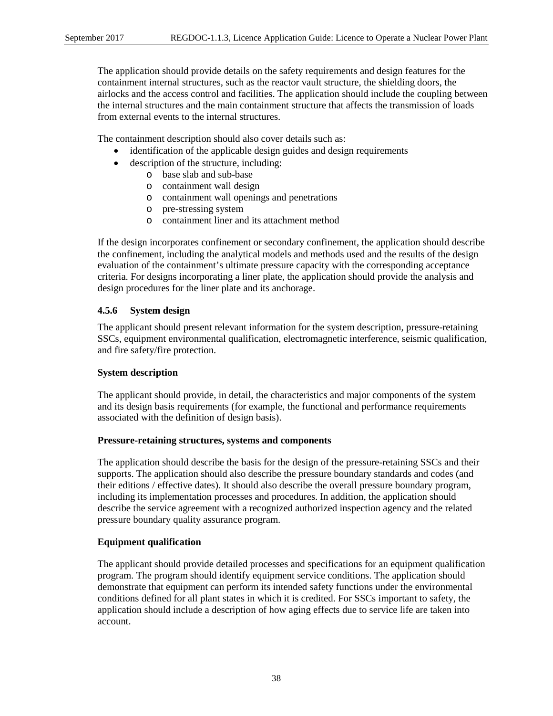The application should provide details on the safety requirements and design features for the containment internal structures, such as the reactor vault structure, the shielding doors, the airlocks and the access control and facilities. The application should include the coupling between the internal structures and the main containment structure that affects the transmission of loads from external events to the internal structures.

The containment description should also cover details such as:

- identification of the applicable design guides and design requirements
- description of the structure, including:
	- o base slab and sub-base
	- o containment wall design
	- o containment wall openings and penetrations
	- o pre-stressing system
	- o containment liner and its attachment method

If the design incorporates confinement or secondary confinement, the application should describe the confinement, including the analytical models and methods used and the results of the design evaluation of the containment's ultimate pressure capacity with the corresponding acceptance criteria. For designs incorporating a liner plate, the application should provide the analysis and design procedures for the liner plate and its anchorage.

#### **4.5.6 System design**

The applicant should present relevant information for the system description, pressure-retaining SSCs, equipment environmental qualification, electromagnetic interference, seismic qualification, and fire safety/fire protection.

#### **System description**

The applicant should provide, in detail, the characteristics and major components of the system and its design basis requirements (for example, the functional and performance requirements associated with the definition of design basis).

#### **Pressure-retaining structures, systems and components**

The application should describe the basis for the design of the pressure-retaining SSCs and their supports. The application should also describe the pressure boundary standards and codes (and their editions / effective dates). It should also describe the overall pressure boundary program, including its implementation processes and procedures. In addition, the application should describe the service agreement with a recognized authorized inspection agency and the related pressure boundary quality assurance program.

#### **Equipment qualification**

The applicant should provide detailed processes and specifications for an equipment qualification program. The program should identify equipment service conditions. The application should demonstrate that equipment can perform its intended safety functions under the environmental conditions defined for all plant states in which it is credited. For SSCs important to safety, the application should include a description of how aging effects due to service life are taken into account.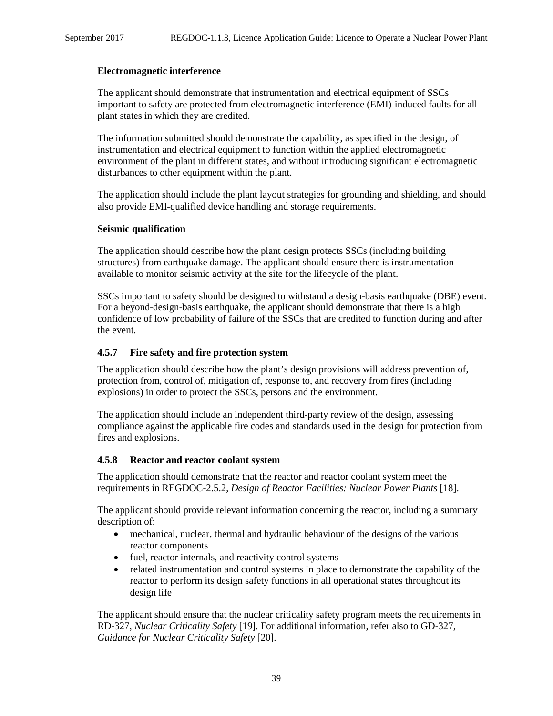#### **Electromagnetic interference**

The applicant should demonstrate that instrumentation and electrical equipment of SSCs important to safety are protected from electromagnetic interference (EMI)-induced faults for all plant states in which they are credited.

The information submitted should demonstrate the capability, as specified in the design, of instrumentation and electrical equipment to function within the applied electromagnetic environment of the plant in different states, and without introducing significant electromagnetic disturbances to other equipment within the plant.

The application should include the plant layout strategies for grounding and shielding, and should also provide EMI-qualified device handling and storage requirements.

#### **Seismic qualification**

The application should describe how the plant design protects SSCs (including building structures) from earthquake damage. The applicant should ensure there is instrumentation available to monitor seismic activity at the site for the lifecycle of the plant.

SSCs important to safety should be designed to withstand a design-basis earthquake (DBE) event. For a beyond-design-basis earthquake, the applicant should demonstrate that there is a high confidence of low probability of failure of the SSCs that are credited to function during and after the event.

#### **4.5.7 Fire safety and fire protection system**

The application should describe how the plant's design provisions will address prevention of, protection from, control of, mitigation of, response to, and recovery from fires (including explosions) in order to protect the SSCs, persons and the environment.

The application should include an independent third-party review of the design, assessing compliance against the applicable fire codes and standards used in the design for protection from fires and explosions.

#### **4.5.8 Reactor and reactor coolant system**

The application should demonstrate that the reactor and reactor coolant system meet the requirements in REGDOC-2.5.2, *Design of Reactor Facilities: Nuclear Power Plants* [18].

The applicant should provide relevant information concerning the reactor, including a summary description of:

- mechanical, nuclear, thermal and hydraulic behaviour of the designs of the various reactor components
- fuel, reactor internals, and reactivity control systems
- related instrumentation and control systems in place to demonstrate the capability of the reactor to perform its design safety functions in all operational states throughout its design life

The applicant should ensure that the nuclear criticality safety program meets the requirements in RD-327, *Nuclear Criticality Safety* [19]. For additional information, refer also to GD-327, *Guidance for Nuclear Criticality Safety* [20].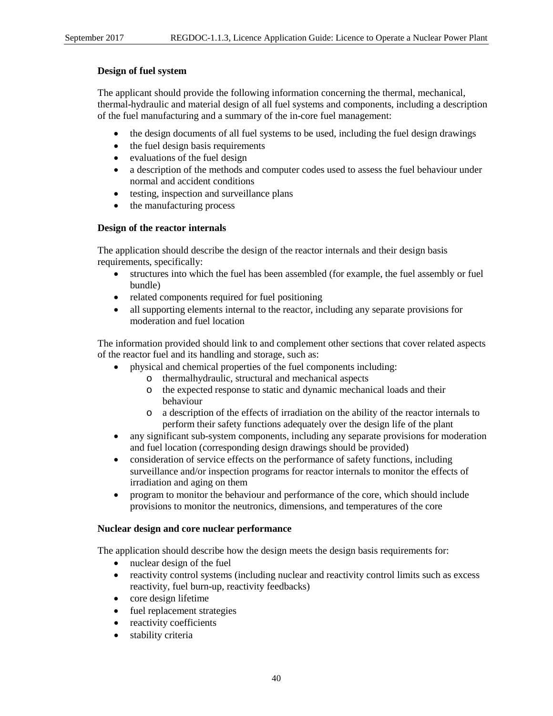#### **Design of fuel system**

The applicant should provide the following information concerning the thermal, mechanical, thermal-hydraulic and material design of all fuel systems and components, including a description of the fuel manufacturing and a summary of the in-core fuel management:

- the design documents of all fuel systems to be used, including the fuel design drawings
- the fuel design basis requirements
- evaluations of the fuel design
- a description of the methods and computer codes used to assess the fuel behaviour under normal and accident conditions
- testing, inspection and surveillance plans
- the manufacturing process

## **Design of the reactor internals**

The application should describe the design of the reactor internals and their design basis requirements, specifically:

- structures into which the fuel has been assembled (for example, the fuel assembly or fuel bundle)
- related components required for fuel positioning
- all supporting elements internal to the reactor, including any separate provisions for moderation and fuel location

The information provided should link to and complement other sections that cover related aspects of the reactor fuel and its handling and storage, such as:

- physical and chemical properties of the fuel components including:
	- o thermalhydraulic, structural and mechanical aspects
	- o the expected response to static and dynamic mechanical loads and their behaviour
	- o a description of the effects of irradiation on the ability of the reactor internals to perform their safety functions adequately over the design life of the plant
- any significant sub-system components, including any separate provisions for moderation and fuel location (corresponding design drawings should be provided)
- consideration of service effects on the performance of safety functions, including surveillance and/or inspection programs for reactor internals to monitor the effects of irradiation and aging on them
- program to monitor the behaviour and performance of the core, which should include provisions to monitor the neutronics, dimensions, and temperatures of the core

## **Nuclear design and core nuclear performance**

The application should describe how the design meets the design basis requirements for:

- nuclear design of the fuel
- reactivity control systems (including nuclear and reactivity control limits such as excess reactivity, fuel burn-up, reactivity feedbacks)
- core design lifetime
- fuel replacement strategies
- reactivity coefficients
- stability criteria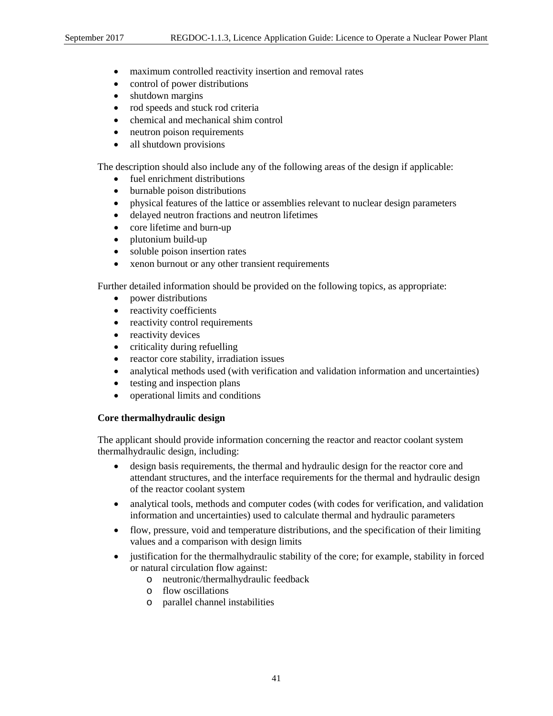- maximum controlled reactivity insertion and removal rates
- control of power distributions
- shutdown margins
- rod speeds and stuck rod criteria
- chemical and mechanical shim control
- neutron poison requirements
- all shutdown provisions

The description should also include any of the following areas of the design if applicable:

- fuel enrichment distributions
- burnable poison distributions
- physical features of the lattice or assemblies relevant to nuclear design parameters
- delayed neutron fractions and neutron lifetimes
- core lifetime and burn-up
- plutonium build-up
- soluble poison insertion rates
- xenon burnout or any other transient requirements

Further detailed information should be provided on the following topics, as appropriate:

- power distributions
- reactivity coefficients
- reactivity control requirements
- reactivity devices
- criticality during refuelling
- reactor core stability, irradiation issues
- analytical methods used (with verification and validation information and uncertainties)
- testing and inspection plans
- operational limits and conditions

#### **Core thermalhydraulic design**

The applicant should provide information concerning the reactor and reactor coolant system thermalhydraulic design, including:

- design basis requirements, the thermal and hydraulic design for the reactor core and attendant structures, and the interface requirements for the thermal and hydraulic design of the reactor coolant system
- analytical tools, methods and computer codes (with codes for verification, and validation information and uncertainties) used to calculate thermal and hydraulic parameters
- flow, pressure, void and temperature distributions, and the specification of their limiting values and a comparison with design limits
- justification for the thermalhydraulic stability of the core; for example, stability in forced or natural circulation flow against:
	- o neutronic/thermalhydraulic feedback
	- o flow oscillations
	- o parallel channel instabilities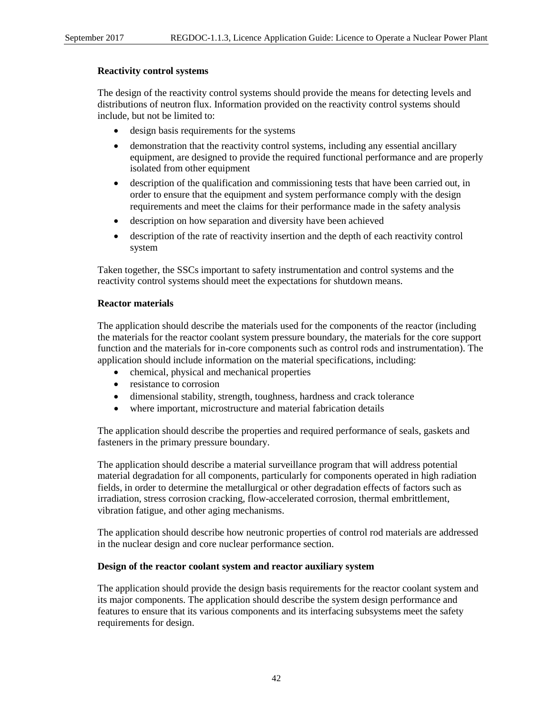#### **Reactivity control systems**

The design of the reactivity control systems should provide the means for detecting levels and distributions of neutron flux. Information provided on the reactivity control systems should include, but not be limited to:

- design basis requirements for the systems
- demonstration that the reactivity control systems, including any essential ancillary equipment, are designed to provide the required functional performance and are properly isolated from other equipment
- description of the qualification and commissioning tests that have been carried out, in order to ensure that the equipment and system performance comply with the design requirements and meet the claims for their performance made in the safety analysis
- description on how separation and diversity have been achieved
- description of the rate of reactivity insertion and the depth of each reactivity control system

Taken together, the SSCs important to safety instrumentation and control systems and the reactivity control systems should meet the expectations for shutdown means.

#### **Reactor materials**

The application should describe the materials used for the components of the reactor (including the materials for the reactor coolant system pressure boundary, the materials for the core support function and the materials for in-core components such as control rods and instrumentation). The application should include information on the material specifications, including:

- chemical, physical and mechanical properties
- resistance to corrosion
- dimensional stability, strength, toughness, hardness and crack tolerance
- where important, microstructure and material fabrication details

The application should describe the properties and required performance of seals, gaskets and fasteners in the primary pressure boundary.

The application should describe a material surveillance program that will address potential material degradation for all components, particularly for components operated in high radiation fields, in order to determine the metallurgical or other degradation effects of factors such as irradiation, stress corrosion cracking, flow-accelerated corrosion, thermal embrittlement, vibration fatigue, and other aging mechanisms.

The application should describe how neutronic properties of control rod materials are addressed in the nuclear design and core nuclear performance section.

#### **Design of the reactor coolant system and reactor auxiliary system**

The application should provide the design basis requirements for the reactor coolant system and its major components. The application should describe the system design performance and features to ensure that its various components and its interfacing subsystems meet the safety requirements for design.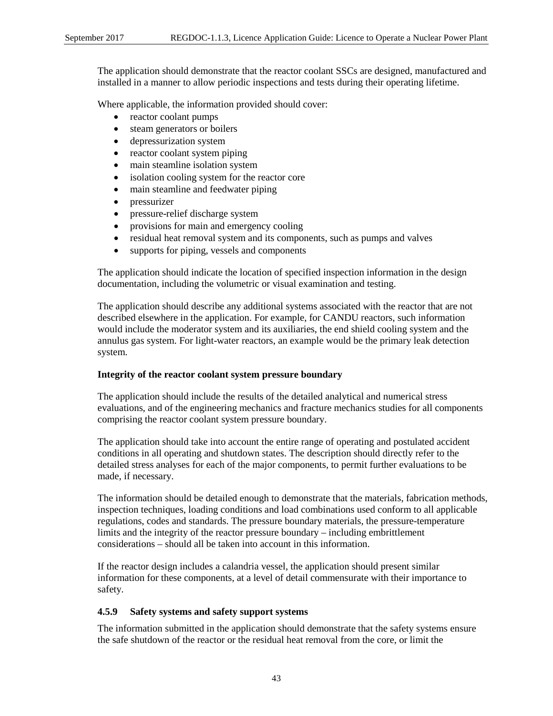The application should demonstrate that the reactor coolant SSCs are designed, manufactured and installed in a manner to allow periodic inspections and tests during their operating lifetime.

Where applicable, the information provided should cover:

- reactor coolant pumps
- steam generators or boilers
- depressurization system
- reactor coolant system piping
- main steamline isolation system
- isolation cooling system for the reactor core
- main steamline and feedwater piping
- pressurizer
- pressure-relief discharge system
- provisions for main and emergency cooling
- residual heat removal system and its components, such as pumps and valves
- supports for piping, vessels and components

The application should indicate the location of specified inspection information in the design documentation, including the volumetric or visual examination and testing.

The application should describe any additional systems associated with the reactor that are not described elsewhere in the application. For example, for CANDU reactors, such information would include the moderator system and its auxiliaries, the end shield cooling system and the annulus gas system. For light-water reactors, an example would be the primary leak detection system.

## **Integrity of the reactor coolant system pressure boundary**

The application should include the results of the detailed analytical and numerical stress evaluations, and of the engineering mechanics and fracture mechanics studies for all components comprising the reactor coolant system pressure boundary.

The application should take into account the entire range of operating and postulated accident conditions in all operating and shutdown states. The description should directly refer to the detailed stress analyses for each of the major components, to permit further evaluations to be made, if necessary.

The information should be detailed enough to demonstrate that the materials, fabrication methods, inspection techniques, loading conditions and load combinations used conform to all applicable regulations, codes and standards. The pressure boundary materials, the pressure-temperature limits and the integrity of the reactor pressure boundary – including embrittlement considerations – should all be taken into account in this information.

If the reactor design includes a calandria vessel, the application should present similar information for these components, at a level of detail commensurate with their importance to safety.

# **4.5.9 Safety systems and safety support systems**

The information submitted in the application should demonstrate that the safety systems ensure the safe shutdown of the reactor or the residual heat removal from the core, or limit the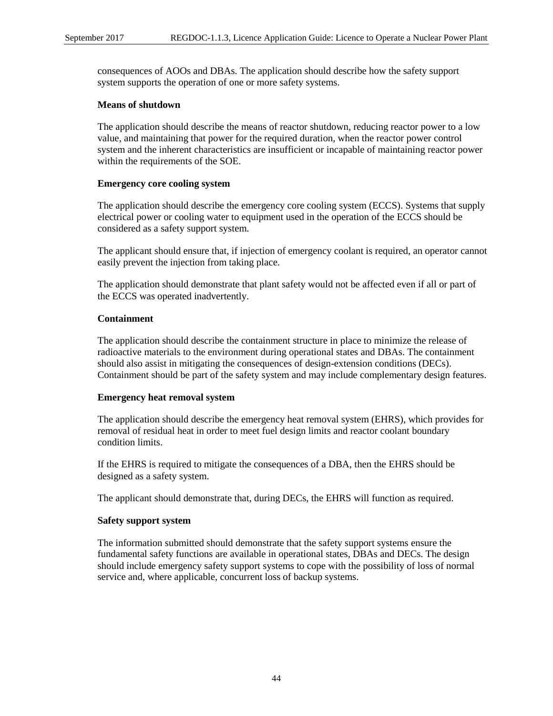consequences of AOOs and DBAs. The application should describe how the safety support system supports the operation of one or more safety systems.

#### **Means of shutdown**

The application should describe the means of reactor shutdown, reducing reactor power to a low value, and maintaining that power for the required duration, when the reactor power control system and the inherent characteristics are insufficient or incapable of maintaining reactor power within the requirements of the SOE.

#### **Emergency core cooling system**

The application should describe the emergency core cooling system (ECCS). Systems that supply electrical power or cooling water to equipment used in the operation of the ECCS should be considered as a safety support system.

The applicant should ensure that, if injection of emergency coolant is required, an operator cannot easily prevent the injection from taking place.

The application should demonstrate that plant safety would not be affected even if all or part of the ECCS was operated inadvertently.

## **Containment**

The application should describe the containment structure in place to minimize the release of radioactive materials to the environment during operational states and DBAs. The containment should also assist in mitigating the consequences of design-extension conditions (DECs). Containment should be part of the safety system and may include complementary design features.

#### **Emergency heat removal system**

The application should describe the emergency heat removal system (EHRS), which provides for removal of residual heat in order to meet fuel design limits and reactor coolant boundary condition limits.

If the EHRS is required to mitigate the consequences of a DBA, then the EHRS should be designed as a safety system.

The applicant should demonstrate that, during DECs, the EHRS will function as required.

## **Safety support system**

The information submitted should demonstrate that the safety support systems ensure the fundamental safety functions are available in operational states, DBAs and DECs. The design should include emergency safety support systems to cope with the possibility of loss of normal service and, where applicable, concurrent loss of backup systems.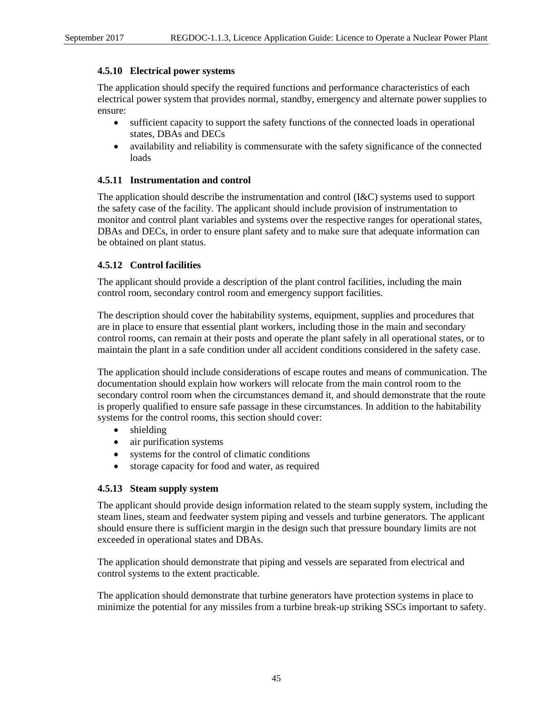# **4.5.10 Electrical power systems**

The application should specify the required functions and performance characteristics of each electrical power system that provides normal, standby, emergency and alternate power supplies to ensure:

- sufficient capacity to support the safety functions of the connected loads in operational states, DBAs and DECs
- availability and reliability is commensurate with the safety significance of the connected loads

# **4.5.11 Instrumentation and control**

The application should describe the instrumentation and control (I&C) systems used to support the safety case of the facility. The applicant should include provision of instrumentation to monitor and control plant variables and systems over the respective ranges for operational states, DBAs and DECs, in order to ensure plant safety and to make sure that adequate information can be obtained on plant status.

# **4.5.12 Control facilities**

The applicant should provide a description of the plant control facilities, including the main control room, secondary control room and emergency support facilities.

The description should cover the habitability systems, equipment, supplies and procedures that are in place to ensure that essential plant workers, including those in the main and secondary control rooms, can remain at their posts and operate the plant safely in all operational states, or to maintain the plant in a safe condition under all accident conditions considered in the safety case.

The application should include considerations of escape routes and means of communication. The documentation should explain how workers will relocate from the main control room to the secondary control room when the circumstances demand it, and should demonstrate that the route is properly qualified to ensure safe passage in these circumstances. In addition to the habitability systems for the control rooms, this section should cover:

- shielding
- air purification systems
- systems for the control of climatic conditions
- storage capacity for food and water, as required

## **4.5.13 Steam supply system**

The applicant should provide design information related to the steam supply system, including the steam lines, steam and feedwater system piping and vessels and turbine generators. The applicant should ensure there is sufficient margin in the design such that pressure boundary limits are not exceeded in operational states and DBAs.

The application should demonstrate that piping and vessels are separated from electrical and control systems to the extent practicable.

The application should demonstrate that turbine generators have protection systems in place to minimize the potential for any missiles from a turbine break-up striking SSCs important to safety.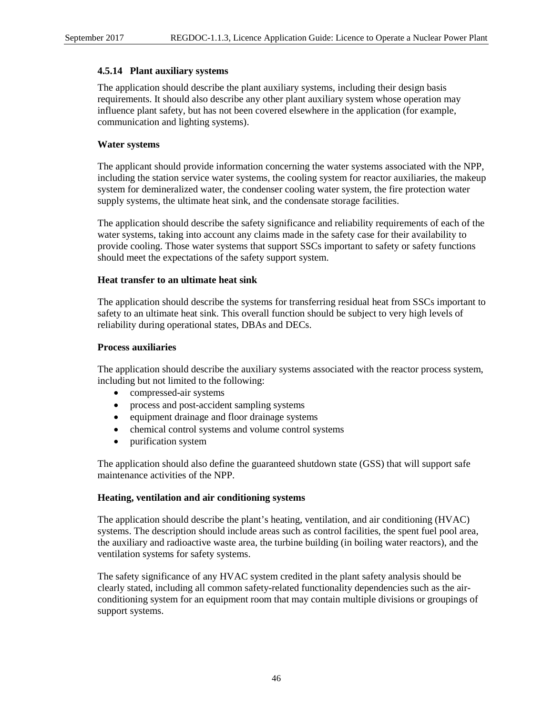## **4.5.14 Plant auxiliary systems**

The application should describe the plant auxiliary systems, including their design basis requirements. It should also describe any other plant auxiliary system whose operation may influence plant safety, but has not been covered elsewhere in the application (for example, communication and lighting systems).

# **Water systems**

The applicant should provide information concerning the water systems associated with the NPP, including the station service water systems, the cooling system for reactor auxiliaries, the makeup system for demineralized water, the condenser cooling water system, the fire protection water supply systems, the ultimate heat sink, and the condensate storage facilities.

The application should describe the safety significance and reliability requirements of each of the water systems, taking into account any claims made in the safety case for their availability to provide cooling. Those water systems that support SSCs important to safety or safety functions should meet the expectations of the safety support system.

## **Heat transfer to an ultimate heat sink**

The application should describe the systems for transferring residual heat from SSCs important to safety to an ultimate heat sink. This overall function should be subject to very high levels of reliability during operational states, DBAs and DECs.

#### **Process auxiliaries**

The application should describe the auxiliary systems associated with the reactor process system, including but not limited to the following:

- compressed-air systems
- process and post-accident sampling systems
- equipment drainage and floor drainage systems
- chemical control systems and volume control systems
- purification system

The application should also define the guaranteed shutdown state (GSS) that will support safe maintenance activities of the NPP.

## **Heating, ventilation and air conditioning systems**

The application should describe the plant's heating, ventilation, and air conditioning (HVAC) systems. The description should include areas such as control facilities, the spent fuel pool area, the auxiliary and radioactive waste area, the turbine building (in boiling water reactors), and the ventilation systems for safety systems.

The safety significance of any HVAC system credited in the plant safety analysis should be clearly stated, including all common safety-related functionality dependencies such as the airconditioning system for an equipment room that may contain multiple divisions or groupings of support systems.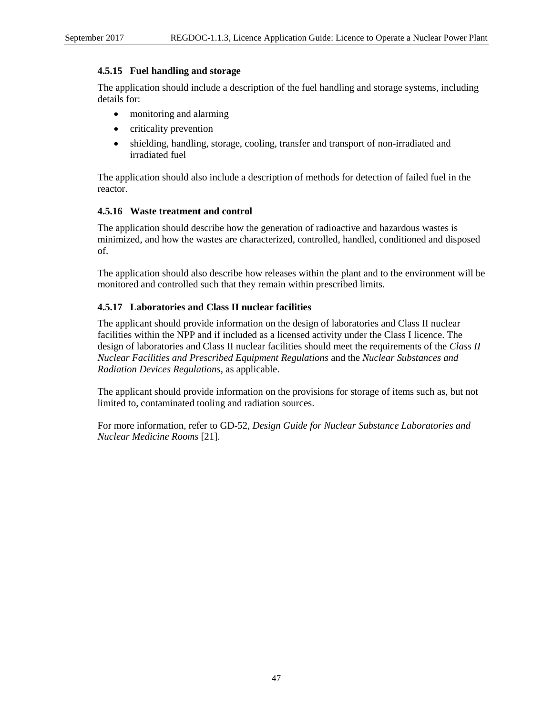## **4.5.15 Fuel handling and storage**

The application should include a description of the fuel handling and storage systems, including details for:

- monitoring and alarming
- criticality prevention
- shielding, handling, storage, cooling, transfer and transport of non-irradiated and irradiated fuel

The application should also include a description of methods for detection of failed fuel in the reactor.

## **4.5.16 Waste treatment and control**

The application should describe how the generation of radioactive and hazardous wastes is minimized, and how the wastes are characterized, controlled, handled, conditioned and disposed of.

The application should also describe how releases within the plant and to the environment will be monitored and controlled such that they remain within prescribed limits.

# **4.5.17 Laboratories and Class II nuclear facilities**

The applicant should provide information on the design of laboratories and Class II nuclear facilities within the NPP and if included as a licensed activity under the Class I licence. The design of laboratories and Class II nuclear facilities should meet the requirements of the *Class II Nuclear Facilities and Prescribed Equipment Regulations* and the *Nuclear Substances and Radiation Devices Regulations*, as applicable.

The applicant should provide information on the provisions for storage of items such as, but not limited to, contaminated tooling and radiation sources.

For more information, refer to GD-52, *Design Guide for Nuclear Substance Laboratories and Nuclear Medicine Rooms* [21].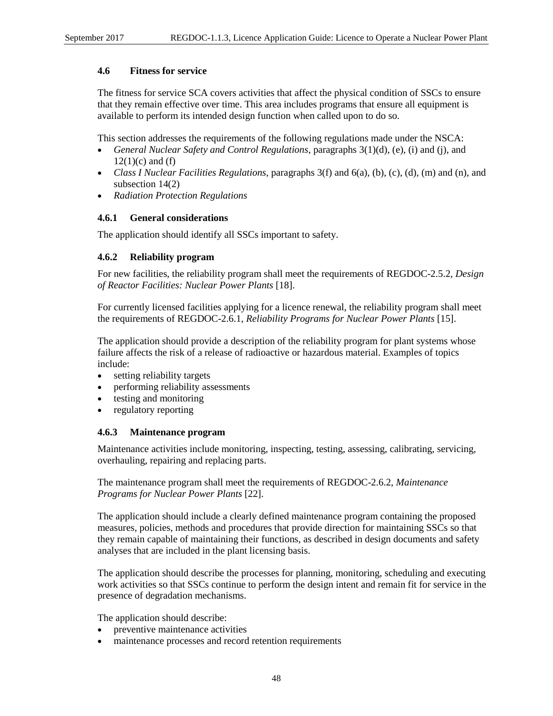## **4.6 Fitness for service**

The fitness for service SCA covers activities that affect the physical condition of SSCs to ensure that they remain effective over time. This area includes programs that ensure all equipment is available to perform its intended design function when called upon to do so.

This section addresses the requirements of the following regulations made under the NSCA:

- *General Nuclear Safety and Control Regulations*, paragraphs 3(1)(d), (e), (i) and (j), and  $12(1)(c)$  and (f)
- *Class I Nuclear Facilities Regulations*, paragraphs 3(f) and 6(a), (b), (c), (d), (m) and (n), and subsection 14(2)
- *Radiation Protection Regulations*

#### **4.6.1 General considerations**

The application should identify all SSCs important to safety.

#### **4.6.2 Reliability program**

For new facilities, the reliability program shall meet the requirements of REGDOC-2.5.2, *Design of Reactor Facilities: Nuclear Power Plants* [18].

For currently licensed facilities applying for a licence renewal, the reliability program shall meet the requirements of REGDOC-2.6.1, *Reliability Programs for Nuclear Power Plants* [15].

The application should provide a description of the reliability program for plant systems whose failure affects the risk of a release of radioactive or hazardous material. Examples of topics include:

- setting reliability targets
- performing reliability assessments
- testing and monitoring
- regulatory reporting

#### **4.6.3 Maintenance program**

Maintenance activities include monitoring, inspecting, testing, assessing, calibrating, servicing, overhauling, repairing and replacing parts.

The maintenance program shall meet the requirements of REGDOC-2.6.2, *Maintenance Programs for Nuclear Power Plants* [22].

The application should include a clearly defined maintenance program containing the proposed measures, policies, methods and procedures that provide direction for maintaining SSCs so that they remain capable of maintaining their functions, as described in design documents and safety analyses that are included in the plant licensing basis.

The application should describe the processes for planning, monitoring, scheduling and executing work activities so that SSCs continue to perform the design intent and remain fit for service in the presence of degradation mechanisms.

The application should describe:

- preventive maintenance activities
- maintenance processes and record retention requirements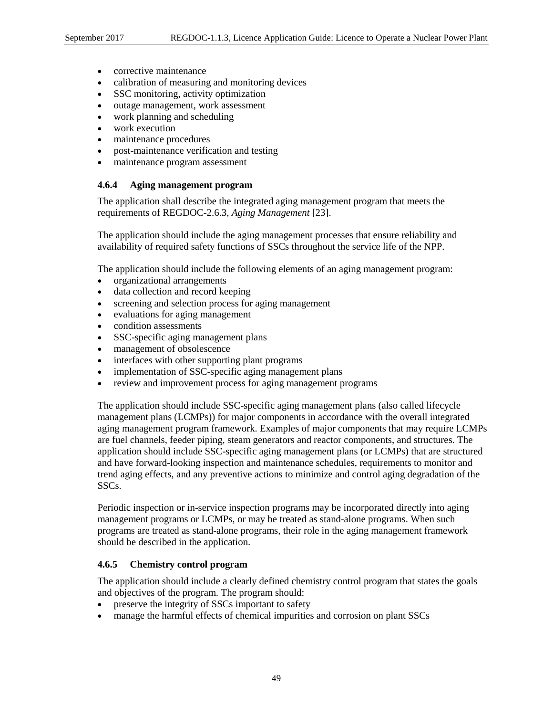- corrective maintenance
- calibration of measuring and monitoring devices
- SSC monitoring, activity optimization
- outage management, work assessment
- work planning and scheduling
- work execution
- maintenance procedures
- post-maintenance verification and testing
- maintenance program assessment

# **4.6.4 Aging management program**

The application shall describe the integrated aging management program that meets the requirements of REGDOC-2.6.3, *Aging Management* [23].

The application should include the aging management processes that ensure reliability and availability of required safety functions of SSCs throughout the service life of the NPP.

The application should include the following elements of an aging management program:

- organizational arrangements
- data collection and record keeping
- screening and selection process for aging management
- evaluations for aging management
- condition assessments
- SSC-specific aging management plans
- management of obsolescence
- interfaces with other supporting plant programs
- implementation of SSC-specific aging management plans
- review and improvement process for aging management programs

The application should include SSC-specific aging management plans (also called lifecycle management plans (LCMPs)) for major components in accordance with the overall integrated aging management program framework. Examples of major components that may require LCMPs are fuel channels, feeder piping, steam generators and reactor components, and structures. The application should include SSC-specific aging management plans (or LCMPs) that are structured and have forward-looking inspection and maintenance schedules, requirements to monitor and trend aging effects, and any preventive actions to minimize and control aging degradation of the SSCs.

Periodic inspection or in-service inspection programs may be incorporated directly into aging management programs or LCMPs, or may be treated as stand-alone programs. When such programs are treated as stand-alone programs, their role in the aging management framework should be described in the application.

# **4.6.5 Chemistry control program**

The application should include a clearly defined chemistry control program that states the goals and objectives of the program. The program should:

- preserve the integrity of SSCs important to safety
- manage the harmful effects of chemical impurities and corrosion on plant SSCs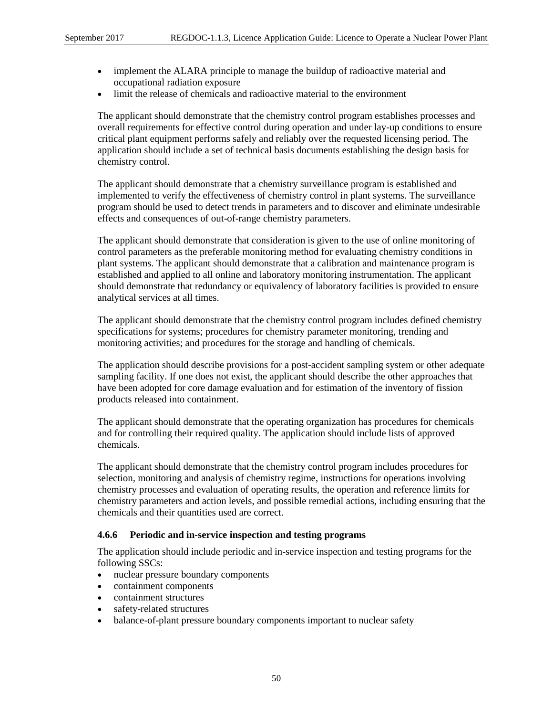- implement the ALARA principle to manage the buildup of radioactive material and occupational radiation exposure
- limit the release of chemicals and radioactive material to the environment

The applicant should demonstrate that the chemistry control program establishes processes and overall requirements for effective control during operation and under lay-up conditions to ensure critical plant equipment performs safely and reliably over the requested licensing period. The application should include a set of technical basis documents establishing the design basis for chemistry control.

The applicant should demonstrate that a chemistry surveillance program is established and implemented to verify the effectiveness of chemistry control in plant systems. The surveillance program should be used to detect trends in parameters and to discover and eliminate undesirable effects and consequences of out-of-range chemistry parameters.

The applicant should demonstrate that consideration is given to the use of online monitoring of control parameters as the preferable monitoring method for evaluating chemistry conditions in plant systems. The applicant should demonstrate that a calibration and maintenance program is established and applied to all online and laboratory monitoring instrumentation. The applicant should demonstrate that redundancy or equivalency of laboratory facilities is provided to ensure analytical services at all times.

The applicant should demonstrate that the chemistry control program includes defined chemistry specifications for systems; procedures for chemistry parameter monitoring, trending and monitoring activities; and procedures for the storage and handling of chemicals.

The application should describe provisions for a post-accident sampling system or other adequate sampling facility. If one does not exist, the applicant should describe the other approaches that have been adopted for core damage evaluation and for estimation of the inventory of fission products released into containment.

The applicant should demonstrate that the operating organization has procedures for chemicals and for controlling their required quality. The application should include lists of approved chemicals.

The applicant should demonstrate that the chemistry control program includes procedures for selection, monitoring and analysis of chemistry regime, instructions for operations involving chemistry processes and evaluation of operating results, the operation and reference limits for chemistry parameters and action levels, and possible remedial actions, including ensuring that the chemicals and their quantities used are correct.

## **4.6.6 Periodic and in-service inspection and testing programs**

The application should include periodic and in-service inspection and testing programs for the following SSCs:

- nuclear pressure boundary components
- containment components
- containment structures
- safety-related structures
- balance-of-plant pressure boundary components important to nuclear safety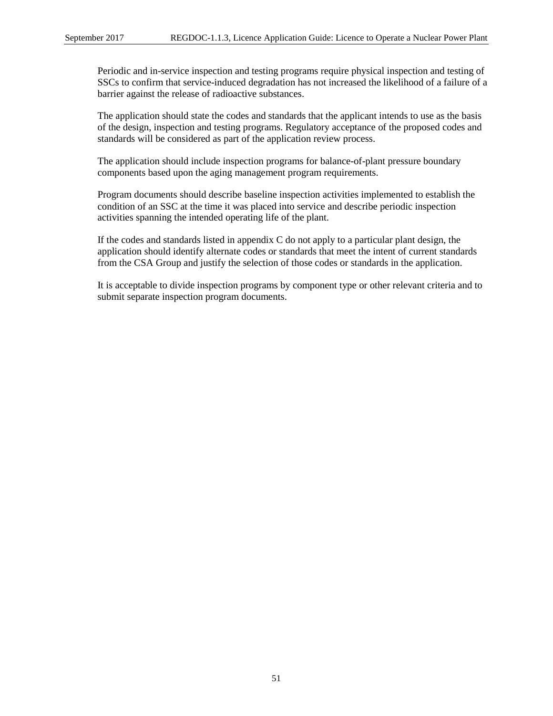Periodic and in-service inspection and testing programs require physical inspection and testing of SSCs to confirm that service-induced degradation has not increased the likelihood of a failure of a barrier against the release of radioactive substances.

The application should state the codes and standards that the applicant intends to use as the basis of the design, inspection and testing programs. Regulatory acceptance of the proposed codes and standards will be considered as part of the application review process.

The application should include inspection programs for balance-of-plant pressure boundary components based upon the aging management program requirements.

Program documents should describe baseline inspection activities implemented to establish the condition of an SSC at the time it was placed into service and describe periodic inspection activities spanning the intended operating life of the plant.

If the codes and standards listed in appendix C do not apply to a particular plant design, the application should identify alternate codes or standards that meet the intent of current standards from the CSA Group and justify the selection of those codes or standards in the application.

It is acceptable to divide inspection programs by component type or other relevant criteria and to submit separate inspection program documents.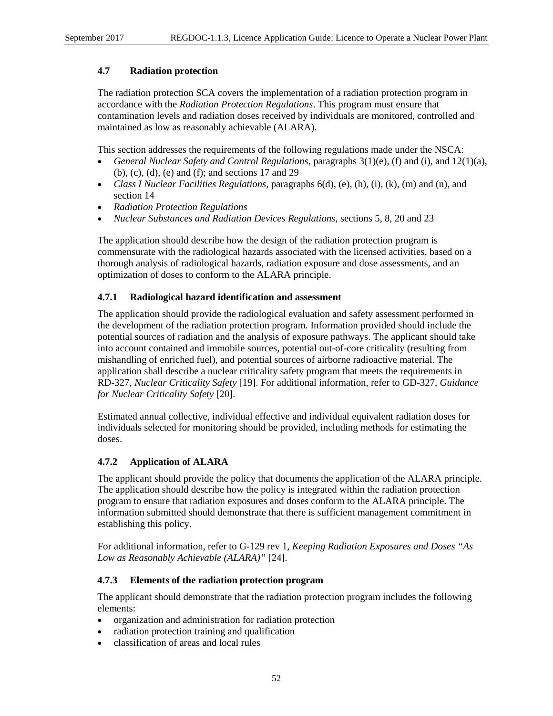## **4.7 Radiation protection**

The radiation protection SCA covers the implementation of a radiation protection program in accordance with the *Radiation Protection Regulations*. This program must ensure that contamination levels and radiation doses received by individuals are monitored, controlled and maintained as low as reasonably achievable (ALARA).

This section addresses the requirements of the following regulations made under the NSCA:

- *General Nuclear Safety and Control Regulations*, paragraphs 3(1)(e), (f) and (i), and 12(1)(a), (b), (c), (d), (e) and (f); and sections 17 and 29
- *Class I Nuclear Facilities Regulations*, paragraphs 6(d), (e), (h), (i), (k), (m) and (n), and section 14
- *Radiation Protection Regulations*
- *Nuclear Substances and Radiation Devices Regulations*, sections 5, 8, 20 and 23

The application should describe how the design of the radiation protection program is commensurate with the radiological hazards associated with the licensed activities, based on a thorough analysis of radiological hazards, radiation exposure and dose assessments, and an optimization of doses to conform to the ALARA principle.

# **4.7.1 Radiological hazard identification and assessment**

The application should provide the radiological evaluation and safety assessment performed in the development of the radiation protection program. Information provided should include the potential sources of radiation and the analysis of exposure pathways. The applicant should take into account contained and immobile sources, potential out-of-core criticality (resulting from mishandling of enriched fuel), and potential sources of airborne radioactive material. The application shall describe a nuclear criticality safety program that meets the requirements in RD-327, *Nuclear Criticality Safety* [19]. For additional information, refer to GD-327, *Guidance for Nuclear Criticality Safety* [20].

Estimated annual collective, individual effective and individual equivalent radiation doses for individuals selected for monitoring should be provided, including methods for estimating the doses.

# **4.7.2 Application of ALARA**

The applicant should provide the policy that documents the application of the ALARA principle. The application should describe how the policy is integrated within the radiation protection program to ensure that radiation exposures and doses conform to the ALARA principle. The information submitted should demonstrate that there is sufficient management commitment in establishing this policy.

For additional information, refer to G-129 rev 1, *Keeping Radiation Exposures and Doses "As Low as Reasonably Achievable (ALARA)"* [24].

## **4.7.3 Elements of the radiation protection program**

The applicant should demonstrate that the radiation protection program includes the following elements:

- organization and administration for radiation protection
- radiation protection training and qualification
- classification of areas and local rules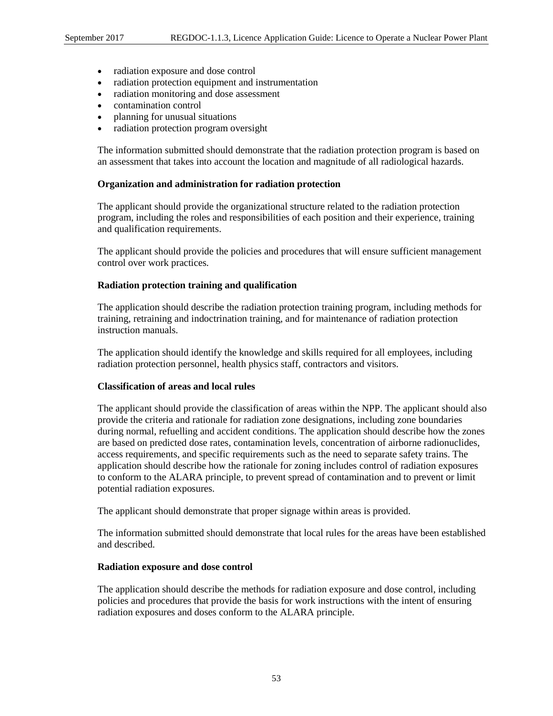- radiation exposure and dose control
- radiation protection equipment and instrumentation
- radiation monitoring and dose assessment
- contamination control
- planning for unusual situations
- radiation protection program oversight

The information submitted should demonstrate that the radiation protection program is based on an assessment that takes into account the location and magnitude of all radiological hazards.

#### **Organization and administration for radiation protection**

The applicant should provide the organizational structure related to the radiation protection program, including the roles and responsibilities of each position and their experience, training and qualification requirements.

The applicant should provide the policies and procedures that will ensure sufficient management control over work practices.

#### **Radiation protection training and qualification**

The application should describe the radiation protection training program, including methods for training, retraining and indoctrination training, and for maintenance of radiation protection instruction manuals.

The application should identify the knowledge and skills required for all employees, including radiation protection personnel, health physics staff, contractors and visitors.

#### **Classification of areas and local rules**

The applicant should provide the classification of areas within the NPP. The applicant should also provide the criteria and rationale for radiation zone designations, including zone boundaries during normal, refuelling and accident conditions. The application should describe how the zones are based on predicted dose rates, contamination levels, concentration of airborne radionuclides, access requirements, and specific requirements such as the need to separate safety trains. The application should describe how the rationale for zoning includes control of radiation exposures to conform to the ALARA principle, to prevent spread of contamination and to prevent or limit potential radiation exposures.

The applicant should demonstrate that proper signage within areas is provided.

The information submitted should demonstrate that local rules for the areas have been established and described.

#### **Radiation exposure and dose control**

The application should describe the methods for radiation exposure and dose control, including policies and procedures that provide the basis for work instructions with the intent of ensuring radiation exposures and doses conform to the ALARA principle.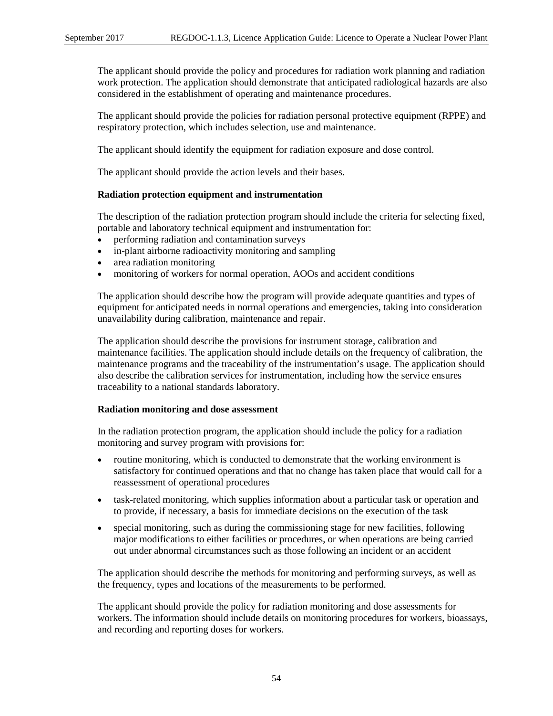The applicant should provide the policy and procedures for radiation work planning and radiation work protection. The application should demonstrate that anticipated radiological hazards are also considered in the establishment of operating and maintenance procedures.

The applicant should provide the policies for radiation personal protective equipment (RPPE) and respiratory protection, which includes selection, use and maintenance.

The applicant should identify the equipment for radiation exposure and dose control.

The applicant should provide the action levels and their bases.

#### **Radiation protection equipment and instrumentation**

The description of the radiation protection program should include the criteria for selecting fixed, portable and laboratory technical equipment and instrumentation for:

- performing radiation and contamination surveys
- in-plant airborne radioactivity monitoring and sampling
- area radiation monitoring
- monitoring of workers for normal operation, AOOs and accident conditions

The application should describe how the program will provide adequate quantities and types of equipment for anticipated needs in normal operations and emergencies, taking into consideration unavailability during calibration, maintenance and repair.

The application should describe the provisions for instrument storage, calibration and maintenance facilities. The application should include details on the frequency of calibration, the maintenance programs and the traceability of the instrumentation's usage. The application should also describe the calibration services for instrumentation, including how the service ensures traceability to a national standards laboratory.

#### **Radiation monitoring and dose assessment**

In the radiation protection program, the application should include the policy for a radiation monitoring and survey program with provisions for:

- routine monitoring, which is conducted to demonstrate that the working environment is satisfactory for continued operations and that no change has taken place that would call for a reassessment of operational procedures
- task-related monitoring, which supplies information about a particular task or operation and to provide, if necessary, a basis for immediate decisions on the execution of the task
- special monitoring, such as during the commissioning stage for new facilities, following major modifications to either facilities or procedures, or when operations are being carried out under abnormal circumstances such as those following an incident or an accident

The application should describe the methods for monitoring and performing surveys, as well as the frequency, types and locations of the measurements to be performed.

The applicant should provide the policy for radiation monitoring and dose assessments for workers. The information should include details on monitoring procedures for workers, bioassays, and recording and reporting doses for workers.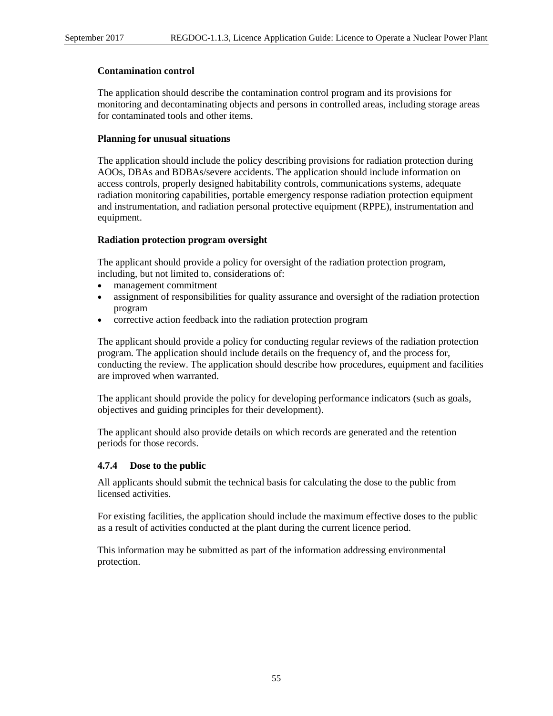#### **Contamination control**

The application should describe the contamination control program and its provisions for monitoring and decontaminating objects and persons in controlled areas, including storage areas for contaminated tools and other items.

#### **Planning for unusual situations**

The application should include the policy describing provisions for radiation protection during AOOs, DBAs and BDBAs/severe accidents. The application should include information on access controls, properly designed habitability controls, communications systems, adequate radiation monitoring capabilities, portable emergency response radiation protection equipment and instrumentation, and radiation personal protective equipment (RPPE), instrumentation and equipment.

#### **Radiation protection program oversight**

The applicant should provide a policy for oversight of the radiation protection program, including, but not limited to, considerations of:

- management commitment
- assignment of responsibilities for quality assurance and oversight of the radiation protection program
- corrective action feedback into the radiation protection program

The applicant should provide a policy for conducting regular reviews of the radiation protection program. The application should include details on the frequency of, and the process for, conducting the review. The application should describe how procedures, equipment and facilities are improved when warranted.

The applicant should provide the policy for developing performance indicators (such as goals, objectives and guiding principles for their development).

The applicant should also provide details on which records are generated and the retention periods for those records.

## **4.7.4 Dose to the public**

All applicants should submit the technical basis for calculating the dose to the public from licensed activities.

For existing facilities, the application should include the maximum effective doses to the public as a result of activities conducted at the plant during the current licence period.

This information may be submitted as part of the information addressing environmental protection.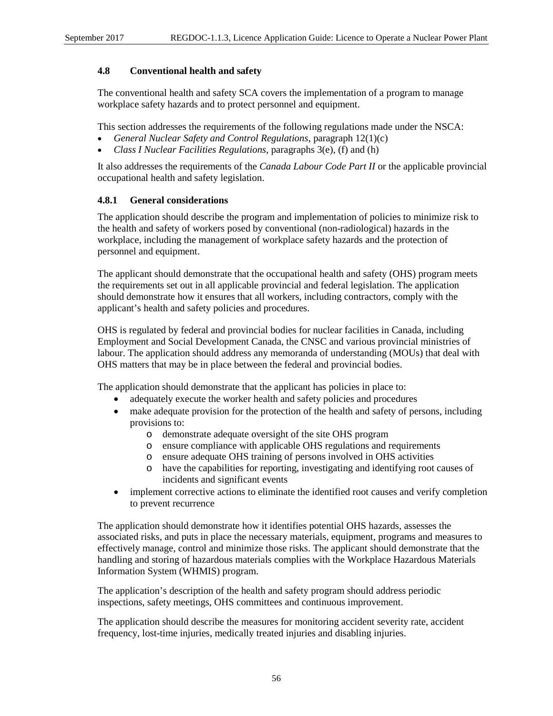## **4.8 Conventional health and safety**

The conventional health and safety SCA covers the implementation of a program to manage workplace safety hazards and to protect personnel and equipment.

This section addresses the requirements of the following regulations made under the NSCA:

- *General Nuclear Safety and Control Regulations*, paragraph 12(1)(c)
- *Class I Nuclear Facilities Regulations*, paragraphs 3(e), (f) and (h)

It also addresses the requirements of the *Canada Labour Code Part II* or the applicable provincial occupational health and safety legislation.

## **4.8.1 General considerations**

The application should describe the program and implementation of policies to minimize risk to the health and safety of workers posed by conventional (non-radiological) hazards in the workplace, including the management of workplace safety hazards and the protection of personnel and equipment.

The applicant should demonstrate that the occupational health and safety (OHS) program meets the requirements set out in all applicable provincial and federal legislation. The application should demonstrate how it ensures that all workers, including contractors, comply with the applicant's health and safety policies and procedures.

OHS is regulated by federal and provincial bodies for nuclear facilities in Canada, including Employment and Social Development Canada, the CNSC and various provincial ministries of labour. The application should address any memoranda of understanding (MOUs) that deal with OHS matters that may be in place between the federal and provincial bodies.

The application should demonstrate that the applicant has policies in place to:

- adequately execute the worker health and safety policies and procedures
- make adequate provision for the protection of the health and safety of persons, including provisions to:
	- o demonstrate adequate oversight of the site OHS program
	- ensure compliance with applicable OHS regulations and requirements
	- o ensure adequate OHS training of persons involved in OHS activities
	- o have the capabilities for reporting, investigating and identifying root causes of incidents and significant events
- implement corrective actions to eliminate the identified root causes and verify completion to prevent recurrence

The application should demonstrate how it identifies potential OHS hazards, assesses the associated risks, and puts in place the necessary materials, equipment, programs and measures to effectively manage, control and minimize those risks. The applicant should demonstrate that the handling and storing of hazardous materials complies with the Workplace Hazardous Materials Information System (WHMIS) program.

The application's description of the health and safety program should address periodic inspections, safety meetings, OHS committees and continuous improvement.

The application should describe the measures for monitoring accident severity rate, accident frequency, lost-time injuries, medically treated injuries and disabling injuries.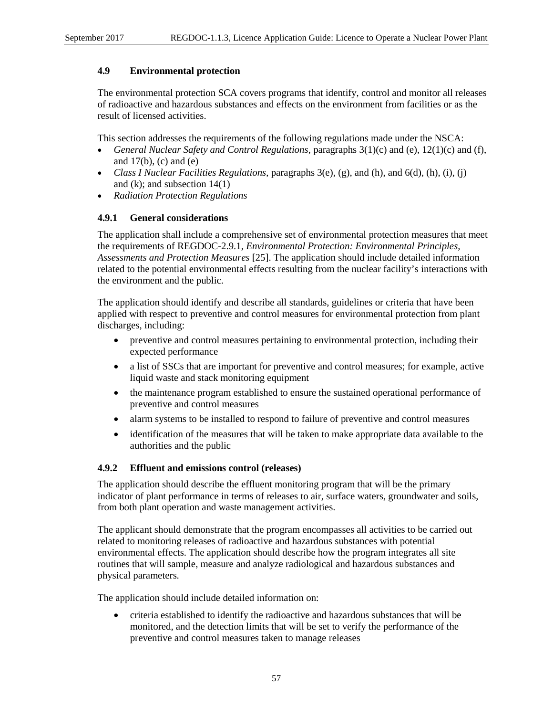## **4.9 Environmental protection**

The environmental protection SCA covers programs that identify, control and monitor all releases of radioactive and hazardous substances and effects on the environment from facilities or as the result of licensed activities.

This section addresses the requirements of the following regulations made under the NSCA:

- *General Nuclear Safety and Control Regulations*, paragraphs 3(1)(c) and (e), 12(1)(c) and (f), and  $17(b)$ , (c) and (e)
- *Class I Nuclear Facilities Regulations*, paragraphs 3(e), (g), and (h), and 6(d), (h), (i), (j) and (k); and subsection  $14(1)$
- *Radiation Protection Regulations*

# **4.9.1 General considerations**

The application shall include a comprehensive set of environmental protection measures that meet the requirements of REGDOC-2.9.1, *Environmental Protection: Environmental Principles, Assessments and Protection Measures* [25]. The application should include detailed information related to the potential environmental effects resulting from the nuclear facility's interactions with the environment and the public.

The application should identify and describe all standards, guidelines or criteria that have been applied with respect to preventive and control measures for environmental protection from plant discharges, including:

- preventive and control measures pertaining to environmental protection, including their expected performance
- a list of SSCs that are important for preventive and control measures; for example, active liquid waste and stack monitoring equipment
- the maintenance program established to ensure the sustained operational performance of preventive and control measures
- alarm systems to be installed to respond to failure of preventive and control measures
- identification of the measures that will be taken to make appropriate data available to the authorities and the public

# **4.9.2 Effluent and emissions control (releases)**

The application should describe the effluent monitoring program that will be the primary indicator of plant performance in terms of releases to air, surface waters, groundwater and soils, from both plant operation and waste management activities.

The applicant should demonstrate that the program encompasses all activities to be carried out related to monitoring releases of radioactive and hazardous substances with potential environmental effects. The application should describe how the program integrates all site routines that will sample, measure and analyze radiological and hazardous substances and physical parameters.

The application should include detailed information on:

• criteria established to identify the radioactive and hazardous substances that will be monitored, and the detection limits that will be set to verify the performance of the preventive and control measures taken to manage releases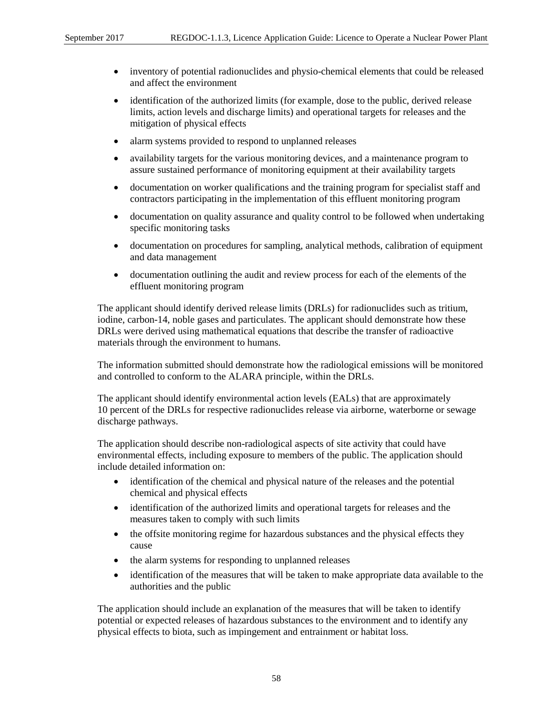- inventory of potential radionuclides and physio-chemical elements that could be released and affect the environment
- identification of the authorized limits (for example, dose to the public, derived release limits, action levels and discharge limits) and operational targets for releases and the mitigation of physical effects
- alarm systems provided to respond to unplanned releases
- availability targets for the various monitoring devices, and a maintenance program to assure sustained performance of monitoring equipment at their availability targets
- documentation on worker qualifications and the training program for specialist staff and contractors participating in the implementation of this effluent monitoring program
- documentation on quality assurance and quality control to be followed when undertaking specific monitoring tasks
- documentation on procedures for sampling, analytical methods, calibration of equipment and data management
- documentation outlining the audit and review process for each of the elements of the effluent monitoring program

The applicant should identify derived release limits (DRLs) for radionuclides such as tritium, iodine, carbon-14, noble gases and particulates. The applicant should demonstrate how these DRLs were derived using mathematical equations that describe the transfer of radioactive materials through the environment to humans.

The information submitted should demonstrate how the radiological emissions will be monitored and controlled to conform to the ALARA principle, within the DRLs.

The applicant should identify environmental action levels (EALs) that are approximately 10 percent of the DRLs for respective radionuclides release via airborne, waterborne or sewage discharge pathways.

The application should describe non-radiological aspects of site activity that could have environmental effects, including exposure to members of the public. The application should include detailed information on:

- identification of the chemical and physical nature of the releases and the potential chemical and physical effects
- identification of the authorized limits and operational targets for releases and the measures taken to comply with such limits
- the offsite monitoring regime for hazardous substances and the physical effects they cause
- the alarm systems for responding to unplanned releases
- identification of the measures that will be taken to make appropriate data available to the authorities and the public

The application should include an explanation of the measures that will be taken to identify potential or expected releases of hazardous substances to the environment and to identify any physical effects to biota, such as impingement and entrainment or habitat loss.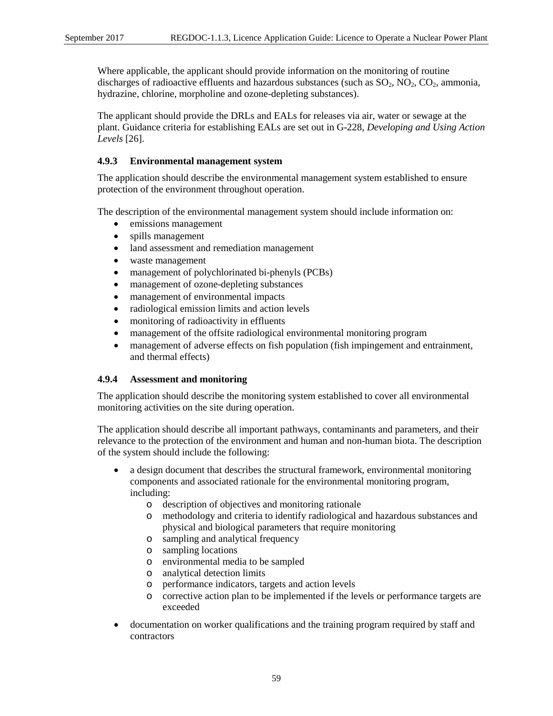Where applicable, the applicant should provide information on the monitoring of routine discharges of radioactive effluents and hazardous substances (such as  $SO_2$ ,  $NO_2$ ,  $CO_2$ , ammonia, hydrazine, chlorine, morpholine and ozone-depleting substances).

The applicant should provide the DRLs and EALs for releases via air, water or sewage at the plant. Guidance criteria for establishing EALs are set out in G-228, *Developing and Using Action Levels* [26].

# **4.9.3 Environmental management system**

The application should describe the environmental management system established to ensure protection of the environment throughout operation.

The description of the environmental management system should include information on:

- emissions management
- spills management
- land assessment and remediation management
- waste management
- management of polychlorinated bi-phenyls (PCBs)
- management of ozone-depleting substances
- management of environmental impacts
- radiological emission limits and action levels
- monitoring of radioactivity in effluents
- management of the offsite radiological environmental monitoring program
- management of adverse effects on fish population (fish impingement and entrainment, and thermal effects)

## **4.9.4 Assessment and monitoring**

The application should describe the monitoring system established to cover all environmental monitoring activities on the site during operation.

The application should describe all important pathways, contaminants and parameters, and their relevance to the protection of the environment and human and non-human biota. The description of the system should include the following:

- a design document that describes the structural framework, environmental monitoring components and associated rationale for the environmental monitoring program, including:
	- o description of objectives and monitoring rationale
	- o methodology and criteria to identify radiological and hazardous substances and physical and biological parameters that require monitoring
	- o sampling and analytical frequency
	- o sampling locations
	- o environmental media to be sampled
	- o analytical detection limits
	- o performance indicators, targets and action levels
	- o corrective action plan to be implemented if the levels or performance targets are exceeded
- documentation on worker qualifications and the training program required by staff and contractors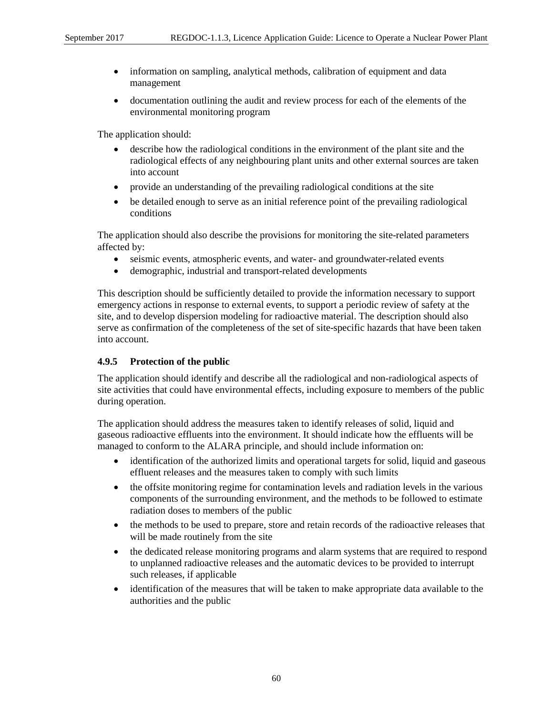- information on sampling, analytical methods, calibration of equipment and data management
- documentation outlining the audit and review process for each of the elements of the environmental monitoring program

The application should:

- describe how the radiological conditions in the environment of the plant site and the radiological effects of any neighbouring plant units and other external sources are taken into account
- provide an understanding of the prevailing radiological conditions at the site
- be detailed enough to serve as an initial reference point of the prevailing radiological conditions

The application should also describe the provisions for monitoring the site-related parameters affected by:

- seismic events, atmospheric events, and water- and groundwater-related events
- demographic, industrial and transport-related developments

This description should be sufficiently detailed to provide the information necessary to support emergency actions in response to external events, to support a periodic review of safety at the site, and to develop dispersion modeling for radioactive material. The description should also serve as confirmation of the completeness of the set of site-specific hazards that have been taken into account.

#### **4.9.5 Protection of the public**

The application should identify and describe all the radiological and non-radiological aspects of site activities that could have environmental effects, including exposure to members of the public during operation.

The application should address the measures taken to identify releases of solid, liquid and gaseous radioactive effluents into the environment. It should indicate how the effluents will be managed to conform to the ALARA principle, and should include information on:

- identification of the authorized limits and operational targets for solid, liquid and gaseous effluent releases and the measures taken to comply with such limits
- the offsite monitoring regime for contamination levels and radiation levels in the various components of the surrounding environment, and the methods to be followed to estimate radiation doses to members of the public
- the methods to be used to prepare, store and retain records of the radioactive releases that will be made routinely from the site
- the dedicated release monitoring programs and alarm systems that are required to respond to unplanned radioactive releases and the automatic devices to be provided to interrupt such releases, if applicable
- identification of the measures that will be taken to make appropriate data available to the authorities and the public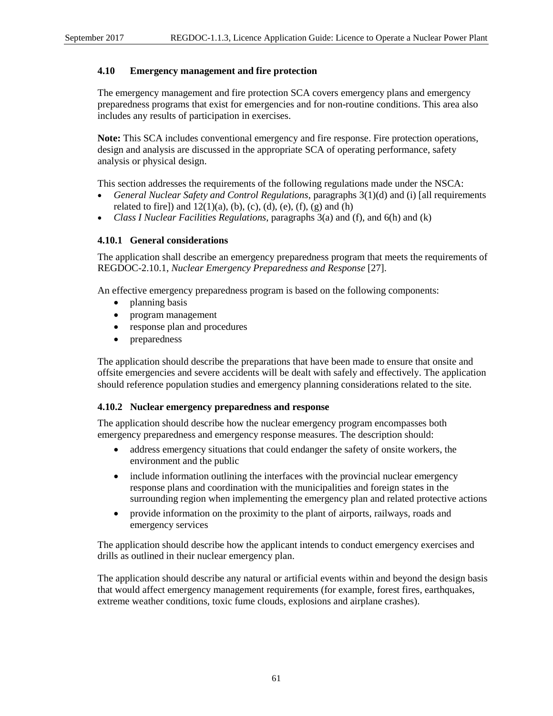## **4.10 Emergency management and fire protection**

The emergency management and fire protection SCA covers emergency plans and emergency preparedness programs that exist for emergencies and for non-routine conditions. This area also includes any results of participation in exercises.

**Note:** This SCA includes conventional emergency and fire response. Fire protection operations, design and analysis are discussed in the appropriate SCA of operating performance, safety analysis or physical design.

This section addresses the requirements of the following regulations made under the NSCA:

- *General Nuclear Safety and Control Regulations*, paragraphs 3(1)(d) and (i) [all requirements related to fire]) and  $12(1)(a)$ , (b), (c), (d), (e), (f), (g) and (h)
- *Class I Nuclear Facilities Regulations*, paragraphs 3(a) and (f), and 6(h) and (k)

#### **4.10.1 General considerations**

The application shall describe an emergency preparedness program that meets the requirements of REGDOC-2.10.1, *Nuclear Emergency Preparedness and Response* [27].

An effective emergency preparedness program is based on the following components:

- planning basis
- program management
- response plan and procedures
- preparedness

The application should describe the preparations that have been made to ensure that onsite and offsite emergencies and severe accidents will be dealt with safely and effectively. The application should reference population studies and emergency planning considerations related to the site.

#### **4.10.2 Nuclear emergency preparedness and response**

The application should describe how the nuclear emergency program encompasses both emergency preparedness and emergency response measures. The description should:

- address emergency situations that could endanger the safety of onsite workers, the environment and the public
- include information outlining the interfaces with the provincial nuclear emergency response plans and coordination with the municipalities and foreign states in the surrounding region when implementing the emergency plan and related protective actions
- provide information on the proximity to the plant of airports, railways, roads and emergency services

The application should describe how the applicant intends to conduct emergency exercises and drills as outlined in their nuclear emergency plan.

The application should describe any natural or artificial events within and beyond the design basis that would affect emergency management requirements (for example, forest fires, earthquakes, extreme weather conditions, toxic fume clouds, explosions and airplane crashes).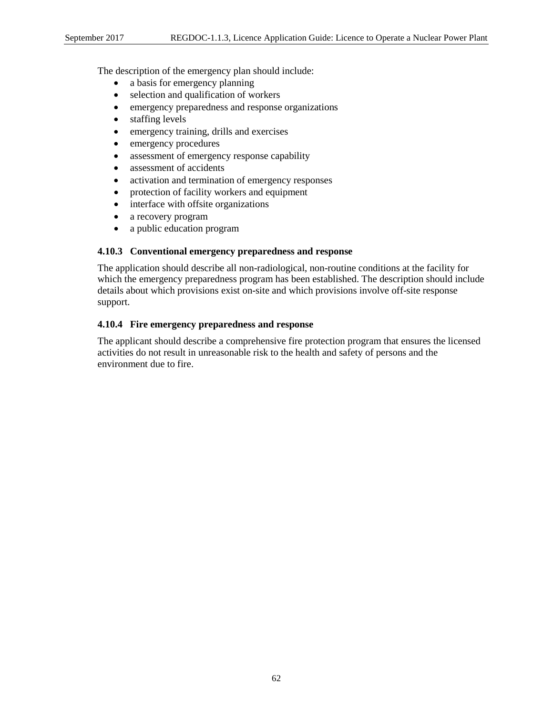The description of the emergency plan should include:

- a basis for emergency planning
- selection and qualification of workers
- emergency preparedness and response organizations
- staffing levels
- emergency training, drills and exercises
- emergency procedures
- assessment of emergency response capability
- assessment of accidents
- activation and termination of emergency responses
- protection of facility workers and equipment
- interface with offsite organizations
- a recovery program
- a public education program

# **4.10.3 Conventional emergency preparedness and response**

The application should describe all non-radiological, non-routine conditions at the facility for which the emergency preparedness program has been established. The description should include details about which provisions exist on-site and which provisions involve off-site response support.

# **4.10.4 Fire emergency preparedness and response**

The applicant should describe a comprehensive fire protection program that ensures the licensed activities do not result in unreasonable risk to the health and safety of persons and the environment due to fire.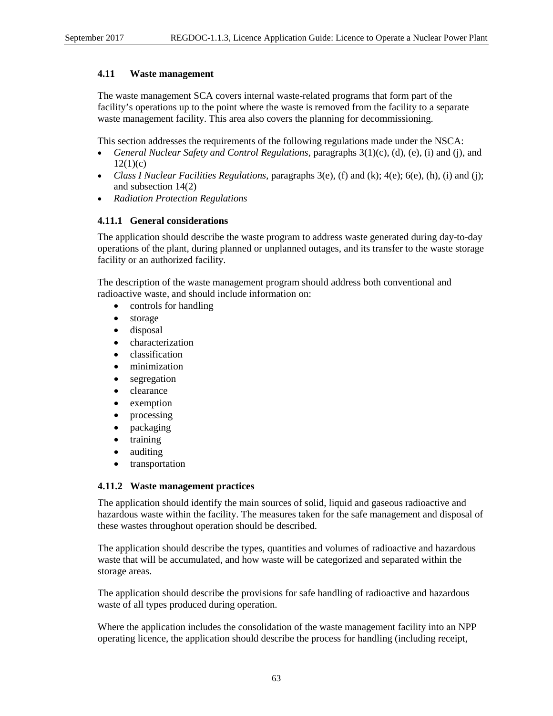# **4.11 Waste management**

The waste management SCA covers internal waste-related programs that form part of the facility's operations up to the point where the waste is removed from the facility to a separate waste management facility. This area also covers the planning for decommissioning.

This section addresses the requirements of the following regulations made under the NSCA:

- *General Nuclear Safety and Control Regulations*, paragraphs 3(1)(c), (d), (e), (i) and (j), and  $12(1)(c)$
- *Class I Nuclear Facilities Regulations*, paragraphs 3(e), (f) and (k); 4(e); 6(e), (h), (i) and (j); and subsection 14(2)
- *Radiation Protection Regulations*

## **4.11.1 General considerations**

The application should describe the waste program to address waste generated during day-to-day operations of the plant, during planned or unplanned outages, and its transfer to the waste storage facility or an authorized facility.

The description of the waste management program should address both conventional and radioactive waste, and should include information on:

- controls for handling
- storage
- disposal
- characterization
- classification
- minimization
- segregation
- clearance
- exemption
- processing
- packaging
- training
- auditing
- transportation

## **4.11.2 Waste management practices**

The application should identify the main sources of solid, liquid and gaseous radioactive and hazardous waste within the facility. The measures taken for the safe management and disposal of these wastes throughout operation should be described.

The application should describe the types, quantities and volumes of radioactive and hazardous waste that will be accumulated, and how waste will be categorized and separated within the storage areas.

The application should describe the provisions for safe handling of radioactive and hazardous waste of all types produced during operation.

Where the application includes the consolidation of the waste management facility into an NPP operating licence, the application should describe the process for handling (including receipt,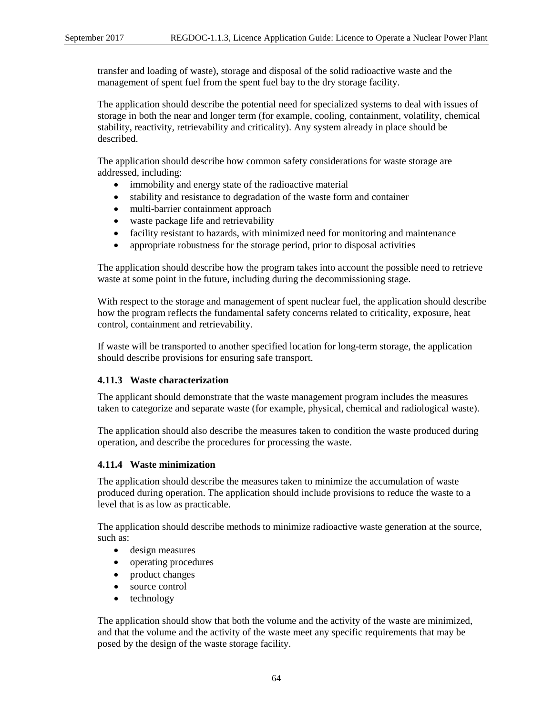transfer and loading of waste), storage and disposal of the solid radioactive waste and the management of spent fuel from the spent fuel bay to the dry storage facility.

The application should describe the potential need for specialized systems to deal with issues of storage in both the near and longer term (for example, cooling, containment, volatility, chemical stability, reactivity, retrievability and criticality). Any system already in place should be described.

The application should describe how common safety considerations for waste storage are addressed, including:

- immobility and energy state of the radioactive material
- stability and resistance to degradation of the waste form and container
- multi-barrier containment approach
- waste package life and retrievability
- facility resistant to hazards, with minimized need for monitoring and maintenance
- appropriate robustness for the storage period, prior to disposal activities

The application should describe how the program takes into account the possible need to retrieve waste at some point in the future, including during the decommissioning stage.

With respect to the storage and management of spent nuclear fuel, the application should describe how the program reflects the fundamental safety concerns related to criticality, exposure, heat control, containment and retrievability.

If waste will be transported to another specified location for long-term storage, the application should describe provisions for ensuring safe transport.

#### **4.11.3 Waste characterization**

The applicant should demonstrate that the waste management program includes the measures taken to categorize and separate waste (for example, physical, chemical and radiological waste).

The application should also describe the measures taken to condition the waste produced during operation, and describe the procedures for processing the waste.

#### **4.11.4 Waste minimization**

The application should describe the measures taken to minimize the accumulation of waste produced during operation. The application should include provisions to reduce the waste to a level that is as low as practicable.

The application should describe methods to minimize radioactive waste generation at the source, such as:

- design measures
- operating procedures
- product changes
- source control
- technology

The application should show that both the volume and the activity of the waste are minimized, and that the volume and the activity of the waste meet any specific requirements that may be posed by the design of the waste storage facility.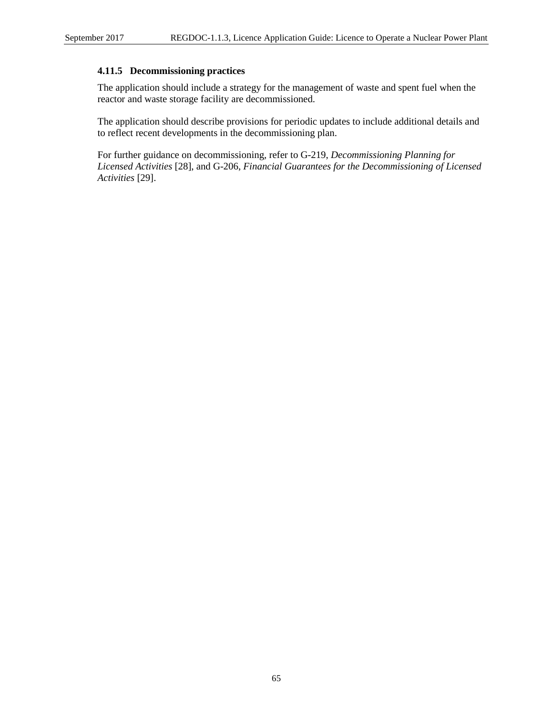### **4.11.5 Decommissioning practices**

The application should include a strategy for the management of waste and spent fuel when the reactor and waste storage facility are decommissioned.

The application should describe provisions for periodic updates to include additional details and to reflect recent developments in the decommissioning plan.

For further guidance on decommissioning, refer to G-219, *Decommissioning Planning for Licensed Activities* [28], and G-206, *Financial Guarantees for the Decommissioning of Licensed Activities* [29].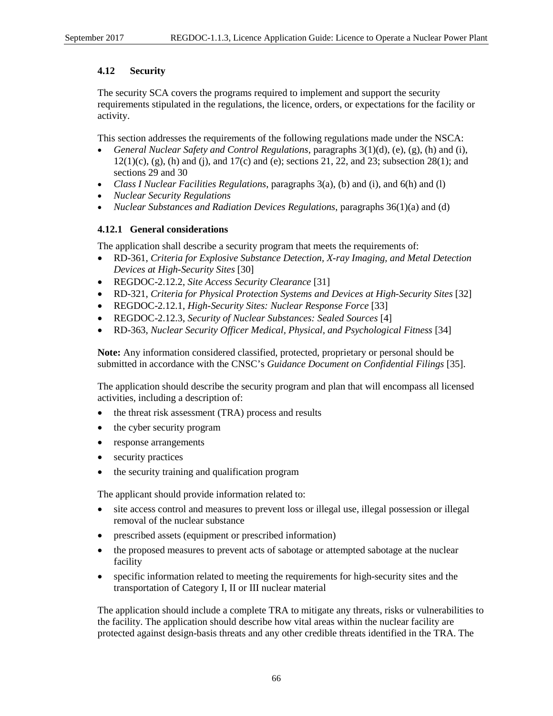## **4.12 Security**

The security SCA covers the programs required to implement and support the security requirements stipulated in the regulations, the licence, orders, or expectations for the facility or activity.

This section addresses the requirements of the following regulations made under the NSCA:

- *General Nuclear Safety and Control Regulations*, paragraphs 3(1)(d), (e), (g), (h) and (i),  $12(1)(c)$ , (g), (h) and (j), and  $17(c)$  and (e); sections 21, 22, and 23; subsection 28(1); and sections 29 and 30
- *Class I Nuclear Facilities Regulations*, paragraphs 3(a), (b) and (i), and 6(h) and (l)
- *Nuclear Security Regulations*
- *Nuclear Substances and Radiation Devices Regulations*, paragraphs 36(1)(a) and (d)

## **4.12.1 General considerations**

The application shall describe a security program that meets the requirements of:

- RD-361, *Criteria for Explosive Substance Detection, X-ray Imaging, and Metal Detection Devices at High-Security Sites* [30]
- REGDOC-2.12.2, *Site Access Security Clearance* [31]
- RD-321, *Criteria for Physical Protection Systems and Devices at High-Security Sites* [32]
- REGDOC-2.12.1, *High-Security Sites: Nuclear Response Force* [33]
- REGDOC-2.12.3, *Security of Nuclear Substances: Sealed Sources* [4]
- RD-363, *Nuclear Security Officer Medical, Physical, and Psychological Fitness* [34]

**Note:** Any information considered classified, protected, proprietary or personal should be submitted in accordance with the CNSC's *Guidance Document on Confidential Filings* [35].

The application should describe the security program and plan that will encompass all licensed activities, including a description of:

- the threat risk assessment (TRA) process and results
- the cyber security program
- response arrangements
- security practices
- the security training and qualification program

The applicant should provide information related to:

- site access control and measures to prevent loss or illegal use, illegal possession or illegal removal of the nuclear substance
- prescribed assets (equipment or prescribed information)
- the proposed measures to prevent acts of sabotage or attempted sabotage at the nuclear facility
- specific information related to meeting the requirements for high-security sites and the transportation of Category I, II or III nuclear material

The application should include a complete TRA to mitigate any threats, risks or vulnerabilities to the facility. The application should describe how vital areas within the nuclear facility are protected against design-basis threats and any other credible threats identified in the TRA. The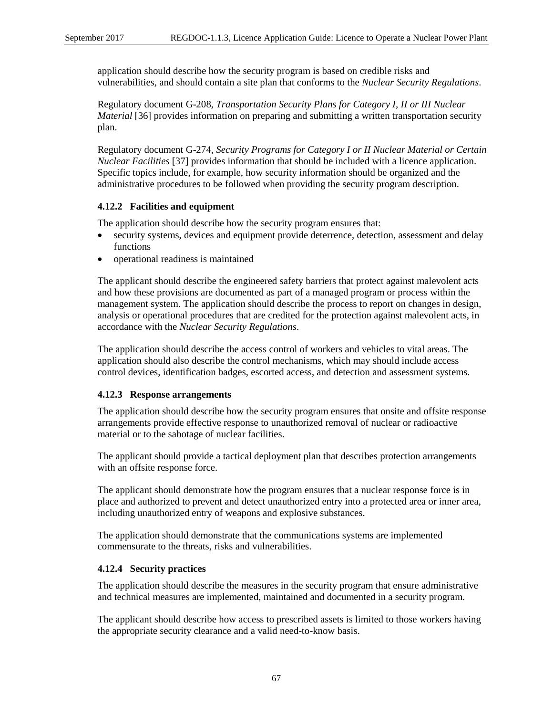application should describe how the security program is based on credible risks and vulnerabilities, and should contain a site plan that conforms to the *Nuclear Security Regulations*.

Regulatory document G-208, *Transportation Security Plans for Category I, II or III Nuclear Material* [36] provides information on preparing and submitting a written transportation security plan.

Regulatory document G-274, *Security Programs for Category I or II Nuclear Material or Certain Nuclear Facilities* [37] provides information that should be included with a licence application. Specific topics include, for example, how security information should be organized and the administrative procedures to be followed when providing the security program description.

## **4.12.2 Facilities and equipment**

The application should describe how the security program ensures that:

- security systems, devices and equipment provide deterrence, detection, assessment and delay functions
- operational readiness is maintained

The applicant should describe the engineered safety barriers that protect against malevolent acts and how these provisions are documented as part of a managed program or process within the management system. The application should describe the process to report on changes in design, analysis or operational procedures that are credited for the protection against malevolent acts, in accordance with the *Nuclear Security Regulations*.

The application should describe the access control of workers and vehicles to vital areas. The application should also describe the control mechanisms, which may should include access control devices, identification badges, escorted access, and detection and assessment systems.

#### **4.12.3 Response arrangements**

The application should describe how the security program ensures that onsite and offsite response arrangements provide effective response to unauthorized removal of nuclear or radioactive material or to the sabotage of nuclear facilities.

The applicant should provide a tactical deployment plan that describes protection arrangements with an offsite response force.

The applicant should demonstrate how the program ensures that a nuclear response force is in place and authorized to prevent and detect unauthorized entry into a protected area or inner area, including unauthorized entry of weapons and explosive substances.

The application should demonstrate that the communications systems are implemented commensurate to the threats, risks and vulnerabilities.

#### **4.12.4 Security practices**

The application should describe the measures in the security program that ensure administrative and technical measures are implemented, maintained and documented in a security program.

The applicant should describe how access to prescribed assets is limited to those workers having the appropriate security clearance and a valid need-to-know basis.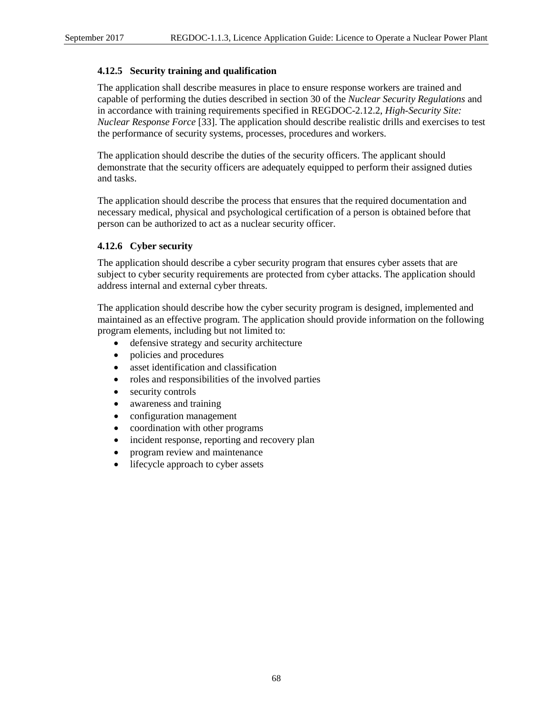#### **4.12.5 Security training and qualification**

The application shall describe measures in place to ensure response workers are trained and capable of performing the duties described in section 30 of the *Nuclear Security Regulations* and in accordance with training requirements specified in REGDOC-2.12.2, *High-Security Site: Nuclear Response Force* [33]. The application should describe realistic drills and exercises to test the performance of security systems, processes, procedures and workers.

The application should describe the duties of the security officers. The applicant should demonstrate that the security officers are adequately equipped to perform their assigned duties and tasks.

The application should describe the process that ensures that the required documentation and necessary medical, physical and psychological certification of a person is obtained before that person can be authorized to act as a nuclear security officer.

## **4.12.6 Cyber security**

The application should describe a cyber security program that ensures cyber assets that are subject to cyber security requirements are protected from cyber attacks. The application should address internal and external cyber threats.

The application should describe how the cyber security program is designed, implemented and maintained as an effective program. The application should provide information on the following program elements, including but not limited to:

- defensive strategy and security architecture
- policies and procedures
- asset identification and classification
- roles and responsibilities of the involved parties
- security controls
- awareness and training
- configuration management
- coordination with other programs
- incident response, reporting and recovery plan
- program review and maintenance
- lifecycle approach to cyber assets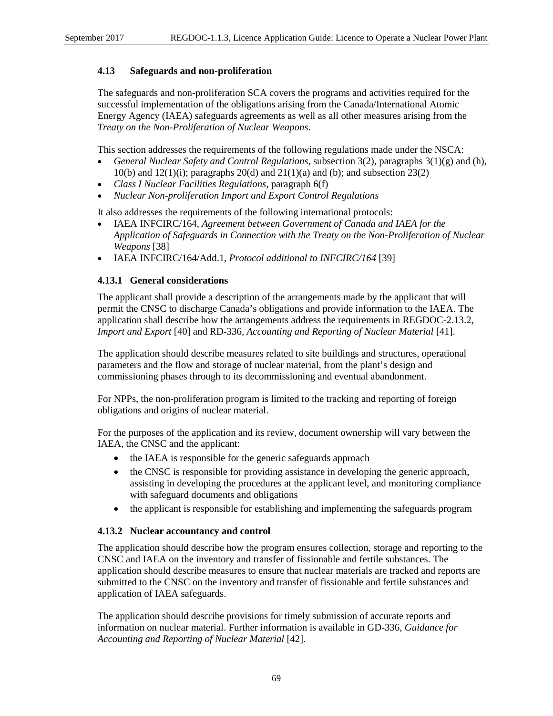#### **4.13 Safeguards and non-proliferation**

The safeguards and non-proliferation SCA covers the programs and activities required for the successful implementation of the obligations arising from the Canada/International Atomic Energy Agency (IAEA) safeguards agreements as well as all other measures arising from the *Treaty on the Non-Proliferation of Nuclear Weapons*.

This section addresses the requirements of the following regulations made under the NSCA:

- *General Nuclear Safety and Control Regulations*, subsection 3(2), paragraphs 3(1)(g) and (h), 10(b) and 12(1)(i); paragraphs 20(d) and 21(1)(a) and (b); and subsection 23(2)
- *Class I Nuclear Facilities Regulations*, paragraph 6(f)
- *Nuclear Non-proliferation Import and Export Control Regulations*

It also addresses the requirements of the following international protocols:

- IAEA INFCIRC/164, *Agreement between Government of Canada and IAEA for the Application of Safeguards in Connection with the Treaty on the Non-Proliferation of Nuclear Weapons* [38]
- IAEA INFCIRC/164/Add.1, *Protocol additional to INFCIRC/164* [39]

#### **4.13.1 General considerations**

The applicant shall provide a description of the arrangements made by the applicant that will permit the CNSC to discharge Canada's obligations and provide information to the IAEA. The application shall describe how the arrangements address the requirements in REGDOC-2.13.2, *Import and Export* [40] and RD-336, *Accounting and Reporting of Nuclear Material* [41].

The application should describe measures related to site buildings and structures, operational parameters and the flow and storage of nuclear material, from the plant's design and commissioning phases through to its decommissioning and eventual abandonment.

For NPPs, the non-proliferation program is limited to the tracking and reporting of foreign obligations and origins of nuclear material.

For the purposes of the application and its review, document ownership will vary between the IAEA, the CNSC and the applicant:

- the IAEA is responsible for the generic safeguards approach
- the CNSC is responsible for providing assistance in developing the generic approach, assisting in developing the procedures at the applicant level, and monitoring compliance with safeguard documents and obligations
- the applicant is responsible for establishing and implementing the safeguards program

#### **4.13.2 Nuclear accountancy and control**

The application should describe how the program ensures collection, storage and reporting to the CNSC and IAEA on the inventory and transfer of fissionable and fertile substances. The application should describe measures to ensure that nuclear materials are tracked and reports are submitted to the CNSC on the inventory and transfer of fissionable and fertile substances and application of IAEA safeguards.

The application should describe provisions for timely submission of accurate reports and information on nuclear material. Further information is available in GD-336, *Guidance for Accounting and Reporting of Nuclear Material* [42].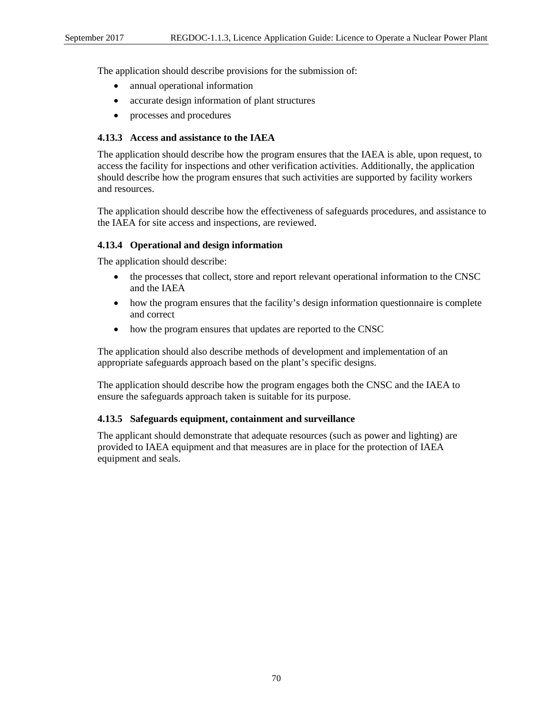The application should describe provisions for the submission of:

- annual operational information
- accurate design information of plant structures
- processes and procedures

#### **4.13.3 Access and assistance to the IAEA**

The application should describe how the program ensures that the IAEA is able, upon request, to access the facility for inspections and other verification activities. Additionally, the application should describe how the program ensures that such activities are supported by facility workers and resources.

The application should describe how the effectiveness of safeguards procedures, and assistance to the IAEA for site access and inspections, are reviewed.

#### **4.13.4 Operational and design information**

The application should describe:

- the processes that collect, store and report relevant operational information to the CNSC and the IAEA
- how the program ensures that the facility's design information questionnaire is complete and correct
- how the program ensures that updates are reported to the CNSC

The application should also describe methods of development and implementation of an appropriate safeguards approach based on the plant's specific designs.

The application should describe how the program engages both the CNSC and the IAEA to ensure the safeguards approach taken is suitable for its purpose.

#### **4.13.5 Safeguards equipment, containment and surveillance**

The applicant should demonstrate that adequate resources (such as power and lighting) are provided to IAEA equipment and that measures are in place for the protection of IAEA equipment and seals.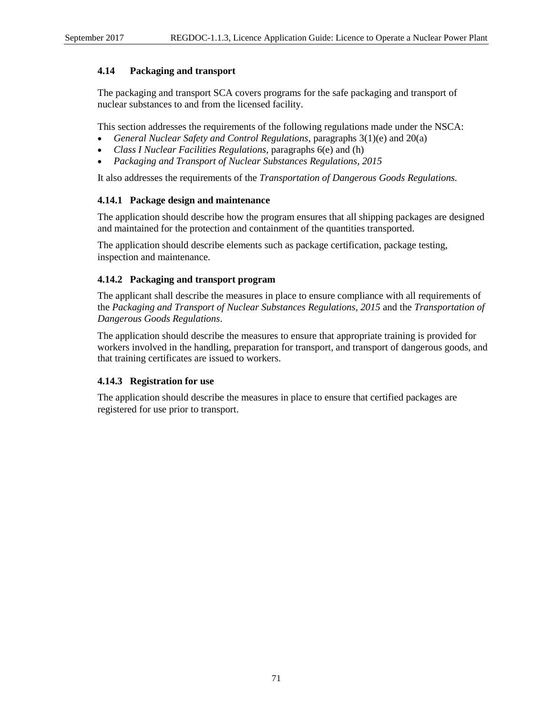#### **4.14 Packaging and transport**

The packaging and transport SCA covers programs for the safe packaging and transport of nuclear substances to and from the licensed facility.

This section addresses the requirements of the following regulations made under the NSCA:

- *General Nuclear Safety and Control Regulations*, paragraphs 3(1)(e) and 20(a)
- *Class I Nuclear Facilities Regulations*, paragraphs 6(e) and (h)
- *Packaging and Transport of Nuclear Substances Regulations, 2015*

It also addresses the requirements of the *Transportation of Dangerous Goods Regulations.*

## **4.14.1 Package design and maintenance**

The application should describe how the program ensures that all shipping packages are designed and maintained for the protection and containment of the quantities transported.

The application should describe elements such as package certification, package testing, inspection and maintenance.

## **4.14.2 Packaging and transport program**

The applicant shall describe the measures in place to ensure compliance with all requirements of the *Packaging and Transport of Nuclear Substances Regulations, 2015* and the *Transportation of Dangerous Goods Regulations*.

The application should describe the measures to ensure that appropriate training is provided for workers involved in the handling, preparation for transport, and transport of dangerous goods, and that training certificates are issued to workers.

#### **4.14.3 Registration for use**

The application should describe the measures in place to ensure that certified packages are registered for use prior to transport.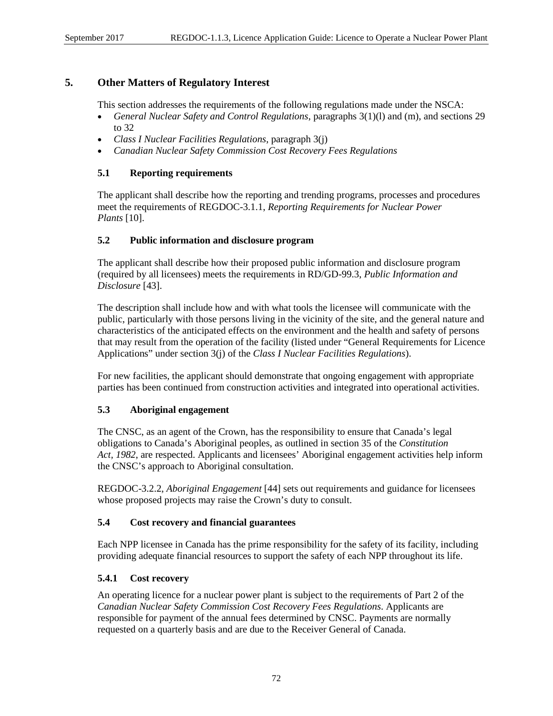## **5. Other Matters of Regulatory Interest**

This section addresses the requirements of the following regulations made under the NSCA:

- *General Nuclear Safety and Control Regulations*, paragraphs 3(1)(l) and (m), and sections 29 to 32
- *Class I Nuclear Facilities Regulations*, paragraph 3(j)
- *Canadian Nuclear Safety Commission Cost Recovery Fees Regulations*

## **5.1 Reporting requirements**

The applicant shall describe how the reporting and trending programs, processes and procedures meet the requirements of REGDOC-3.1.1, *Reporting Requirements for Nuclear Power Plants* [10].

#### **5.2 Public information and disclosure program**

The applicant shall describe how their proposed public information and disclosure program (required by all licensees) meets the requirements in RD/GD-99.3, *Public Information and Disclosure* [43].

The description shall include how and with what tools the licensee will communicate with the public, particularly with those persons living in the vicinity of the site, and the general nature and characteristics of the anticipated effects on the environment and the health and safety of persons that may result from the operation of the facility (listed under "General Requirements for Licence Applications" under section 3(j) of the *Class I Nuclear Facilities Regulations*).

For new facilities, the applicant should demonstrate that ongoing engagement with appropriate parties has been continued from construction activities and integrated into operational activities.

## **5.3 Aboriginal engagement**

The CNSC, as an agent of the Crown, has the responsibility to ensure that Canada's legal obligations to Canada's Aboriginal peoples, as outlined in section 35 of the *Constitution Act, 1982*, are respected. Applicants and licensees' Aboriginal engagement activities help inform the CNSC's approach to Aboriginal consultation.

REGDOC-3.2.2, *Aboriginal Engagement* [44] sets out requirements and guidance for licensees whose proposed projects may raise the Crown's duty to consult.

#### **5.4 Cost recovery and financial guarantees**

Each NPP licensee in Canada has the prime responsibility for the safety of its facility, including providing adequate financial resources to support the safety of each NPP throughout its life.

## **5.4.1 Cost recovery**

An operating licence for a nuclear power plant is subject to the requirements of Part 2 of the *Canadian Nuclear Safety Commission Cost Recovery Fees Regulations*. Applicants are responsible for payment of the annual fees determined by CNSC. Payments are normally requested on a quarterly basis and are due to the Receiver General of Canada.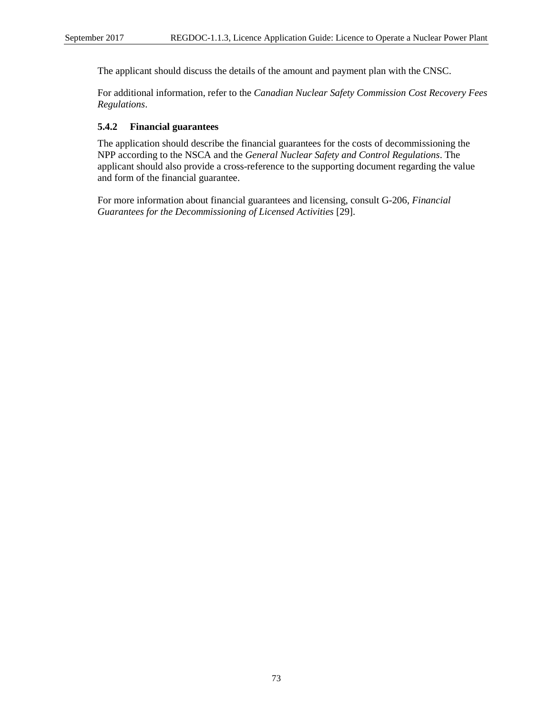The applicant should discuss the details of the amount and payment plan with the CNSC.

For additional information, refer to the *Canadian Nuclear Safety Commission Cost Recovery Fees Regulations*.

## **5.4.2 Financial guarantees**

The application should describe the financial guarantees for the costs of decommissioning the NPP according to the NSCA and the *General Nuclear Safety and Control Regulations*. The applicant should also provide a cross-reference to the supporting document regarding the value and form of the financial guarantee.

For more information about financial guarantees and licensing, consult G-206, *Financial Guarantees for the Decommissioning of Licensed Activities* [29].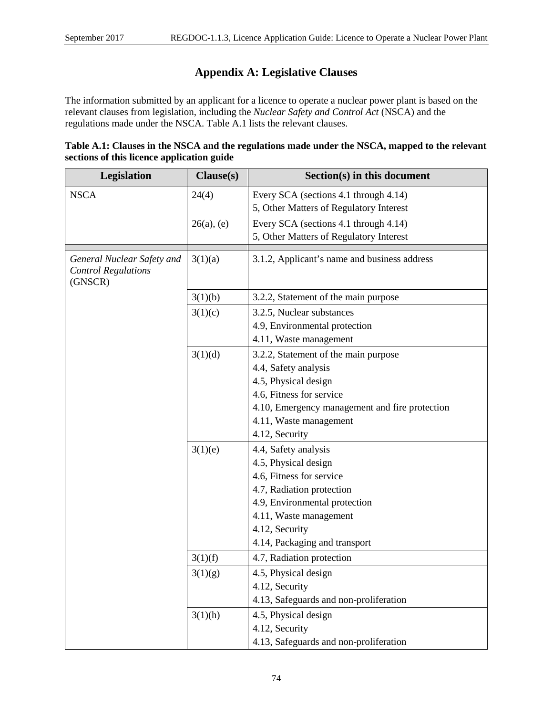# **Appendix A: Legislative Clauses**

The information submitted by an applicant for a licence to operate a nuclear power plant is based on the relevant clauses from legislation, including the *Nuclear Safety and Control Act* (NSCA) and the regulations made under the NSCA. Table A.1 lists the relevant clauses.

| Table A.1: Clauses in the NSCA and the regulations made under the NSCA, mapped to the relevant |  |
|------------------------------------------------------------------------------------------------|--|
| sections of this licence application guide                                                     |  |

| Legislation                                                         | Clause(s)     | Section(s) in this document                    |
|---------------------------------------------------------------------|---------------|------------------------------------------------|
| <b>NSCA</b>                                                         | 24(4)         | Every SCA (sections 4.1 through 4.14)          |
|                                                                     |               | 5, Other Matters of Regulatory Interest        |
|                                                                     | $26(a)$ , (e) | Every SCA (sections 4.1 through 4.14)          |
|                                                                     |               | 5, Other Matters of Regulatory Interest        |
| General Nuclear Safety and<br><b>Control Regulations</b><br>(GNSCR) | 3(1)(a)       | 3.1.2, Applicant's name and business address   |
|                                                                     | 3(1)(b)       | 3.2.2, Statement of the main purpose           |
|                                                                     | 3(1)(c)       | 3.2.5, Nuclear substances                      |
|                                                                     |               | 4.9, Environmental protection                  |
|                                                                     |               | 4.11, Waste management                         |
|                                                                     | 3(1)(d)       | 3.2.2, Statement of the main purpose           |
|                                                                     |               | 4.4, Safety analysis                           |
|                                                                     |               | 4.5, Physical design                           |
|                                                                     |               | 4.6, Fitness for service                       |
|                                                                     |               | 4.10, Emergency management and fire protection |
|                                                                     |               | 4.11, Waste management                         |
|                                                                     |               | 4.12, Security                                 |
|                                                                     | 3(1)(e)       | 4.4, Safety analysis                           |
|                                                                     |               | 4.5, Physical design                           |
|                                                                     |               | 4.6, Fitness for service                       |
|                                                                     |               | 4.7, Radiation protection                      |
|                                                                     |               | 4.9, Environmental protection                  |
|                                                                     |               | 4.11, Waste management                         |
|                                                                     |               | 4.12, Security                                 |
|                                                                     |               | 4.14, Packaging and transport                  |
|                                                                     | 3(1)(f)       | 4.7, Radiation protection                      |
|                                                                     | 3(1)(g)       | 4.5, Physical design                           |
|                                                                     |               | 4.12, Security                                 |
|                                                                     |               | 4.13, Safeguards and non-proliferation         |
|                                                                     | 3(1)(h)       | 4.5, Physical design                           |
|                                                                     |               | 4.12, Security                                 |
|                                                                     |               | 4.13, Safeguards and non-proliferation         |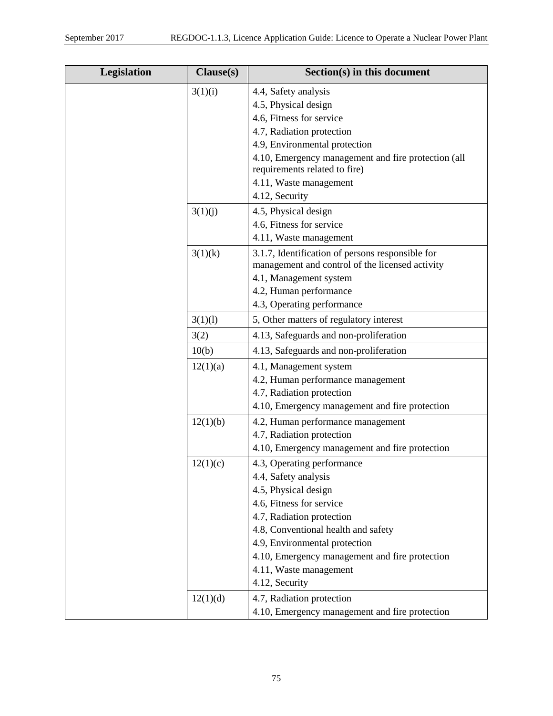| Legislation | Clause(s) | Section(s) in this document                                                                         |
|-------------|-----------|-----------------------------------------------------------------------------------------------------|
|             | 3(1)(i)   | 4.4, Safety analysis                                                                                |
|             |           | 4.5, Physical design                                                                                |
|             |           | 4.6, Fitness for service                                                                            |
|             |           | 4.7, Radiation protection                                                                           |
|             |           | 4.9, Environmental protection                                                                       |
|             |           | 4.10, Emergency management and fire protection (all<br>requirements related to fire)                |
|             |           | 4.11, Waste management                                                                              |
|             |           | 4.12, Security                                                                                      |
|             | 3(1)(j)   | 4.5, Physical design                                                                                |
|             |           | 4.6, Fitness for service                                                                            |
|             |           | 4.11, Waste management                                                                              |
|             | 3(1)(k)   | 3.1.7, Identification of persons responsible for<br>management and control of the licensed activity |
|             |           | 4.1, Management system                                                                              |
|             |           | 4.2, Human performance                                                                              |
|             |           | 4.3, Operating performance                                                                          |
|             | 3(1)(1)   | 5, Other matters of regulatory interest                                                             |
|             | 3(2)      | 4.13, Safeguards and non-proliferation                                                              |
|             | 10(b)     | 4.13, Safeguards and non-proliferation                                                              |
|             | 12(1)(a)  | 4.1, Management system                                                                              |
|             |           | 4.2, Human performance management                                                                   |
|             |           | 4.7, Radiation protection                                                                           |
|             |           | 4.10, Emergency management and fire protection                                                      |
|             | 12(1)(b)  | 4.2, Human performance management                                                                   |
|             |           | 4.7, Radiation protection                                                                           |
|             |           | 4.10, Emergency management and fire protection                                                      |
|             | 12(1)(c)  | 4.3, Operating performance                                                                          |
|             |           | 4.4, Safety analysis                                                                                |
|             |           | 4.5, Physical design                                                                                |
|             |           | 4.6, Fitness for service                                                                            |
|             |           | 4.7, Radiation protection                                                                           |
|             |           | 4.8, Conventional health and safety                                                                 |
|             |           | 4.9, Environmental protection                                                                       |
|             |           | 4.10, Emergency management and fire protection                                                      |
|             |           | 4.11, Waste management<br>4.12, Security                                                            |
|             |           |                                                                                                     |
|             | 12(1)(d)  | 4.7, Radiation protection                                                                           |
|             |           | 4.10, Emergency management and fire protection                                                      |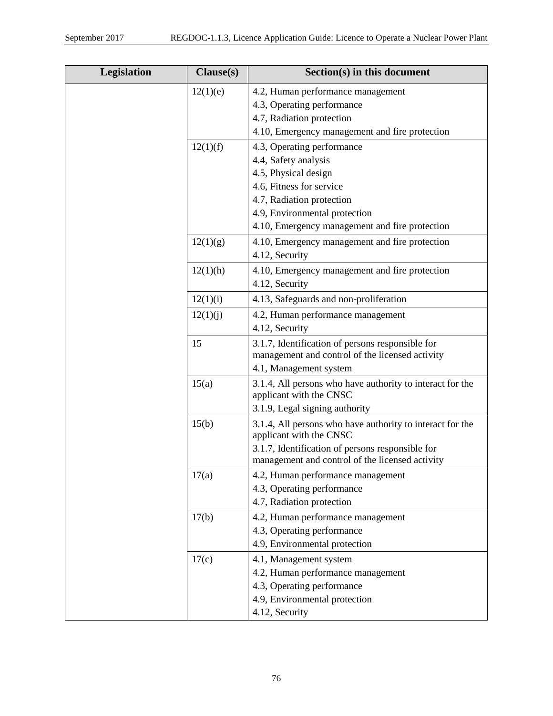| Legislation | Clause(s) | Section(s) in this document                                                          |
|-------------|-----------|--------------------------------------------------------------------------------------|
|             | 12(1)(e)  | 4.2, Human performance management                                                    |
|             |           | 4.3, Operating performance                                                           |
|             |           | 4.7, Radiation protection                                                            |
|             |           | 4.10, Emergency management and fire protection                                       |
|             | 12(1)(f)  | 4.3, Operating performance                                                           |
|             |           | 4.4, Safety analysis                                                                 |
|             |           | 4.5, Physical design                                                                 |
|             |           | 4.6, Fitness for service                                                             |
|             |           | 4.7, Radiation protection                                                            |
|             |           | 4.9, Environmental protection                                                        |
|             |           | 4.10, Emergency management and fire protection                                       |
|             | 12(1)(g)  | 4.10, Emergency management and fire protection                                       |
|             |           | 4.12, Security                                                                       |
|             | 12(1)(h)  | 4.10, Emergency management and fire protection                                       |
|             |           | 4.12, Security                                                                       |
|             | 12(1)(i)  | 4.13, Safeguards and non-proliferation                                               |
|             | 12(1)(j)  | 4.2, Human performance management                                                    |
|             |           | 4.12, Security                                                                       |
|             | 15        | 3.1.7, Identification of persons responsible for                                     |
|             |           | management and control of the licensed activity                                      |
|             |           | 4.1, Management system                                                               |
|             | 15(a)     | 3.1.4, All persons who have authority to interact for the                            |
|             |           | applicant with the CNSC                                                              |
|             |           | 3.1.9, Legal signing authority                                                       |
|             | 15(b)     | 3.1.4, All persons who have authority to interact for the<br>applicant with the CNSC |
|             |           | 3.1.7, Identification of persons responsible for                                     |
|             |           | management and control of the licensed activity                                      |
|             | 17(a)     | 4.2, Human performance management                                                    |
|             |           | 4.3, Operating performance                                                           |
|             |           | 4.7, Radiation protection                                                            |
|             | 17(b)     | 4.2, Human performance management                                                    |
|             |           | 4.3, Operating performance                                                           |
|             |           | 4.9, Environmental protection                                                        |
|             | 17(c)     | 4.1, Management system                                                               |
|             |           | 4.2, Human performance management                                                    |
|             |           | 4.3, Operating performance                                                           |
|             |           | 4.9, Environmental protection                                                        |
|             |           | 4.12, Security                                                                       |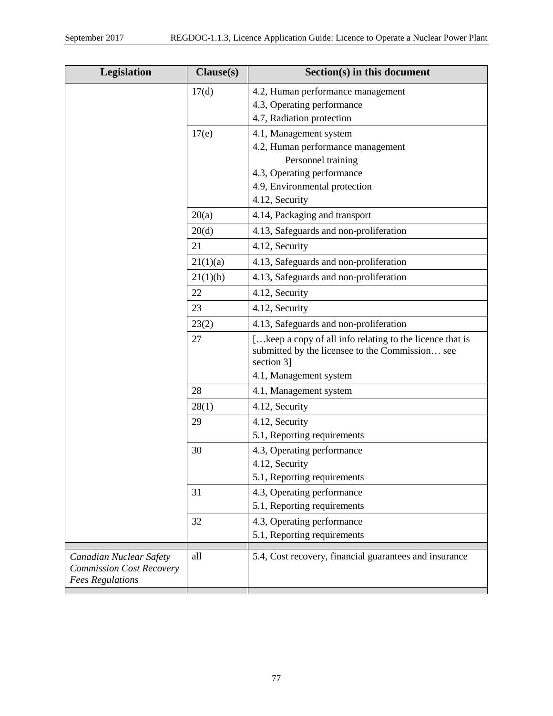| Legislation                                                                           | Clause(s) | Section(s) in this document                                                                                               |
|---------------------------------------------------------------------------------------|-----------|---------------------------------------------------------------------------------------------------------------------------|
|                                                                                       | 17(d)     | 4.2, Human performance management                                                                                         |
|                                                                                       |           | 4.3, Operating performance                                                                                                |
|                                                                                       |           | 4.7, Radiation protection                                                                                                 |
|                                                                                       | 17(e)     | 4.1, Management system                                                                                                    |
|                                                                                       |           | 4.2, Human performance management                                                                                         |
|                                                                                       |           | Personnel training<br>4.3, Operating performance                                                                          |
|                                                                                       |           | 4.9, Environmental protection                                                                                             |
|                                                                                       |           | 4.12, Security                                                                                                            |
|                                                                                       | 20(a)     | 4.14, Packaging and transport                                                                                             |
|                                                                                       | 20(d)     | 4.13, Safeguards and non-proliferation                                                                                    |
|                                                                                       | 21        | 4.12, Security                                                                                                            |
|                                                                                       | 21(1)(a)  | 4.13, Safeguards and non-proliferation                                                                                    |
|                                                                                       | 21(1)(b)  | 4.13, Safeguards and non-proliferation                                                                                    |
|                                                                                       | 22        | 4.12, Security                                                                                                            |
|                                                                                       | 23        | 4.12, Security                                                                                                            |
|                                                                                       | 23(2)     | 4.13, Safeguards and non-proliferation                                                                                    |
|                                                                                       | 27        | [keep a copy of all info relating to the licence that is<br>submitted by the licensee to the Commission see<br>section 3] |
|                                                                                       |           | 4.1, Management system                                                                                                    |
|                                                                                       | 28        | 4.1, Management system                                                                                                    |
|                                                                                       | 28(1)     | 4.12, Security                                                                                                            |
|                                                                                       | 29        | 4.12, Security                                                                                                            |
|                                                                                       |           | 5.1, Reporting requirements                                                                                               |
|                                                                                       | 30        | 4.3, Operating performance                                                                                                |
|                                                                                       |           | 4.12, Security                                                                                                            |
|                                                                                       |           | 5.1, Reporting requirements                                                                                               |
|                                                                                       | 31        | 4.3, Operating performance                                                                                                |
|                                                                                       |           | 5.1, Reporting requirements                                                                                               |
|                                                                                       | 32        | 4.3, Operating performance                                                                                                |
|                                                                                       |           | 5.1, Reporting requirements                                                                                               |
| Canadian Nuclear Safety<br><b>Commission Cost Recovery</b><br><b>Fees Regulations</b> | all       | 5.4, Cost recovery, financial guarantees and insurance                                                                    |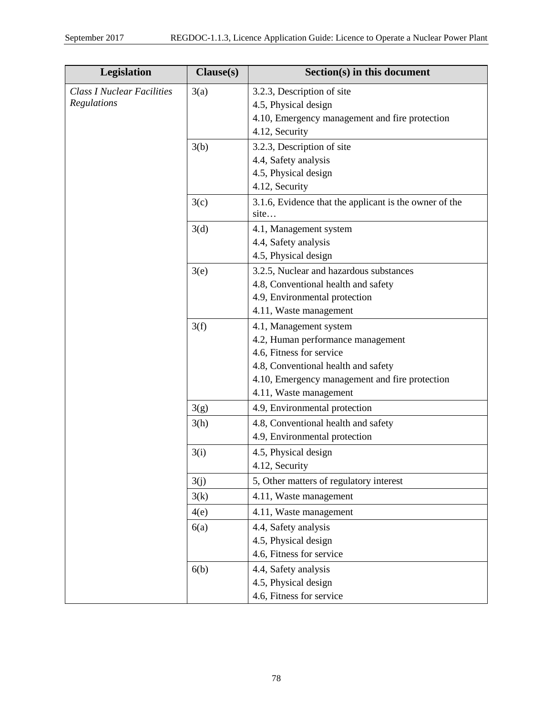| Legislation                       | Clause(s) | Section(s) in this document                                    |
|-----------------------------------|-----------|----------------------------------------------------------------|
| <b>Class I Nuclear Facilities</b> | 3(a)      | 3.2.3, Description of site                                     |
| Regulations                       |           | 4.5, Physical design                                           |
|                                   |           | 4.10, Emergency management and fire protection                 |
|                                   |           | 4.12, Security                                                 |
|                                   | 3(b)      | 3.2.3, Description of site                                     |
|                                   |           | 4.4, Safety analysis                                           |
|                                   |           | 4.5, Physical design                                           |
|                                   |           | 4.12, Security                                                 |
|                                   | 3(c)      | 3.1.6, Evidence that the applicant is the owner of the<br>site |
|                                   | 3(d)      | 4.1, Management system                                         |
|                                   |           | 4.4, Safety analysis                                           |
|                                   |           | 4.5, Physical design                                           |
|                                   | 3(e)      | 3.2.5, Nuclear and hazardous substances                        |
|                                   |           | 4.8, Conventional health and safety                            |
|                                   |           | 4.9, Environmental protection                                  |
|                                   |           | 4.11, Waste management                                         |
|                                   | 3(f)      | 4.1, Management system                                         |
|                                   |           | 4.2, Human performance management                              |
|                                   |           | 4.6, Fitness for service                                       |
|                                   |           | 4.8, Conventional health and safety                            |
|                                   |           | 4.10, Emergency management and fire protection                 |
|                                   |           | 4.11, Waste management                                         |
|                                   | 3(g)      | 4.9, Environmental protection                                  |
|                                   | 3(h)      | 4.8, Conventional health and safety                            |
|                                   |           | 4.9, Environmental protection                                  |
|                                   | 3(i)      | 4.5, Physical design                                           |
|                                   |           | 4.12, Security                                                 |
|                                   | 3(j)      | 5, Other matters of regulatory interest                        |
|                                   | 3(k)      | 4.11, Waste management                                         |
|                                   | 4(e)      | 4.11, Waste management                                         |
|                                   | 6(a)      | 4.4, Safety analysis                                           |
|                                   |           | 4.5, Physical design                                           |
|                                   |           | 4.6, Fitness for service                                       |
|                                   | 6(b)      | 4.4, Safety analysis                                           |
|                                   |           | 4.5, Physical design                                           |
|                                   |           | 4.6, Fitness for service                                       |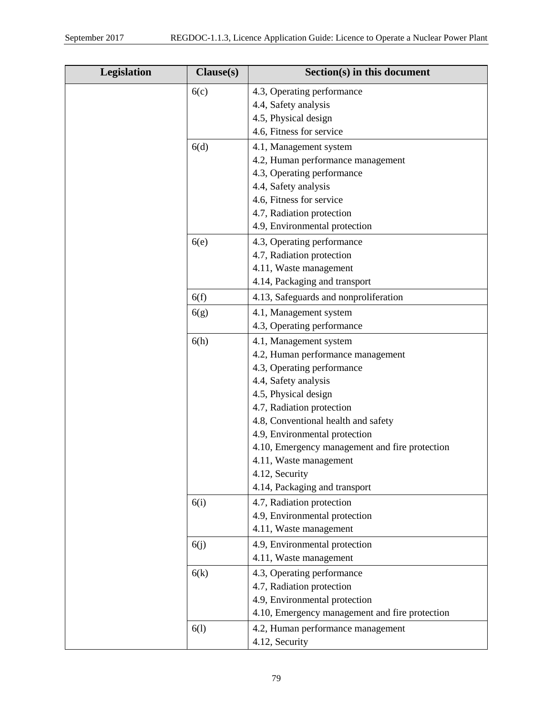| Legislation | Clause(s) | Section(s) in this document                    |
|-------------|-----------|------------------------------------------------|
|             | 6(c)      | 4.3, Operating performance                     |
|             |           | 4.4, Safety analysis                           |
|             |           | 4.5, Physical design                           |
|             |           | 4.6, Fitness for service                       |
|             | 6(d)      | 4.1, Management system                         |
|             |           | 4.2, Human performance management              |
|             |           | 4.3, Operating performance                     |
|             |           | 4.4, Safety analysis                           |
|             |           | 4.6, Fitness for service                       |
|             |           | 4.7, Radiation protection                      |
|             |           | 4.9, Environmental protection                  |
|             | 6(e)      | 4.3, Operating performance                     |
|             |           | 4.7, Radiation protection                      |
|             |           | 4.11, Waste management                         |
|             |           | 4.14, Packaging and transport                  |
|             | 6(f)      | 4.13, Safeguards and nonproliferation          |
|             | 6(g)      | 4.1, Management system                         |
|             |           | 4.3, Operating performance                     |
|             | 6(h)      | 4.1, Management system                         |
|             |           | 4.2, Human performance management              |
|             |           | 4.3, Operating performance                     |
|             |           | 4.4, Safety analysis                           |
|             |           | 4.5, Physical design                           |
|             |           | 4.7, Radiation protection                      |
|             |           | 4.8, Conventional health and safety            |
|             |           | 4.9, Environmental protection                  |
|             |           | 4.10, Emergency management and fire protection |
|             |           | 4.11, Waste management                         |
|             |           | 4.12, Security                                 |
|             |           | 4.14, Packaging and transport                  |
|             | 6(i)      | 4.7, Radiation protection                      |
|             |           | 4.9, Environmental protection                  |
|             |           | 4.11, Waste management                         |
|             | 6(j)      | 4.9, Environmental protection                  |
|             |           | 4.11, Waste management                         |
|             | 6(k)      | 4.3, Operating performance                     |
|             |           | 4.7, Radiation protection                      |
|             |           | 4.9, Environmental protection                  |
|             |           | 4.10, Emergency management and fire protection |
|             | 6(1)      | 4.2, Human performance management              |
|             |           | 4.12, Security                                 |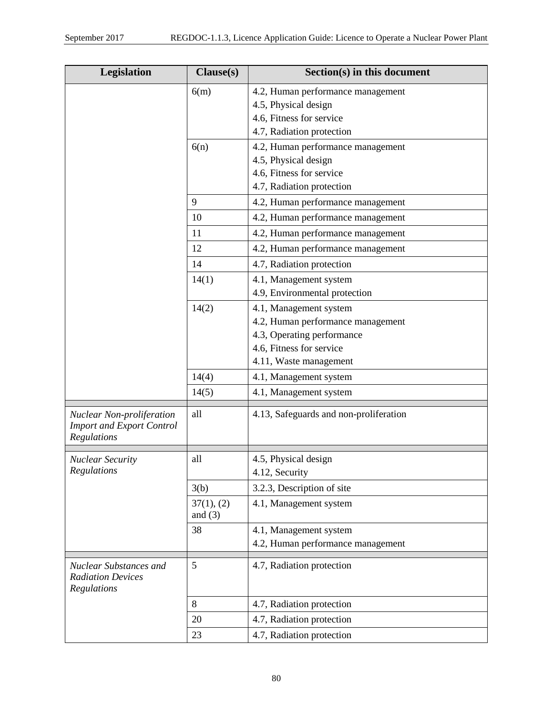| Legislation                                                                         | Clause(s)               | Section(s) in this document            |
|-------------------------------------------------------------------------------------|-------------------------|----------------------------------------|
|                                                                                     | 6(m)                    | 4.2, Human performance management      |
|                                                                                     |                         | 4.5, Physical design                   |
|                                                                                     |                         | 4.6, Fitness for service               |
|                                                                                     |                         | 4.7, Radiation protection              |
|                                                                                     | 6(n)                    | 4.2, Human performance management      |
|                                                                                     |                         | 4.5, Physical design                   |
|                                                                                     |                         | 4.6, Fitness for service               |
|                                                                                     |                         | 4.7, Radiation protection              |
|                                                                                     | 9                       | 4.2, Human performance management      |
|                                                                                     | 10                      | 4.2, Human performance management      |
|                                                                                     | 11                      | 4.2, Human performance management      |
|                                                                                     | 12                      | 4.2, Human performance management      |
|                                                                                     | 14                      | 4.7, Radiation protection              |
|                                                                                     | 14(1)                   | 4.1, Management system                 |
|                                                                                     |                         | 4.9, Environmental protection          |
|                                                                                     | 14(2)                   | 4.1, Management system                 |
|                                                                                     |                         | 4.2, Human performance management      |
|                                                                                     |                         | 4.3, Operating performance             |
|                                                                                     |                         | 4.6, Fitness for service               |
|                                                                                     |                         | 4.11, Waste management                 |
|                                                                                     | 14(4)                   | 4.1, Management system                 |
|                                                                                     | 14(5)                   | 4.1, Management system                 |
| <b>Nuclear Non-proliferation</b><br><b>Import and Export Control</b><br>Regulations | all                     | 4.13, Safeguards and non-proliferation |
| <b>Nuclear Security</b>                                                             | all                     | 4.5, Physical design                   |
| Regulations                                                                         |                         | 4.12, Security                         |
|                                                                                     | 3(b)                    | 3.2.3, Description of site             |
|                                                                                     | 37(1), (2)<br>and $(3)$ | 4.1, Management system                 |
|                                                                                     | 38                      | 4.1, Management system                 |
|                                                                                     |                         | 4.2, Human performance management      |
| <b>Nuclear Substances and</b><br><b>Radiation Devices</b><br>Regulations            | 5                       | 4.7, Radiation protection              |
|                                                                                     | 8                       | 4.7, Radiation protection              |
|                                                                                     | 20                      | 4.7, Radiation protection              |
|                                                                                     | 23                      | 4.7, Radiation protection              |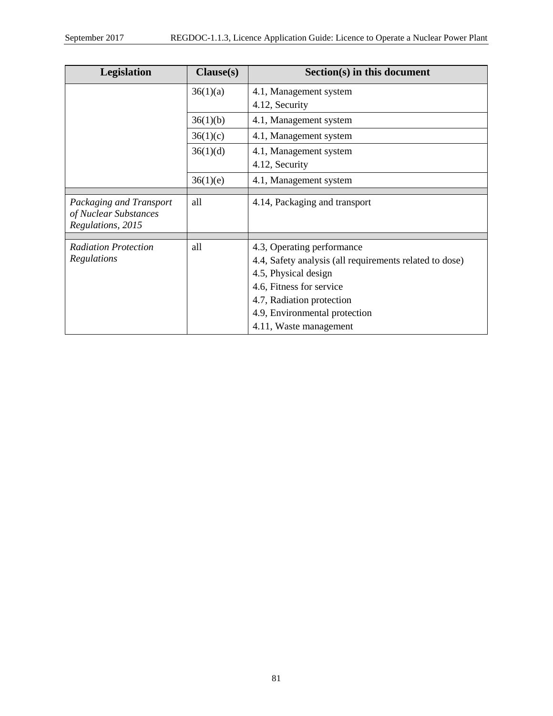| Legislation                                                           | Clause(s) | Section(s) in this document                             |
|-----------------------------------------------------------------------|-----------|---------------------------------------------------------|
|                                                                       | 36(1)(a)  | 4.1, Management system                                  |
|                                                                       |           | 4.12, Security                                          |
|                                                                       | 36(1)(b)  | 4.1, Management system                                  |
|                                                                       | 36(1)(c)  | 4.1, Management system                                  |
|                                                                       | 36(1)(d)  | 4.1, Management system                                  |
|                                                                       |           | 4.12, Security                                          |
|                                                                       | 36(1)(e)  | 4.1, Management system                                  |
|                                                                       |           |                                                         |
| Packaging and Transport<br>of Nuclear Substances<br>Regulations, 2015 | all       | 4.14, Packaging and transport                           |
|                                                                       |           |                                                         |
| <b>Radiation Protection</b>                                           | all       | 4.3, Operating performance                              |
| Regulations                                                           |           | 4.4, Safety analysis (all requirements related to dose) |
|                                                                       |           | 4.5, Physical design                                    |
|                                                                       |           | 4.6, Fitness for service                                |
|                                                                       |           | 4.7, Radiation protection                               |
|                                                                       |           | 4.9, Environmental protection                           |
|                                                                       |           | 4.11, Waste management                                  |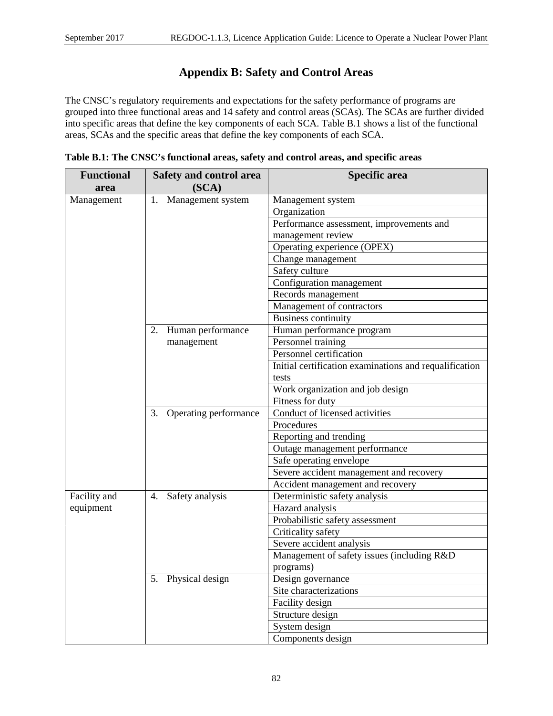# **Appendix B: Safety and Control Areas**

The CNSC's regulatory requirements and expectations for the safety performance of programs are grouped into three functional areas and 14 safety and control areas (SCAs). The SCAs are further divided into specific areas that define the key components of each SCA. Table B.1 shows a list of the functional areas, SCAs and the specific areas that define the key components of each SCA.

| <b>Functional</b> | Safety and control area     | Specific area                                          |
|-------------------|-----------------------------|--------------------------------------------------------|
| area              | (SCA)                       |                                                        |
| Management        | Management system<br>1.     | Management system                                      |
|                   |                             | Organization                                           |
|                   |                             | Performance assessment, improvements and               |
|                   |                             | management review                                      |
|                   |                             | Operating experience (OPEX)                            |
|                   |                             | Change management                                      |
|                   |                             | Safety culture                                         |
|                   |                             | Configuration management                               |
|                   |                             | Records management                                     |
|                   |                             | Management of contractors                              |
|                   |                             | <b>Business continuity</b>                             |
|                   | Human performance<br>2.     | Human performance program                              |
|                   | management                  | Personnel training                                     |
|                   |                             | Personnel certification                                |
|                   |                             | Initial certification examinations and requalification |
|                   |                             | tests                                                  |
|                   |                             | Work organization and job design                       |
|                   |                             | Fitness for duty                                       |
|                   | Operating performance<br>3. | Conduct of licensed activities                         |
|                   |                             | Procedures                                             |
|                   |                             | Reporting and trending                                 |
|                   |                             | Outage management performance                          |
|                   |                             | Safe operating envelope                                |
|                   |                             | Severe accident management and recovery                |
|                   |                             | Accident management and recovery                       |
| Facility and      | 4. Safety analysis          | Deterministic safety analysis                          |
| equipment         |                             | Hazard analysis                                        |
|                   |                             | Probabilistic safety assessment                        |
|                   |                             | Criticality safety                                     |
|                   |                             | Severe accident analysis                               |
|                   |                             | Management of safety issues (including R&D             |
|                   |                             | programs)                                              |
|                   | 5. Physical design          | Design governance                                      |
|                   |                             | Site characterizations                                 |
|                   |                             | Facility design                                        |
|                   |                             | Structure design                                       |
|                   |                             | System design                                          |
|                   |                             | Components design                                      |

|  | Table B.1: The CNSC's functional areas, safety and control areas, and specific areas |  |
|--|--------------------------------------------------------------------------------------|--|
|  |                                                                                      |  |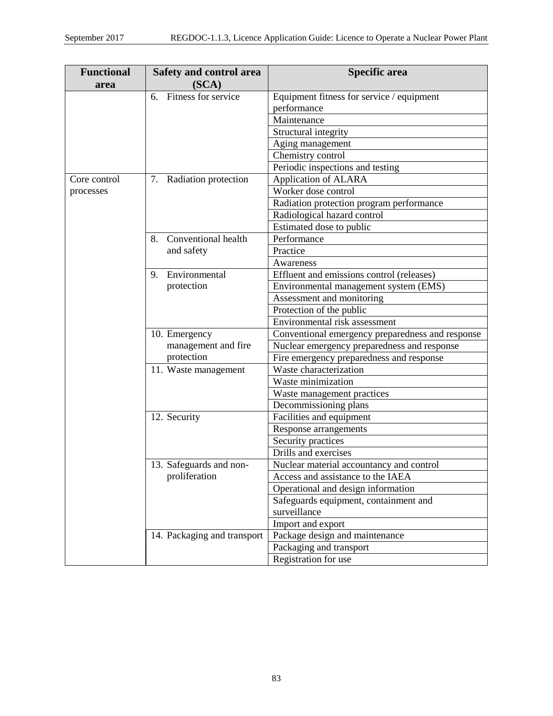| <b>Functional</b> | <b>Safety and control area</b> | <b>Specific area</b>                             |
|-------------------|--------------------------------|--------------------------------------------------|
| area              | (SCA)                          |                                                  |
|                   | Fitness for service<br>6.      | Equipment fitness for service / equipment        |
|                   |                                | performance                                      |
|                   |                                | Maintenance                                      |
|                   |                                | Structural integrity                             |
|                   |                                | Aging management                                 |
|                   |                                | Chemistry control                                |
|                   |                                | Periodic inspections and testing                 |
| Core control      | 7. Radiation protection        | Application of ALARA                             |
| processes         |                                | Worker dose control                              |
|                   |                                | Radiation protection program performance         |
|                   |                                | Radiological hazard control                      |
|                   |                                | Estimated dose to public                         |
|                   | Conventional health<br>8.      | Performance                                      |
|                   | and safety                     | Practice                                         |
|                   |                                | Awareness                                        |
|                   | Environmental<br>9.            | Effluent and emissions control (releases)        |
|                   | protection                     | Environmental management system (EMS)            |
|                   |                                | Assessment and monitoring                        |
|                   |                                | Protection of the public                         |
|                   |                                | Environmental risk assessment                    |
|                   | 10. Emergency                  | Conventional emergency preparedness and response |
|                   | management and fire            | Nuclear emergency preparedness and response      |
|                   | protection                     | Fire emergency preparedness and response         |
|                   | 11. Waste management           | Waste characterization                           |
|                   |                                | Waste minimization                               |
|                   |                                | Waste management practices                       |
|                   |                                | Decommissioning plans                            |
|                   | 12. Security                   | Facilities and equipment                         |
|                   |                                | Response arrangements                            |
|                   |                                | Security practices                               |
|                   |                                | Drills and exercises                             |
|                   | 13. Safeguards and non-        | Nuclear material accountancy and control         |
|                   | proliferation                  | Access and assistance to the IAEA                |
|                   |                                | Operational and design information               |
|                   |                                | Safeguards equipment, containment and            |
|                   |                                | surveillance                                     |
|                   |                                | Import and export                                |
|                   | 14. Packaging and transport    | Package design and maintenance                   |
|                   |                                | Packaging and transport                          |
|                   |                                | Registration for use                             |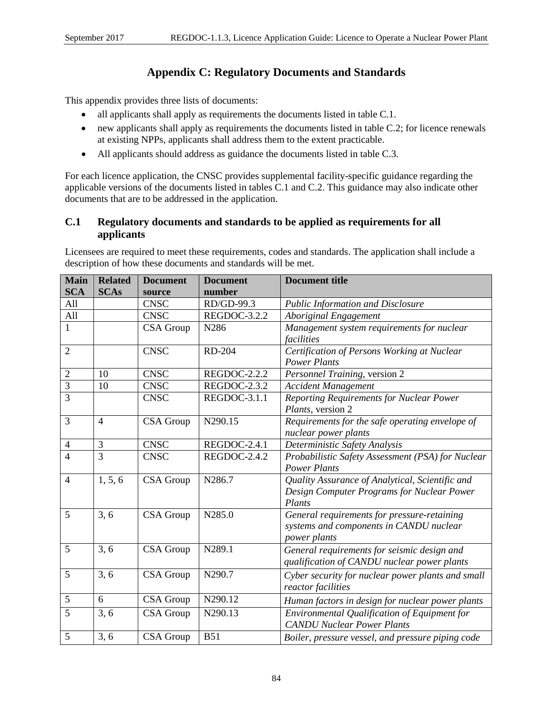# **Appendix C: Regulatory Documents and Standards**

This appendix provides three lists of documents:

- all applicants shall apply as requirements the documents listed in table C.1.
- new applicants shall apply as requirements the documents listed in table C.2; for licence renewals at existing NPPs, applicants shall address them to the extent practicable.
- All applicants should address as guidance the documents listed in table C.3.

For each licence application, the CNSC provides supplemental facility-specific guidance regarding the applicable versions of the documents listed in tables C.1 and C.2. This guidance may also indicate other documents that are to be addressed in the application.

## **C.1 Regulatory documents and standards to be applied as requirements for all applicants**

Licensees are required to meet these requirements, codes and standards. The application shall include a description of how these documents and standards will be met.

| <b>Main</b><br><b>SCA</b> | <b>Related</b><br><b>SCAs</b> | <b>Document</b><br>source | <b>Document</b><br>number | <b>Document title</b>                                                                                   |  |  |  |
|---------------------------|-------------------------------|---------------------------|---------------------------|---------------------------------------------------------------------------------------------------------|--|--|--|
| All                       |                               | <b>CNSC</b>               | RD/GD-99.3                | <b>Public Information and Disclosure</b>                                                                |  |  |  |
| All                       |                               | <b>CNSC</b>               | REGDOC-3.2.2              | <b>Aboriginal Engagement</b>                                                                            |  |  |  |
| $\mathbf{1}$              |                               | CSA Group                 | N286                      | Management system requirements for nuclear<br>facilities                                                |  |  |  |
| $\overline{2}$            |                               | <b>CNSC</b>               | <b>RD-204</b>             | Certification of Persons Working at Nuclear<br><b>Power Plants</b>                                      |  |  |  |
| 2                         | 10                            | <b>CNSC</b>               | REGDOC-2.2.2              | Personnel Training, version 2                                                                           |  |  |  |
| $\overline{3}$            | 10                            | <b>CNSC</b>               | REGDOC-2.3.2              | <b>Accident Management</b>                                                                              |  |  |  |
| 3                         |                               | <b>CNSC</b>               | REGDOC-3.1.1              | Reporting Requirements for Nuclear Power<br>Plants, version 2                                           |  |  |  |
| 3                         | $\overline{4}$                | CSA Group                 | N290.15                   | Requirements for the safe operating envelope of<br>nuclear power plants                                 |  |  |  |
| $\overline{4}$            | 3                             | <b>CNSC</b>               | REGDOC-2.4.1              | Deterministic Safety Analysis                                                                           |  |  |  |
| $\overline{4}$            | $\overline{3}$                | <b>CNSC</b>               | REGDOC-2.4.2              | Probabilistic Safety Assessment (PSA) for Nuclear<br><b>Power Plants</b>                                |  |  |  |
| $\overline{4}$            | 1, 5, 6                       | <b>CSA</b> Group          | N286.7                    | Quality Assurance of Analytical, Scientific and<br>Design Computer Programs for Nuclear Power<br>Plants |  |  |  |
| 5                         | 3, 6                          | CSA Group                 | N285.0                    | General requirements for pressure-retaining<br>systems and components in CANDU nuclear<br>power plants  |  |  |  |
| 5                         | 3, 6                          | <b>CSA</b> Group          | N289.1                    | General requirements for seismic design and<br>qualification of CANDU nuclear power plants              |  |  |  |
| 5                         | 3, 6                          | CSA Group                 | N290.7                    | Cyber security for nuclear power plants and small<br>reactor facilities                                 |  |  |  |
| 5                         | 6                             | CSA Group                 | N290.12                   | Human factors in design for nuclear power plants                                                        |  |  |  |
| 5                         | 3, 6                          | CSA Group                 | N290.13                   | Environmental Qualification of Equipment for<br><b>CANDU Nuclear Power Plants</b>                       |  |  |  |
| 5                         | 3, 6                          | <b>CSA</b> Group          | <b>B51</b>                | Boiler, pressure vessel, and pressure piping code                                                       |  |  |  |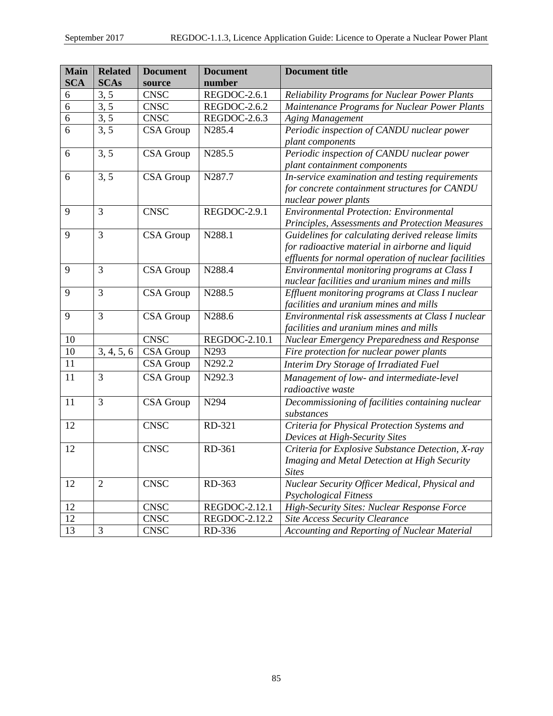| <b>Main</b> | <b>Related</b> | <b>Document</b> | <b>Document</b> | <b>Document title</b>                                |  |  |  |
|-------------|----------------|-----------------|-----------------|------------------------------------------------------|--|--|--|
| <b>SCA</b>  | <b>SCAs</b>    | source          | number          |                                                      |  |  |  |
| 6           | 3, 5           | <b>CNSC</b>     | REGDOC-2.6.1    | <b>Reliability Programs for Nuclear Power Plants</b> |  |  |  |
| 6           | 3, 5           | <b>CNSC</b>     | REGDOC-2.6.2    | Maintenance Programs for Nuclear Power Plants        |  |  |  |
| 6           | 3, 5           | <b>CNSC</b>     | REGDOC-2.6.3    | <b>Aging Management</b>                              |  |  |  |
| 6           | 3, 5           | CSA Group       | N285.4          | Periodic inspection of CANDU nuclear power           |  |  |  |
|             |                |                 |                 | plant components                                     |  |  |  |
| 6           | 3, 5           | CSA Group       | N285.5          | Periodic inspection of CANDU nuclear power           |  |  |  |
|             |                |                 |                 | plant containment components                         |  |  |  |
| 6           | 3, 5           | CSA Group       | N287.7          | In-service examination and testing requirements      |  |  |  |
|             |                |                 |                 | for concrete containment structures for CANDU        |  |  |  |
|             |                |                 |                 | nuclear power plants                                 |  |  |  |
| 9           | 3              | <b>CNSC</b>     | REGDOC-2.9.1    | <b>Environmental Protection: Environmental</b>       |  |  |  |
|             |                |                 |                 | Principles, Assessments and Protection Measures      |  |  |  |
| 9           | $\overline{3}$ | CSA Group       | N288.1          | Guidelines for calculating derived release limits    |  |  |  |
|             |                |                 |                 | for radioactive material in airborne and liquid      |  |  |  |
|             |                |                 |                 | effluents for normal operation of nuclear facilities |  |  |  |
| 9           | 3              | CSA Group       | N288.4          | Environmental monitoring programs at Class I         |  |  |  |
|             |                |                 |                 | nuclear facilities and uranium mines and mills       |  |  |  |
| 9           | 3              | CSA Group       | N288.5          | Effluent monitoring programs at Class I nuclear      |  |  |  |
|             |                |                 |                 | facilities and uranium mines and mills               |  |  |  |
| 9           | $\overline{3}$ | CSA Group       | N288.6          | Environmental risk assessments at Class I nuclear    |  |  |  |
|             |                |                 |                 | facilities and uranium mines and mills               |  |  |  |
| 10          |                | <b>CNSC</b>     | REGDOC-2.10.1   | Nuclear Emergency Preparedness and Response          |  |  |  |
| 10          | 3, 4, 5, 6     | CSA Group       | N293            | Fire protection for nuclear power plants             |  |  |  |
| 11          |                | CSA Group       | N292.2          | Interim Dry Storage of Irradiated Fuel               |  |  |  |
| 11          | 3              | CSA Group       | N292.3          | Management of low- and intermediate-level            |  |  |  |
|             |                |                 |                 | radioactive waste                                    |  |  |  |
| 11          | 3              | CSA Group       | N294            | Decommissioning of facilities containing nuclear     |  |  |  |
|             |                |                 |                 | substances                                           |  |  |  |
| 12          |                | <b>CNSC</b>     | RD-321          | Criteria for Physical Protection Systems and         |  |  |  |
|             |                |                 |                 | Devices at High-Security Sites                       |  |  |  |
| 12          |                | <b>CNSC</b>     | RD-361          | Criteria for Explosive Substance Detection, X-ray    |  |  |  |
|             |                |                 |                 | Imaging and Metal Detection at High Security         |  |  |  |
|             |                |                 |                 | <b>Sites</b>                                         |  |  |  |
| 12          | $\mathfrak{2}$ | <b>CNSC</b>     | RD-363          | Nuclear Security Officer Medical, Physical and       |  |  |  |
|             |                |                 |                 | Psychological Fitness                                |  |  |  |
| 12          |                | <b>CNSC</b>     | REGDOC-2.12.1   | High-Security Sites: Nuclear Response Force          |  |  |  |
| 12          |                | <b>CNSC</b>     | REGDOC-2.12.2   | <b>Site Access Security Clearance</b>                |  |  |  |
| 13          | 3              | <b>CNSC</b>     | RD-336          | Accounting and Reporting of Nuclear Material         |  |  |  |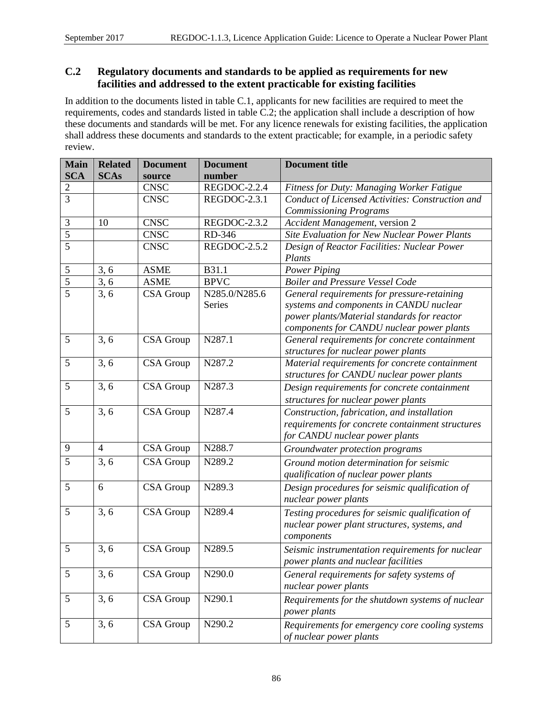## **C.2 Regulatory documents and standards to be applied as requirements for new facilities and addressed to the extent practicable for existing facilities**

In addition to the documents listed in table C.1, applicants for new facilities are required to meet the requirements, codes and standards listed in table C.2; the application shall include a description of how these documents and standards will be met. For any licence renewals for existing facilities, the application shall address these documents and standards to the extent practicable; for example, in a periodic safety review.

| <b>Main</b>    | <b>Related</b> | <b>Document</b> | <b>Document</b> | <b>Document title</b>                            |  |  |  |  |
|----------------|----------------|-----------------|-----------------|--------------------------------------------------|--|--|--|--|
| <b>SCA</b>     | <b>SCAs</b>    | source          | number          |                                                  |  |  |  |  |
| $\overline{c}$ |                | <b>CNSC</b>     | REGDOC-2.2.4    | Fitness for Duty: Managing Worker Fatigue        |  |  |  |  |
| $\overline{3}$ |                | <b>CNSC</b>     | REGDOC-2.3.1    | Conduct of Licensed Activities: Construction and |  |  |  |  |
|                |                |                 |                 | <b>Commissioning Programs</b>                    |  |  |  |  |
| $\mathfrak{Z}$ | 10             | <b>CNSC</b>     | REGDOC-2.3.2    | Accident Management, version 2                   |  |  |  |  |
| $\overline{5}$ |                | <b>CNSC</b>     | RD-346          | Site Evaluation for New Nuclear Power Plants     |  |  |  |  |
| $\overline{5}$ |                | <b>CNSC</b>     | REGDOC-2.5.2    | Design of Reactor Facilities: Nuclear Power      |  |  |  |  |
|                |                |                 |                 | Plants                                           |  |  |  |  |
| $\overline{5}$ | 3, 6           | <b>ASME</b>     | B31.1           | Power Piping                                     |  |  |  |  |
| $\overline{5}$ | 3, 6           | <b>ASME</b>     | <b>BPVC</b>     | <b>Boiler and Pressure Vessel Code</b>           |  |  |  |  |
| 5              | 3, 6           | CSA Group       | N285.0/N285.6   | General requirements for pressure-retaining      |  |  |  |  |
|                |                |                 | Series          | systems and components in CANDU nuclear          |  |  |  |  |
|                |                |                 |                 | power plants/Material standards for reactor      |  |  |  |  |
|                |                |                 |                 | components for CANDU nuclear power plants        |  |  |  |  |
| 5              | 3, 6           | CSA Group       | N287.1          | General requirements for concrete containment    |  |  |  |  |
|                |                |                 |                 | structures for nuclear power plants              |  |  |  |  |
| 5              | 3, 6           | CSA Group       | N287.2          | Material requirements for concrete containment   |  |  |  |  |
|                |                |                 |                 | structures for CANDU nuclear power plants        |  |  |  |  |
| 5              | 3, 6           | CSA Group       | N287.3          | Design requirements for concrete containment     |  |  |  |  |
|                |                |                 |                 | structures for nuclear power plants              |  |  |  |  |
| 5              | 3, 6           | CSA Group       | N287.4          | Construction, fabrication, and installation      |  |  |  |  |
|                |                |                 |                 | requirements for concrete containment structures |  |  |  |  |
|                |                |                 |                 | for CANDU nuclear power plants                   |  |  |  |  |
| 9              | $\overline{4}$ | CSA Group       | N288.7          | Groundwater protection programs                  |  |  |  |  |
| 5              | 3, 6           | CSA Group       | N289.2          | Ground motion determination for seismic          |  |  |  |  |
|                |                |                 |                 | qualification of nuclear power plants            |  |  |  |  |
| 5              | 6              | CSA Group       | N289.3          | Design procedures for seismic qualification of   |  |  |  |  |
|                |                |                 |                 | nuclear power plants                             |  |  |  |  |
| 5              | 3, 6           | CSA Group       | N289.4          | Testing procedures for seismic qualification of  |  |  |  |  |
|                |                |                 |                 | nuclear power plant structures, systems, and     |  |  |  |  |
|                |                |                 |                 | components                                       |  |  |  |  |
| 5              | 3, 6           | CSA Group       | N289.5          | Seismic instrumentation requirements for nuclear |  |  |  |  |
|                |                |                 |                 | power plants and nuclear facilities              |  |  |  |  |
| 5              | 3, 6           | CSA Group       | N290.0          | General requirements for safety systems of       |  |  |  |  |
|                |                |                 |                 | nuclear power plants                             |  |  |  |  |
| 5              | 3, 6           | CSA Group       | N290.1          | Requirements for the shutdown systems of nuclear |  |  |  |  |
|                |                |                 |                 | power plants                                     |  |  |  |  |
| $\mathfrak{S}$ | 3, 6           | CSA Group       | N290.2          | Requirements for emergency core cooling systems  |  |  |  |  |
|                |                |                 |                 | of nuclear power plants                          |  |  |  |  |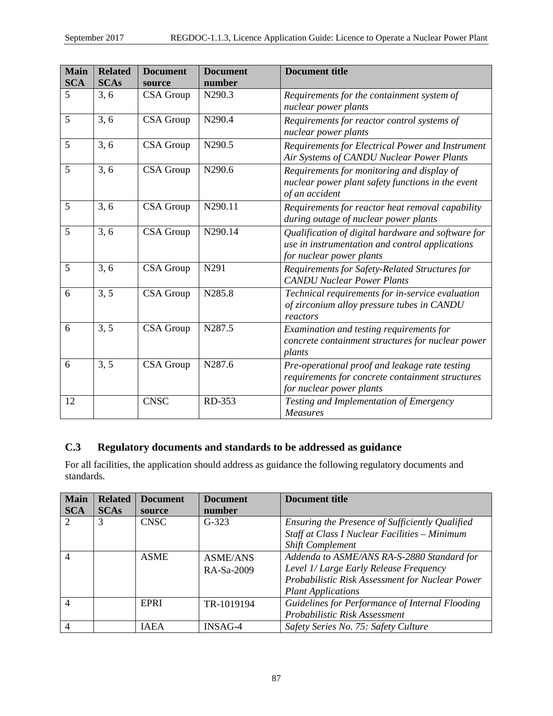| Main       | <b>Related</b> | <b>Document</b>  | <b>Document</b> | <b>Document title</b>                                                                                                             |  |  |  |
|------------|----------------|------------------|-----------------|-----------------------------------------------------------------------------------------------------------------------------------|--|--|--|
| <b>SCA</b> | <b>SCAs</b>    | source           | number          |                                                                                                                                   |  |  |  |
| 5          | 3, 6           | <b>CSA</b> Group | N290.3          | Requirements for the containment system of                                                                                        |  |  |  |
|            |                |                  |                 | nuclear power plants                                                                                                              |  |  |  |
| 5          | 3, 6           | CSA Group        | N290.4          | Requirements for reactor control systems of<br>nuclear power plants                                                               |  |  |  |
| 5          | 3, 6           | CSA Group        | N290.5          | Requirements for Electrical Power and Instrument<br>Air Systems of CANDU Nuclear Power Plants                                     |  |  |  |
| 5          | 3, 6           | CSA Group        | N290.6          | Requirements for monitoring and display of<br>nuclear power plant safety functions in the event<br>of an accident                 |  |  |  |
| 5          | 3, 6           | CSA Group        | N290.11         | Requirements for reactor heat removal capability<br>during outage of nuclear power plants                                         |  |  |  |
| 5          | 3, 6           | CSA Group        | N290.14         | Qualification of digital hardware and software for<br>use in instrumentation and control applications<br>for nuclear power plants |  |  |  |
| 5          | 3, 6           | CSA Group        | N291            | Requirements for Safety-Related Structures for<br><b>CANDU Nuclear Power Plants</b>                                               |  |  |  |
| 6          | 3, 5           | CSA Group        | N285.8          | Technical requirements for in-service evaluation<br>of zirconium alloy pressure tubes in CANDU<br>reactors                        |  |  |  |
| 6          | 3, 5           | CSA Group        | N287.5          | Examination and testing requirements for<br>concrete containment structures for nuclear power<br>plants                           |  |  |  |
| 6          | 3, 5           | CSA Group        | N287.6          | Pre-operational proof and leakage rate testing<br>requirements for concrete containment structures<br>for nuclear power plants    |  |  |  |
| 12         |                | <b>CNSC</b>      | RD-353          | Testing and Implementation of Emergency<br><b>Measures</b>                                                                        |  |  |  |

## **C.3 Regulatory documents and standards to be addressed as guidance**

For all facilities, the application should address as guidance the following regulatory documents and standards.

| <b>Main</b>              | <b>Related</b> | <b>Document</b> | <b>Document</b> | Document title                                  |  |  |
|--------------------------|----------------|-----------------|-----------------|-------------------------------------------------|--|--|
| <b>SCA</b>               | <b>SCAs</b>    | source          | number          |                                                 |  |  |
|                          | 3              | <b>CNSC</b>     | $G-323$         | Ensuring the Presence of Sufficiently Qualified |  |  |
|                          |                |                 |                 | Staff at Class I Nuclear Facilities - Minimum   |  |  |
|                          |                |                 |                 | <b>Shift Complement</b>                         |  |  |
| $\overline{\mathcal{A}}$ |                | <b>ASME</b>     | <b>ASME/ANS</b> | Addenda to ASME/ANS RA-S-2880 Standard for      |  |  |
|                          |                |                 | RA-Sa-2009      | Level 1/ Large Early Release Frequency          |  |  |
|                          |                |                 |                 | Probabilistic Risk Assessment for Nuclear Power |  |  |
|                          |                |                 |                 | <b>Plant Applications</b>                       |  |  |
| $\overline{\mathcal{A}}$ |                | EPRI            | TR-1019194      | Guidelines for Performance of Internal Flooding |  |  |
|                          |                |                 |                 | Probabilistic Risk Assessment                   |  |  |
|                          |                | <b>IAEA</b>     | INSAG-4         | Safety Series No. 75: Safety Culture            |  |  |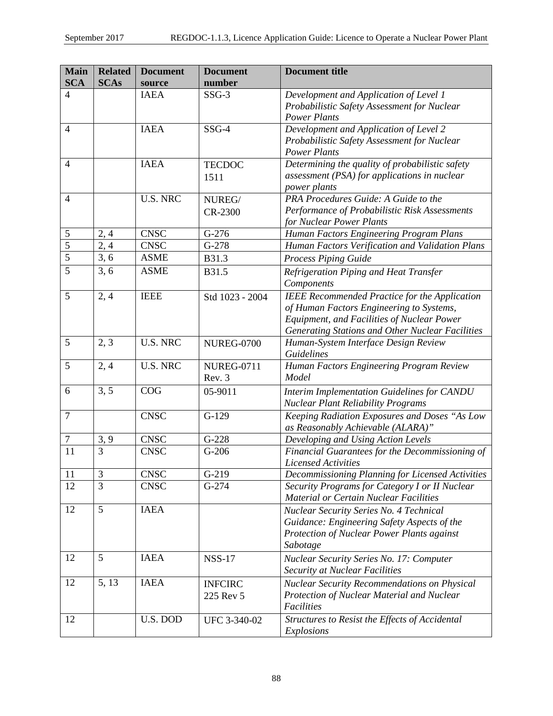| <b>Main</b>         | <b>Related</b> | <b>Document</b>            | <b>Document</b>    | <b>Document title</b>                                                                           |  |  |  |
|---------------------|----------------|----------------------------|--------------------|-------------------------------------------------------------------------------------------------|--|--|--|
| <b>SCA</b>          | <b>SCAs</b>    | source                     | number             |                                                                                                 |  |  |  |
| 4                   |                | <b>IAEA</b>                | $SSG-3$            | Development and Application of Level 1                                                          |  |  |  |
|                     |                |                            |                    | Probabilistic Safety Assessment for Nuclear<br><b>Power Plants</b>                              |  |  |  |
| $\overline{4}$      |                | <b>IAEA</b>                | $SSG-4$            | Development and Application of Level 2                                                          |  |  |  |
|                     |                |                            |                    | Probabilistic Safety Assessment for Nuclear                                                     |  |  |  |
|                     |                |                            |                    | <b>Power Plants</b>                                                                             |  |  |  |
| $\overline{4}$      |                | <b>IAEA</b>                | <b>TECDOC</b>      | Determining the quality of probabilistic safety                                                 |  |  |  |
|                     |                |                            | 1511               | assessment (PSA) for applications in nuclear                                                    |  |  |  |
|                     |                |                            |                    | power plants                                                                                    |  |  |  |
| $\overline{4}$      |                | <b>U.S. NRC</b>            | NUREG/             | PRA Procedures Guide: A Guide to the                                                            |  |  |  |
|                     |                |                            | CR-2300            | Performance of Probabilistic Risk Assessments                                                   |  |  |  |
|                     |                |                            | $G-276$            | for Nuclear Power Plants                                                                        |  |  |  |
| 5<br>$\overline{5}$ | 2, 4           | <b>CNSC</b><br><b>CNSC</b> | $\overline{G-278}$ | Human Factors Engineering Program Plans                                                         |  |  |  |
| $\overline{5}$      | 2,4<br>3, 6    | <b>ASME</b>                |                    | Human Factors Verification and Validation Plans                                                 |  |  |  |
| $\overline{5}$      |                |                            | B31.3              | <b>Process Piping Guide</b>                                                                     |  |  |  |
|                     | 3, 6           | <b>ASME</b>                | B31.5              | Refrigeration Piping and Heat Transfer                                                          |  |  |  |
| 5                   |                | <b>IEEE</b>                |                    | Components                                                                                      |  |  |  |
|                     | 2, 4           |                            | Std 1023 - 2004    | <b>IEEE</b> Recommended Practice for the Application                                            |  |  |  |
|                     |                |                            |                    | of Human Factors Engineering to Systems,<br>Equipment, and Facilities of Nuclear Power          |  |  |  |
|                     |                |                            |                    | Generating Stations and Other Nuclear Facilities                                                |  |  |  |
| 5                   | 2, 3           | <b>U.S. NRC</b>            | <b>NUREG-0700</b>  | Human-System Interface Design Review                                                            |  |  |  |
|                     |                |                            |                    | Guidelines                                                                                      |  |  |  |
| 5                   | 2, 4           | <b>U.S. NRC</b>            | <b>NUREG-0711</b>  | Human Factors Engineering Program Review                                                        |  |  |  |
|                     |                |                            | Rev. 3             | Model                                                                                           |  |  |  |
| 6                   | 3, 5           | COG                        | 05-9011            | Interim Implementation Guidelines for CANDU                                                     |  |  |  |
|                     |                |                            |                    | <b>Nuclear Plant Reliability Programs</b>                                                       |  |  |  |
| $\overline{7}$      |                | <b>CNSC</b>                | $G-129$            | Keeping Radiation Exposures and Doses "As Low                                                   |  |  |  |
|                     |                |                            |                    | as Reasonably Achievable (ALARA)"                                                               |  |  |  |
| 7                   | 3, 9           | <b>CNSC</b>                | $G-228$            | Developing and Using Action Levels                                                              |  |  |  |
| 11                  | $\overline{3}$ | <b>CNSC</b>                | $G-206$            | Financial Guarantees for the Decommissioning of                                                 |  |  |  |
|                     |                |                            |                    | <b>Licensed Activities</b>                                                                      |  |  |  |
| 11                  | 3              | <b>CNSC</b>                | $G-219$            | Decommissioning Planning for Licensed Activities                                                |  |  |  |
| 12                  | $\overline{3}$ | <b>CNSC</b>                | $G-274$            | Security Programs for Category I or II Nuclear<br><b>Material or Certain Nuclear Facilities</b> |  |  |  |
| 12                  | 5              | <b>IAEA</b>                |                    | Nuclear Security Series No. 4 Technical                                                         |  |  |  |
|                     |                |                            |                    | Guidance: Engineering Safety Aspects of the                                                     |  |  |  |
|                     |                |                            |                    | Protection of Nuclear Power Plants against                                                      |  |  |  |
|                     |                |                            |                    | Sabotage                                                                                        |  |  |  |
| 12                  | 5              | <b>IAEA</b>                | <b>NSS-17</b>      | <b>Nuclear Security Series No. 17: Computer</b>                                                 |  |  |  |
|                     |                |                            |                    | <b>Security at Nuclear Facilities</b>                                                           |  |  |  |
| 12                  | 5, 13          | <b>IAEA</b>                | <b>INFCIRC</b>     | Nuclear Security Recommendations on Physical                                                    |  |  |  |
|                     |                |                            | 225 Rev 5          | Protection of Nuclear Material and Nuclear                                                      |  |  |  |
|                     |                |                            |                    | Facilities                                                                                      |  |  |  |
| 12                  |                | U.S. DOD                   | UFC 3-340-02       | Structures to Resist the Effects of Accidental                                                  |  |  |  |
|                     |                |                            |                    | Explosions                                                                                      |  |  |  |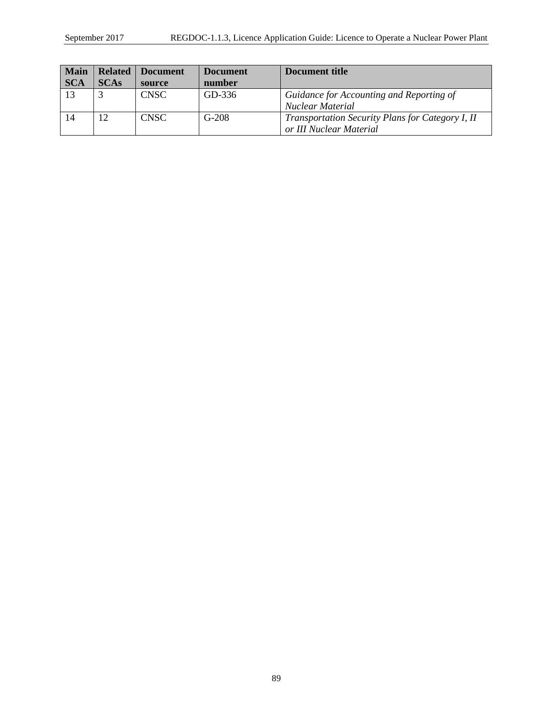| <b>Main</b> | <b>Related</b> | <b>Document</b> | <b>Document</b> | Document title                                   |
|-------------|----------------|-----------------|-----------------|--------------------------------------------------|
| <b>SCA</b>  | <b>SCAs</b>    | source          | number          |                                                  |
| 13          |                | <b>CNSC</b>     | GD-336          | Guidance for Accounting and Reporting of         |
|             |                |                 |                 | Nuclear Material                                 |
|             | 12             | <b>CNSC</b>     | $G-208$         | Transportation Security Plans for Category I, II |
|             |                |                 |                 | or III Nuclear Material                          |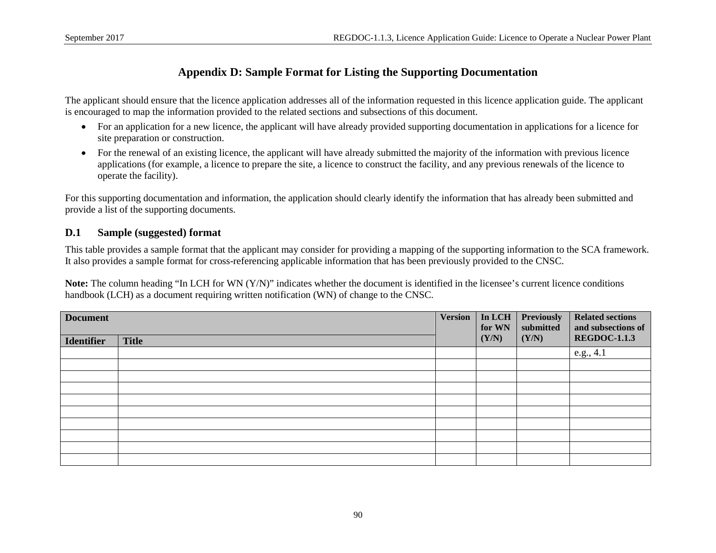## **Appendix D: Sample Format for Listing the Supporting Documentation**

The applicant should ensure that the licence application addresses all of the information requested in this licence application guide. The applicant is encouraged to map the information provided to the related sections and subsections of this document.

- For an application for a new licence, the applicant will have already provided supporting documentation in applications for a licence for site preparation or construction.
- For the renewal of an existing licence, the applicant will have already submitted the majority of the information with previous licence applications (for example, a licence to prepare the site, a licence to construct the facility, and any previous renewals of the licence to operate the facility).

For this supporting documentation and information, the application should clearly identify the information that has already been submitted and provide a list of the supporting documents.

## **D.1 Sample (suggested) format**

This table provides a sample format that the applicant may consider for providing a mapping of the supporting information to the SCA framework. It also provides a sample format for cross-referencing applicable information that has been previously provided to the CNSC.

**Note:** The column heading "In LCH for WN (Y/N)" indicates whether the document is identified in the licensee's current licence conditions handbook (LCH) as a document requiring written notification (WN) of change to the CNSC.

| <b>Document</b>   |              |  | In LCH<br>for WN | <b>Previously</b><br>submitted | <b>Related sections</b><br>and subsections of |
|-------------------|--------------|--|------------------|--------------------------------|-----------------------------------------------|
| <b>Identifier</b> | <b>Title</b> |  | (Y/N)            | (Y/N)                          | <b>REGDOC-1.1.3</b>                           |
|                   |              |  |                  |                                | e.g., 4.1                                     |
|                   |              |  |                  |                                |                                               |
|                   |              |  |                  |                                |                                               |
|                   |              |  |                  |                                |                                               |
|                   |              |  |                  |                                |                                               |
|                   |              |  |                  |                                |                                               |
|                   |              |  |                  |                                |                                               |
|                   |              |  |                  |                                |                                               |
|                   |              |  |                  |                                |                                               |
|                   |              |  |                  |                                |                                               |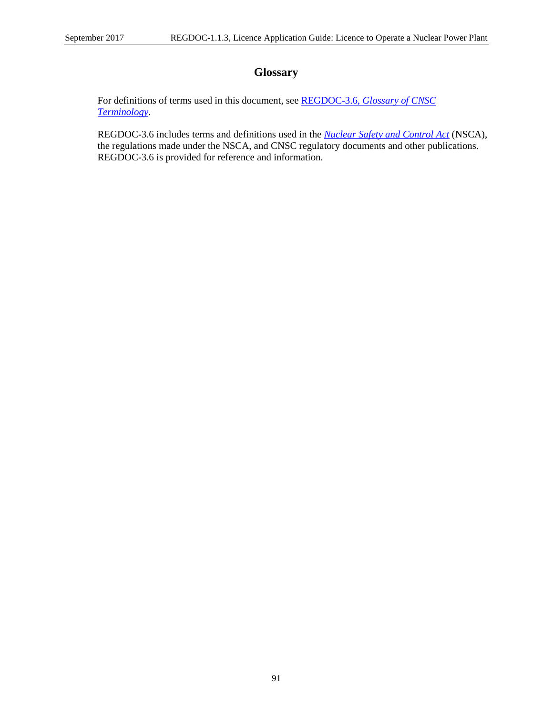# **Glossary**

For definitions of terms used in this document, see REGDOC-3.6, *[Glossary of CNSC](http://www.nuclearsafety.gc.ca/pubs_catalogue/uploads/REGDOC-3-6-Glossary-of-CNSC-Terminology-eng.pdf)  [Terminology](http://www.nuclearsafety.gc.ca/pubs_catalogue/uploads/REGDOC-3-6-Glossary-of-CNSC-Terminology-eng.pdf)*.

REGDOC-3.6 includes terms and definitions used in the *[Nuclear Safety and Control Act](http://laws-lois.justice.gc.ca/eng/acts/N-28.3/)* (NSCA), the regulations made under the NSCA, and CNSC regulatory documents and other publications. REGDOC-3.6 is provided for reference and information.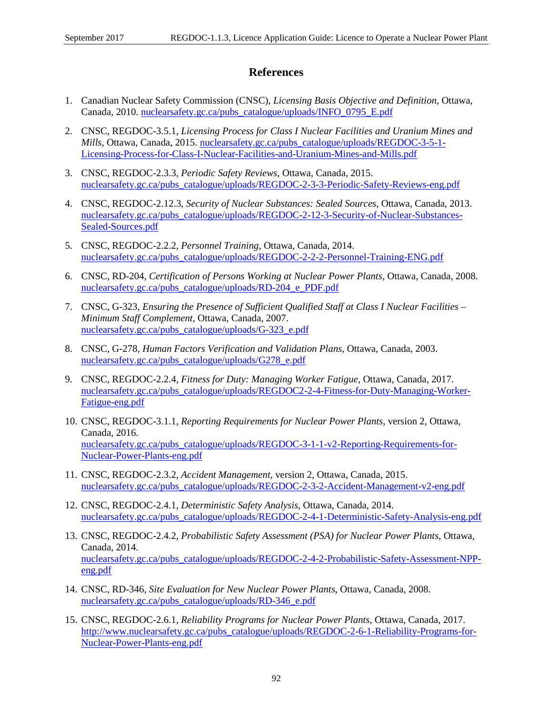## **References**

- 1. Canadian Nuclear Safety Commission (CNSC), *Licensing Basis Objective and Definition*, Ottawa, Canada, 2010. [nuclearsafety.gc.ca/pubs\\_catalogue/uploads/INFO\\_0795\\_E.pdf](http://www.nuclearsafety.gc.ca/pubs_catalogue/uploads/INFO_0795_E.pdf)
- 2. CNSC, REGDOC-3.5.1, *Licensing Process for Class I Nuclear Facilities and Uranium Mines and Mills*, Ottawa, Canada, 2015. [nuclearsafety.gc.ca/pubs\\_catalogue/uploads/REGDOC-3-5-1-](http://www.nuclearsafety.gc.ca/pubs_catalogue/uploads/REGDOC-3-5-1-Licensing-Process-for-Class-I-Nuclear-Facilities-and-Uranium-Mines-and-Mills.pdf) [Licensing-Process-for-Class-I-Nuclear-Facilities-and-Uranium-Mines-and-Mills.pdf](http://www.nuclearsafety.gc.ca/pubs_catalogue/uploads/REGDOC-3-5-1-Licensing-Process-for-Class-I-Nuclear-Facilities-and-Uranium-Mines-and-Mills.pdf)
- 3. CNSC, REGDOC-2.3.3, *Periodic Safety Reviews*, Ottawa, Canada, 2015. [nuclearsafety.gc.ca/pubs\\_catalogue/uploads/REGDOC-2-3-3-Periodic-Safety-Reviews-eng.pdf](http://www.nuclearsafety.gc.ca/pubs_catalogue/uploads/REGDOC-2-3-3-Periodic-Safety-Reviews-eng.pdf)
- 4. CNSC, REGDOC-2.12.3, *Security of Nuclear Substances: Sealed Sources*, Ottawa, Canada, 2013. [nuclearsafety.gc.ca/pubs\\_catalogue/uploads/REGDOC-2-12-3-Security-of-Nuclear-Substances-](http://www.nuclearsafety.gc.ca/pubs_catalogue/uploads/REGDOC-2-12-3-Security-of-Nuclear-Substances-Sealed-Sources.pdf)[Sealed-Sources.pdf](http://www.nuclearsafety.gc.ca/pubs_catalogue/uploads/REGDOC-2-12-3-Security-of-Nuclear-Substances-Sealed-Sources.pdf)
- 5. CNSC, REGDOC-2.2.2, *Personnel Training*, Ottawa, Canada, 2014. [nuclearsafety.gc.ca/pubs\\_catalogue/uploads/REGDOC-2-2-2-Personnel-Training-ENG.pdf](http://www.nuclearsafety.gc.ca/pubs_catalogue/uploads/REGDOC-2-2-2-Personnel-Training-ENG.pdf)
- 6. CNSC, RD-204, *Certification of Persons Working at Nuclear Power Plants*, Ottawa, Canada, 2008. [nuclearsafety.gc.ca/pubs\\_catalogue/uploads/RD-204\\_e\\_PDF.pdf](http://www.nuclearsafety.gc.ca/pubs_catalogue/uploads/RD-204_e_PDF.pdf)
- 7. CNSC, G-323, *Ensuring the Presence of Sufficient Qualified Staff at Class I Nuclear Facilities – Minimum Staff Complement*, Ottawa, Canada, 2007. [nuclearsafety.gc.ca/pubs\\_catalogue/uploads/G-323\\_e.pdf](http://www.nuclearsafety.gc.ca/pubs_catalogue/uploads/G-323_e.pdf)
- 8. CNSC, G-278, *Human Factors Verification and Validation Plans*, Ottawa, Canada, 2003. [nuclearsafety.gc.ca/pubs\\_catalogue/uploads/G278\\_e.pdf](http://nuclearsafety.gc.ca/pubs_catalogue/uploads/G278_e.pdf)
- 9. CNSC, REGDOC-2.2.4, *Fitness for Duty: Managing Worker Fatigue*, Ottawa, Canada, 2017. [nuclearsafety.gc.ca/pubs\\_catalogue/uploads/REGDOC2-2-4-Fitness-for-Duty-Managing-Worker-](http://www.nuclearsafety.gc.ca/pubs_catalogue/uploads/REGDOC2-2-4-Fitness-for-Duty-Managing-Worker-Fatigue-eng.pdf)[Fatigue-eng.pdf](http://www.nuclearsafety.gc.ca/pubs_catalogue/uploads/REGDOC2-2-4-Fitness-for-Duty-Managing-Worker-Fatigue-eng.pdf)
- 10. CNSC, REGDOC-3.1.1, *Reporting Requirements for Nuclear Power Plants*, version 2, Ottawa, Canada, 2016. [nuclearsafety.gc.ca/pubs\\_catalogue/uploads/REGDOC-3-1-1-v2-Reporting-Requirements-for-](http://nuclearsafety.gc.ca/pubs_catalogue/uploads/REGDOC-3-1-1-v2-Reporting-Requirements-for-Nuclear-Power-Plants-eng.pdf)[Nuclear-Power-Plants-eng.pdf](http://nuclearsafety.gc.ca/pubs_catalogue/uploads/REGDOC-3-1-1-v2-Reporting-Requirements-for-Nuclear-Power-Plants-eng.pdf)
- 11. CNSC, REGDOC-2.3.2, *Accident Management*, version 2, Ottawa, Canada, 2015. [nuclearsafety.gc.ca/pubs\\_catalogue/uploads/REGDOC-2-3-2-Accident-Management-v2-eng.pdf](http://www.nuclearsafety.gc.ca/pubs_catalogue/uploads/REGDOC-2-3-2-Accident-Management-v2-eng.pdf)
- 12. CNSC, REGDOC-2.4.1, *Deterministic Safety Analysis*, Ottawa, Canada, 2014. [nuclearsafety.gc.ca/pubs\\_catalogue/uploads/REGDOC-2-4-1-Deterministic-Safety-Analysis-eng.pdf](http://nuclearsafety.gc.ca/pubs_catalogue/uploads/REGDOC-2-4-1-Deterministic-Safety-Analysis-eng.pdf)
- 13. CNSC, REGDOC-2.4.2, *Probabilistic Safety Assessment (PSA) for Nuclear Power Plants*, Ottawa, Canada, 2014. [nuclearsafety.gc.ca/pubs\\_catalogue/uploads/REGDOC-2-4-2-Probabilistic-Safety-Assessment-NPP](http://www.nuclearsafety.gc.ca/pubs_catalogue/uploads/REGDOC-2-4-2-Probabilistic-Safety-Assessment-NPP-eng.pdf)[eng.pdf](http://www.nuclearsafety.gc.ca/pubs_catalogue/uploads/REGDOC-2-4-2-Probabilistic-Safety-Assessment-NPP-eng.pdf)
- 14. CNSC, RD-346, *Site Evaluation for New Nuclear Power Plants*, Ottawa, Canada, 2008. [nuclearsafety.gc.ca/pubs\\_catalogue/uploads/RD-346\\_e.pdf](http://www.nuclearsafety.gc.ca/pubs_catalogue/uploads/RD-346_e.pdf)
- 15. CNSC, REGDOC-2.6.1, *Reliability Programs for Nuclear Power Plants*, Ottawa, Canada, 2017. [http://www.nuclearsafety.gc.ca/pubs\\_catalogue/uploads/REGDOC-2-6-1-Reliability-Programs-for-](http://www.nuclearsafety.gc.ca/pubs_catalogue/uploads/REGDOC-2-6-1-Reliability-Programs-for-Nuclear-Power-Plants-eng.pdf)[Nuclear-Power-Plants-eng.pdf](http://www.nuclearsafety.gc.ca/pubs_catalogue/uploads/REGDOC-2-6-1-Reliability-Programs-for-Nuclear-Power-Plants-eng.pdf)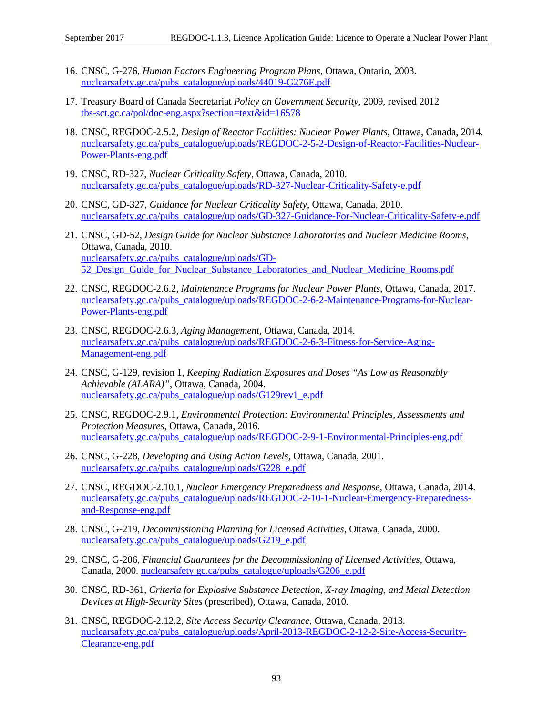- 16. CNSC, G-276, *Human Factors Engineering Program Plans*, Ottawa, Ontario, 2003. [nuclearsafety.gc.ca/pubs\\_catalogue/uploads/44019-G276E.pdf](http://nuclearsafety.gc.ca/pubs_catalogue/uploads/44019-G276E.pdf)
- 17. Treasury Board of Canada Secretariat *Policy on Government Security*, 2009, revised 2012 [tbs-sct.gc.ca/pol/doc-eng.aspx?section=text&id=16578](http://www.tbs-sct.gc.ca/pol/doc-eng.aspx?section=text&id=16578)
- 18. CNSC, REGDOC-2.5.2, *Design of Reactor Facilities: Nuclear Power Plants*, Ottawa, Canada, 2014. [nuclearsafety.gc.ca/pubs\\_catalogue/uploads/REGDOC-2-5-2-Design-of-Reactor-Facilities-Nuclear-](http://www.nuclearsafety.gc.ca/pubs_catalogue/uploads/REGDOC-2-5-2-Design-of-Reactor-Facilities-Nuclear-Power-Plants-eng.pdf)[Power-Plants-eng.pdf](http://www.nuclearsafety.gc.ca/pubs_catalogue/uploads/REGDOC-2-5-2-Design-of-Reactor-Facilities-Nuclear-Power-Plants-eng.pdf)
- 19. CNSC, RD-327, *Nuclear Criticality Safety*, Ottawa, Canada, 2010. [nuclearsafety.gc.ca/pubs\\_catalogue/uploads/RD-327-Nuclear-Criticality-Safety-e.pdf](http://www.nuclearsafety.gc.ca/pubs_catalogue/uploads/RD-327-Nuclear-Criticality-Safety-e.pdf)
- 20. CNSC, GD-327, *Guidance for Nuclear Criticality Safety*, Ottawa, Canada, 2010. [nuclearsafety.gc.ca/pubs\\_catalogue/uploads/GD-327-Guidance-For-Nuclear-Criticality-Safety-e.pdf](http://www.nuclearsafety.gc.ca/pubs_catalogue/uploads/GD-327-Guidance-For-Nuclear-Criticality-Safety-e.pdf)
- 21. CNSC, GD-52, *Design Guide for Nuclear Substance Laboratories and Nuclear Medicine Rooms*, Ottawa, Canada, 2010. [nuclearsafety.gc.ca/pubs\\_catalogue/uploads/GD-](http://www.nuclearsafety.gc.ca/pubs_catalogue/uploads/GD-52_Design_Guide_for_Nuclear_Substance_Laboratories_and_Nuclear_Medicine_Rooms.pdf)52 Design Guide for Nuclear Substance Laboratories and Nuclear Medicine Rooms.pdf
- 22. CNSC, REGDOC-2.6.2, *Maintenance Programs for Nuclear Power Plants*, Ottawa, Canada, 2017. [nuclearsafety.gc.ca/pubs\\_catalogue/uploads/REGDOC-2-6-2-Maintenance-Programs-for-Nuclear-](http://www.nuclearsafety.gc.ca/pubs_catalogue/uploads/REGDOC-2-6-2-Maintenance-Programs-for-Nuclear-Power-Plants-eng.pdf)[Power-Plants-eng.pdf](http://www.nuclearsafety.gc.ca/pubs_catalogue/uploads/REGDOC-2-6-2-Maintenance-Programs-for-Nuclear-Power-Plants-eng.pdf)
- 23. CNSC, REGDOC-2.6.3, *Aging Management*, Ottawa, Canada, 2014. [nuclearsafety.gc.ca/pubs\\_catalogue/uploads/REGDOC-2-6-3-Fitness-for-Service-Aging-](http://nuclearsafety.gc.ca/pubs_catalogue/uploads/REGDOC-2-6-3-Fitness-for-Service-Aging-Management-eng.pdf)[Management-eng.pdf](http://nuclearsafety.gc.ca/pubs_catalogue/uploads/REGDOC-2-6-3-Fitness-for-Service-Aging-Management-eng.pdf)
- 24. CNSC, G-129, revision 1, *Keeping Radiation Exposures and Doses "As Low as Reasonably Achievable (ALARA)"*, Ottawa, Canada, 2004. [nuclearsafety.gc.ca/pubs\\_catalogue/uploads/G129rev1\\_e.pdf](http://nuclearsafety.gc.ca/pubs_catalogue/uploads/G129rev1_e.pdf)
- 25. CNSC, REGDOC-2.9.1, *Environmental Protection: Environmental Principles, Assessments and Protection Measures*, Ottawa, Canada, 2016. [nuclearsafety.gc.ca/pubs\\_catalogue/uploads/REGDOC-2-9-1-Environmental-Principles-eng.pdf](http://www.nuclearsafety.gc.ca/pubs_catalogue/uploads/REGDOC-2-9-1-Environmental-Principles-eng.pdf)
- 26. CNSC, G-228, *Developing and Using Action Levels*, Ottawa, Canada, 2001. [nuclearsafety.gc.ca/pubs\\_catalogue/uploads/G228\\_e.pdf](http://nuclearsafety.gc.ca/pubs_catalogue/uploads/G228_e.pdf)
- 27. CNSC, REGDOC-2.10.1, *Nuclear Emergency Preparedness and Response*, Ottawa, Canada, 2014. [nuclearsafety.gc.ca/pubs\\_catalogue/uploads/REGDOC-2-10-1-Nuclear-Emergency-Preparedness](http://www.nuclearsafety.gc.ca/pubs_catalogue/uploads/REGDOC-2-10-1-Nuclear-Emergency-Preparedness-and-Response-eng.pdf)[and-Response-eng.pdf](http://www.nuclearsafety.gc.ca/pubs_catalogue/uploads/REGDOC-2-10-1-Nuclear-Emergency-Preparedness-and-Response-eng.pdf)
- 28. CNSC, G-219, *Decommissioning Planning for Licensed Activities*, Ottawa, Canada, 2000. [nuclearsafety.gc.ca/pubs\\_catalogue/uploads/G219\\_e.pdf](http://nuclearsafety.gc.ca/pubs_catalogue/uploads/G219_e.pdf)
- 29. CNSC, G-206, *Financial Guarantees for the Decommissioning of Licensed Activities*, Ottawa, Canada, 2000. [nuclearsafety.gc.ca/pubs\\_catalogue/uploads/G206\\_e.pdf](http://nuclearsafety.gc.ca/pubs_catalogue/uploads/G206_e.pdf)
- 30. CNSC, RD-361, *Criteria for Explosive Substance Detection, X-ray Imaging, and Metal Detection Devices at High-Security Sites* (prescribed), Ottawa, Canada, 2010.
- 31. CNSC, REGDOC-2.12.2, *Site Access Security Clearance*, Ottawa, Canada, 2013. [nuclearsafety.gc.ca/pubs\\_catalogue/uploads/April-2013-REGDOC-2-12-2-Site-Access-Security-](http://nuclearsafety.gc.ca/pubs_catalogue/uploads/April-2013-REGDOC-2-12-2-Site-Access-Security-Clearance-eng.pdf)[Clearance-eng.pdf](http://nuclearsafety.gc.ca/pubs_catalogue/uploads/April-2013-REGDOC-2-12-2-Site-Access-Security-Clearance-eng.pdf)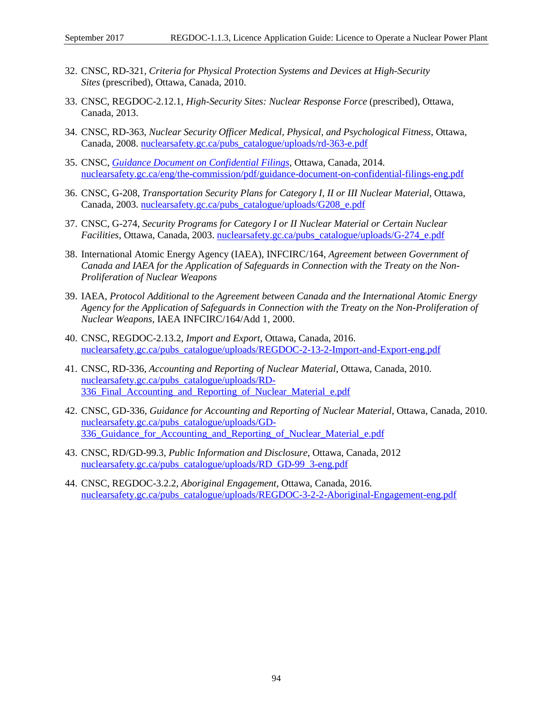- 32. CNSC, RD-321, *Criteria for Physical Protection Systems and Devices at High-Security Sites* (prescribed), Ottawa, Canada, 2010.
- 33. CNSC, REGDOC-2.12.1, *High-Security Sites: Nuclear Response Force* (prescribed), Ottawa, Canada, 2013.
- 34. CNSC, RD-363, *Nuclear Security Officer Medical, Physical, and Psychological Fitness*, Ottawa, Canada, 2008. [nuclearsafety.gc.ca/pubs\\_catalogue/uploads/rd-363-e.pdf](http://www.nuclearsafety.gc.ca/pubs_catalogue/uploads/rd-363-e.pdf)
- 35. CNSC, *[Guidance Document on Confidential Filings](http://www.nuclearsafety.gc.ca/eng/the-commission/pdf/guidance-document-on-confidential-filings-eng.pdf)*, Ottawa, Canada, 2014. [nuclearsafety.gc.ca/eng/the-commission/pdf/guidance-document-on-confidential-filings-eng.pdf](http://www.nuclearsafety.gc.ca/eng/the-commission/pdf/guidance-document-on-confidential-filings-eng.pdf)
- 36. CNSC, G-208, *Transportation Security Plans for Category I, II or III Nuclear Material*, Ottawa, Canada, 2003. [nuclearsafety.gc.ca/pubs\\_catalogue/uploads/G208\\_e.pdf](http://nuclearsafety.gc.ca/pubs_catalogue/uploads/G208_e.pdf)
- 37. CNSC, G-274, *Security Programs for Category I or II Nuclear Material or Certain Nuclear Facilities*, Ottawa, Canada, 2003. [nuclearsafety.gc.ca/pubs\\_catalogue/uploads/G-274\\_e.pdf](http://nuclearsafety.gc.ca/pubs_catalogue/uploads/G-274_e.pdf)
- 38. International Atomic Energy Agency (IAEA), INFCIRC/164, *Agreement between Government of Canada and IAEA for the Application of Safeguards in Connection with the Treaty on the Non-Proliferation of Nuclear Weapons*
- 39. IAEA, *Protocol Additional to the Agreement between Canada and the International Atomic Energy Agency for the Application of Safeguards in Connection with the Treaty on the Non-Proliferation of Nuclear Weapons*, IAEA INFCIRC/164/Add 1, 2000.
- 40. CNSC, REGDOC-2.13.2, *Import and Export*, Ottawa, Canada, 2016. [nuclearsafety.gc.ca/pubs\\_catalogue/uploads/REGDOC-2-13-2-Import-and-Export-eng.pdf](http://www.nuclearsafety.gc.ca/pubs_catalogue/uploads/REGDOC-2-13-2-Import-and-Export-eng.pdf)
- 41. CNSC, RD-336, *Accounting and Reporting of Nuclear Material*, Ottawa, Canada, 2010. [nuclearsafety.gc.ca/pubs\\_catalogue/uploads/RD-](http://www.nuclearsafety.gc.ca/pubs_catalogue/uploads/RD-336_Final_Accounting_and_Reporting_of_Nuclear_Material_e.pdf)336 Final Accounting and Reporting of Nuclear Material e.pdf
- 42. CNSC, GD-336, *Guidance for Accounting and Reporting of Nuclear Material*, Ottawa, Canada, 2010. [nuclearsafety.gc.ca/pubs\\_catalogue/uploads/GD-](http://www.nuclearsafety.gc.ca/pubs_catalogue/uploads/GD-336_Guidance_for_Accounting_and_Reporting_of_Nuclear_Material_e.pdf)336 Guidance for Accounting and Reporting of Nuclear Material e.pdf
- 43. CNSC, RD/GD-99.3, *Public Information and Disclosure*, Ottawa, Canada, 2012 [nuclearsafety.gc.ca/pubs\\_catalogue/uploads/RD\\_GD-99\\_3-eng.pdf](http://nuclearsafety.gc.ca/pubs_catalogue/uploads/RD_GD-99_3-eng.pdf)
- 44. CNSC, REGDOC-3.2.2, *Aboriginal Engagement*, Ottawa, Canada, 2016. [nuclearsafety.gc.ca/pubs\\_catalogue/uploads/REGDOC-3-2-2-Aboriginal-Engagement-eng.pdf](http://www.nuclearsafety.gc.ca/pubs_catalogue/uploads/REGDOC-3-2-2-Aboriginal-Engagement-eng.pdf)